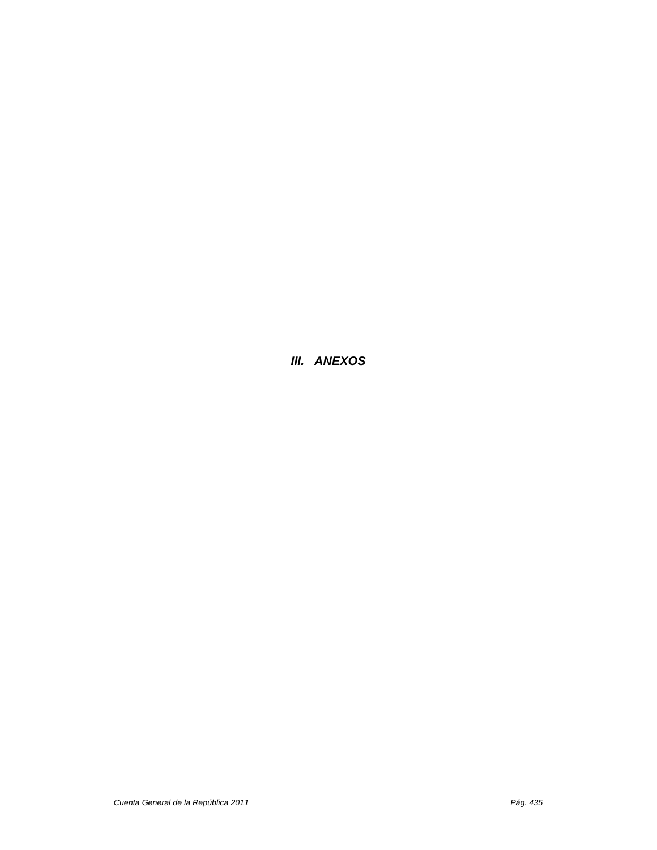*III. ANEXOS*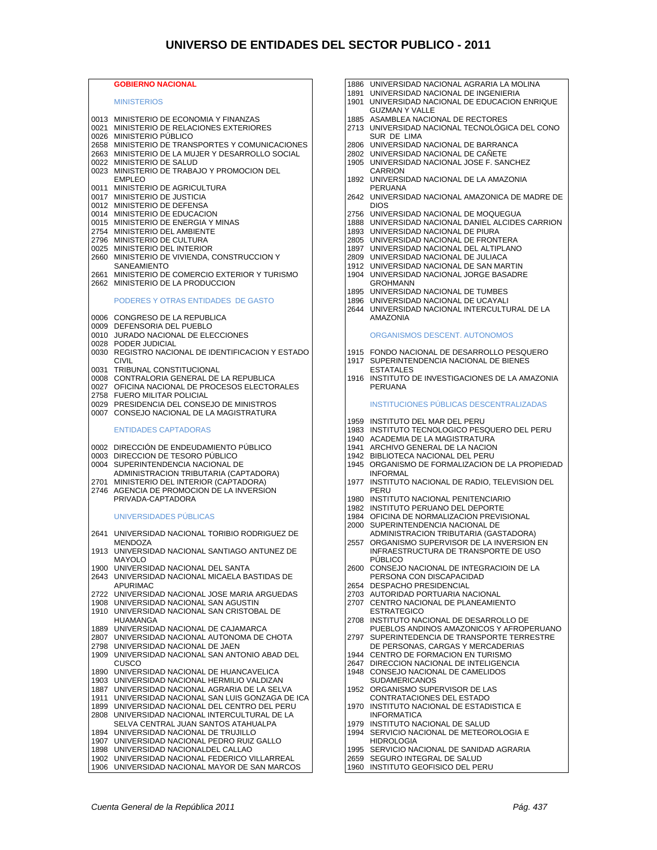#### **GOBIERNO NACIONAL MINISTERIOS** 0013 MINISTERIO DE ECONOMIA Y FINANZAS 0021 MINISTERIO DE RELACIONES EXTERIORES 0026 MINISTERIO PÚBLICO 2658 MINISTERIO DE TRANSPORTES Y COMUNICACIONES 2663 MINISTERIO DE LA MUJER Y DESARROLLO SOCIAL 0022 MINISTERIO DE SALUD 0023 MINISTERIO DE TRABAJO Y PROMOCION DEL EMPLEO 0011 MINISTERIO DE AGRICULTURA 0017 MINISTERIO DE JUSTICIA 0012 MINISTERIO DE DEFENSA 0014 MINISTERIO DE EDUCACION 0015 MINISTERIO DE ENERGIA Y MINAS 2754 MINISTERIO DEL AMBIENTE 2796 MINISTERIO DE CULTURA 0025 MINISTERIO DEL INTERIOR 2660 MINISTERIO DE VIVIENDA, CONSTRUCCION Y SANEAMIENTO 2661 MINISTERIO DE COMERCIO EXTERIOR Y TURISMO 2662 MINISTERIO DE LA PRODUCCION PODERES Y OTRAS ENTIDADES DE GASTO 0006 CONGRESO DE LA REPUBLICA 0009 DEFENSORIA DEL PUEBLO 0010 JURADO NACIONAL DE ELECCIONES 0028 PODER JUDICIAL 0030 REGISTRO NACIONAL DE IDENTIFICACION Y ESTADO CIVIL 0031 TRIBUNAL CONSTITUCIONAL 0008 CONTRALORIA GENERAL DE LA REPUBLICA 0027 OFICINA NACIONAL DE PROCESOS ELECTORALES 2758 FUERO MILITAR POLICIAL 0029 PRESIDENCIA DEL CONSEJO DE MINISTROS 0007 CONSEJO NACIONAL DE LA MAGISTRATURA ENTIDADES CAPTADORAS 0002 DIRECCIÓN DE ENDEUDAMIENTO PÚBLICO 0003 DIRECCION DE TESORO PÚBLICO<br>0004 SUPERINTENDENCIA NACIONAL D SUPERINTENDENCIA NACIONAL DE ADMINISTRACION TRIBUTARIA (CAPTADORA) 2701 MINISTERIO DEL INTERIOR (CAPTADORA) 2746 AGENCIA DE PROMOCION DE LA INVERSION PRIVADA-CAPTADORA UNIVERSIDADES PÚBLICAS 2641 UNIVERSIDAD NACIONAL TORIBIO RODRIGUEZ DE MENDOZA 1913 UNIVERSIDAD NACIONAL SANTIAGO ANTUNEZ DE MAYOLO 1900 UNIVERSIDAD NACIONAL DEL SANTA 2643 UNIVERSIDAD NACIONAL MICAELA BASTIDAS DE APURIMAC 2722 UNIVERSIDAD NACIONAL JOSE MARIA ARGUEDAS 1908 UNIVERSIDAD NACIONAL SAN AGUSTIN 1910 UNIVERSIDAD NACIONAL SAN CRISTOBAL DE HUAMANGA 1889 UNIVERSIDAD NACIONAL DE CAJAMARCA 2807 UNIVERSIDAD NACIONAL AUTONOMA DE CHOTA 2798 UNIVERSIDAD NACIONAL DE JAEN 1909 UNIVERSIDAD NACIONAL SAN ANTONIO ABAD DEL CUSCO 1890 UNIVERSIDAD NACIONAL DE HUANCAVELICA 1903 UNIVERSIDAD NACIONAL HERMILIO VALDIZAN 1887 UNIVERSIDAD NACIONAL AGRARIA DE LA SELVA 1911 UNIVERSIDAD NACIONAL SAN LUIS GONZAGA DE ICA 1899 UNIVERSIDAD NACIONAL DEL CENTRO DEL PERU 2808 UNIVERSIDAD NACIONAL INTERCULTURAL DE LA SELVA CENTRAL JUAN SANTOS ATAHUALPA 1894 UNIVERSIDAD NACIONAL DE TRUJILLO 1907 UNIVERSIDAD NACIONAL PEDRO RUIZ GALLO 1898 UNIVERSIDAD NACIONALDEL CALLAO 1902 UNIVERSIDAD NACIONAL FEDERICO VILLARREAL

1906 UNIVERSIDAD NACIONAL MAYOR DE SAN MARCOS

- 1886 UNIVERSIDAD NACIONAL AGRARIA LA MOLINA
- 1891 UNIVERSIDAD NACIONAL DE INGENIERIA 1901 UNIVERSIDAD NACIONAL DE EDUCACION ENRIQUE
- GUZMAN Y VALLE
- 1885 ASAMBLEA NACIONAL DE RECTORES 2713 UNIVERSIDAD NACIONAL TECNOLÓGICA DEL CONO
- SUR DE LIMA 2806 UNIVERSIDAD NACIONAL DE BARRANCA
- 2802 UNIVERSIDAD NACIONAL DE CAÑETE
- 1905 UNIVERSIDAD NACIONAL JOSE F. SANCHEZ CARRION
- 1892 UNIVERSIDAD NACIONAL DE LA AMAZONIA PERUANA
- 2642 UNIVERSIDAD NACIONAL AMAZONICA DE MADRE DE DIOS
- 2756 UNIVERSIDAD NACIONAL DE MOQUEGUA
- 1888 UNIVERSIDAD NACIONAL DANIEL ALCIDES CARRION
- 1893 UNIVERSIDAD NACIONAL DE PIURA
- 2805 UNIVERSIDAD NACIONAL DE FRONTERA
- 1897 UNIVERSIDAD NACIONAL DEL ALTIPLANO
- 2809 UNIVERSIDAD NACIONAL DE JULIACA
- 1912 UNIVERSIDAD NACIONAL DE SAN MARTIN 1904 UNIVERSIDAD NACIONAL JORGE BASADRE
	- GROHMANN
- 1895 UNIVERSIDAD NACIONAL DE TUMBES
- 1896 UNIVERSIDAD NACIONAL DE UCAYALI 2644 UNIVERSIDAD NACIONAL INTERCULTURAL DE LA
- AMAZONIA

#### ORGANISMOS DESCENT. AUTONOMOS

- 1915 FONDO NACIONAL DE DESARROLLO PESQUERO
- 1917 SUPERINTENDENCIA NACIONAL DE BIENES ESTATALES
- 1916 INSTITUTO DE INVESTIGACIONES DE LA AMAZONIA PERUANA

#### INSTITUCIONES PÚBLICAS DESCENTRALIZADAS

- 1959 INSTITUTO DEL MAR DEL PERU
- 1983 INSTITUTO TECNOLOGICO PESQUERO DEL PERU
- 1940 ACADEMIA DE LA MAGISTRATURA
- 1941 ARCHIVO GENERAL DE LA NACION
- 1942 BIBLIOTECA NACIONAL DEL PERU
- 1945 ORGANISMO DE FORMALIZACION DE LA PROPIEDAD INFORMAL
- 1977 INSTITUTO NACIONAL DE RADIO, TELEVISION DEL PERU
- 1980 INSTITUTO NACIONAL PENITENCIARIO
- 1982 INSTITUTO PERUANO DEL DEPORTE
- 1984 OFICINA DE NORMALIZACION PREVISIONAL
- 2000 SUPERINTENDENCIA NACIONAL DE
- ADMINISTRACION TRIBUTARIA (GASTADORA) 2557 ORGANISMO SUPERVISOR DE LA INVERSION EN INFRAESTRUCTURA DE TRANSPORTE DE USO
- PÚBLICO 2600 CONSEJO NACIONAL DE INTEGRACIOIN DE LA PERSONA CON DISCAPACIDAD
- 2654 DESPACHO PRESIDENCIAL
- 
- 2703 AUTORIDAD PORTUARIA NACIONAL 2707 CENTRO NACIONAL DE PLANEAMIENTO
- ESTRATEGICO 2708 INSTITUTO NACIONAL DE DESARROLLO DE
- PUEBLOS ANDINOS AMAZONICOS Y AFROPERUANO 2797 SUPERINTEDENCIA DE TRANSPORTE TERRESTRE
- DE PERSONAS, CARGAS Y MERCADERIAS
- 1944 CENTRO DE FORMACION EN TURISMO
- 2647 DIRECCION NACIONAL DE INTELIGENCIA 1948 CONSEJO NACIONAL DE CAMELIDOS
- SUDAMERICANOS
- 1952 ORGANISMO SUPERVISOR DE LAS CONTRATACIONES DEL ESTADO
- 1970 INSTITUTO NACIONAL DE ESTADISTICA E INFORMATICA
- 1979 INSTITUTO NACIONAL DE SALUD 1994 SERVICIO NACIONAL DE METEOROLOGIA E
- HIDROLOGIA 1995 SERVICIO NACIONAL DE SANIDAD AGRARIA
- 
- 2659 SEGURO INTEGRAL DE SALUD 1960 INSTITUTO GEOFISICO DEL PERU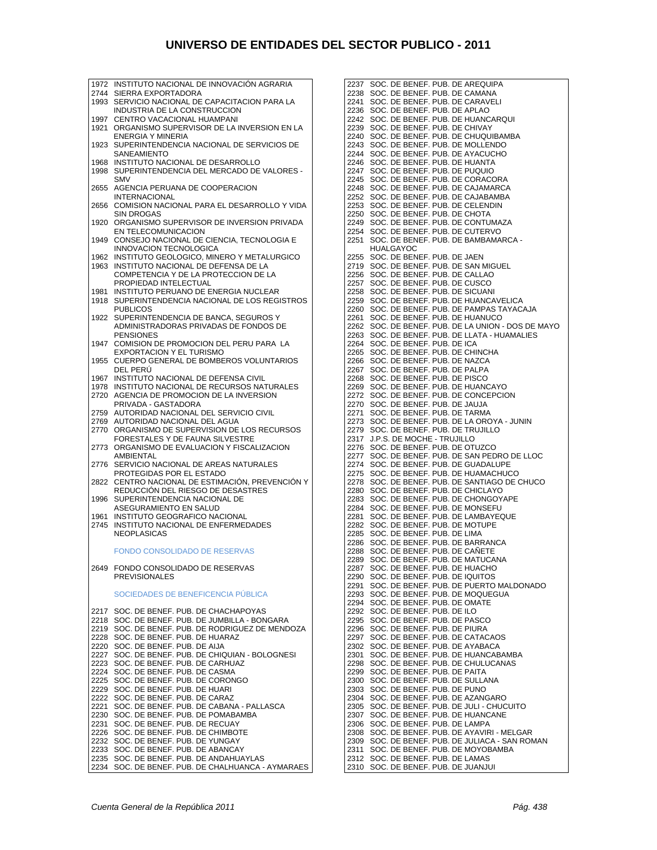| 2744         | INSTITUTO NACIONAL DE INNOVACION AGRARIA<br>SIERRA EXPORTADORA                     |
|--------------|------------------------------------------------------------------------------------|
| 1993         | SERVICIO NACIONAL DE CAPACITACION PARA LA                                          |
|              | INDUSTRIA DE LA CONSTRUCCION                                                       |
| 1997<br>1921 | CENTRO VACACIONAL HUAMPANI<br>ORGANISMO SUPERVISOR DE LA INVERSION EN LA           |
|              | <b>ENERGIA Y MINERIA</b>                                                           |
| 1923         | SUPERINTENDENCIA NACIONAL DE SERVICIOS DE                                          |
| 1968         | <b>SANEAMIENTO</b><br>INSTITUTO NACIONAL DE DESARROLLO                             |
| 1998         | SUPERINTENDENCIA DEL MERCADO DE VALORES -                                          |
|              | <b>SMV</b>                                                                         |
| 2655         | AGENCIA PERUANA DE COOPERACION<br><b>INTERNACIONAL</b>                             |
| 2656         | COMISION NACIONAL PARA EL DESARROLLO Y VIDA                                        |
| 1920         | <b>SIN DROGAS</b><br>ORGANISMO SUPERVISOR DE INVERSION PRIVADA                     |
|              | EN TELECOMUNICACION                                                                |
| 1949         | CONSEJO NACIONAL DE CIENCIA, TECNOLOGIA E                                          |
| 1962         | INNOVACION TECNOLOGICA<br>INSTITUTO GEOLOGICO, MINERO Y METALURGICO                |
| 1963         | INSTITUTO NACIONAL DE DEFENSA DE LA                                                |
|              | COMPETENCIA Y DE LA PROTECCION DE LA                                               |
| 1981         | PROPIEDAD INTELECTUAL<br>INSTITUTO PERUANO DE ENERGIA NUCLEAR                      |
| 1918         | SUPERINTENDENCIA NACIONAL DE LOS REGISTROS                                         |
|              | <b>PUBLICOS</b>                                                                    |
| 1922         | SUPERINTENDENCIA DE BANCA, SEGUROS Y<br>ADMINISTRADORAS PRIVADAS DE FONDOS DE      |
|              | <b>PENSIONES</b>                                                                   |
| 1947         | COMISION DE PROMOCION DEL PERU PARA LA<br><b>EXPORTACION Y EL TURISMO</b>          |
| 1955         | CUERPO GENERAL DE BOMBEROS VOLUNTARIOS                                             |
|              | DEL PERU                                                                           |
| 1967<br>1978 | INSTITUTO NACIONAL DE DEFENSA CIVIL<br>INSTITUTO NACIONAL DE RECURSOS NATURALES    |
| 2720         | AGENCIA DE PROMOCION DE LA INVERSION                                               |
|              | PRIVADA - GASTADORA                                                                |
| 2759<br>2769 | AUTORIDAD NACIONAL DEL SERVICIO CIVIL<br>AUTORIDAD NACIONAL DEL AGUA               |
| 2770         | ORGANISMO DE SUPERVISION DE LOS RECURSOS                                           |
|              | FORESTALES Y DE FAUNA SILVESTRE                                                    |
| 2773         | ORGANISMO DE EVALUACION Y FISCALIZACION<br>AMBIENTAL                               |
| 2776         | SERVICIO NACIONAL DE AREAS NATURALES                                               |
| 2822         | PROTEGIDAS POR EL ESTADO<br>CENTRO NACIONAL DE ESTIMACION, PREVENCION Y            |
|              | REDUCCION DEL RIESGO DE DESASTRES                                                  |
| 1996         | SUPERINTENDENCIA NACIONAL DE                                                       |
|              |                                                                                    |
| 1961         | ASEGURAMIENTO EN SALUD<br>INSTITUTO GEOGRAFICO NACIONAL                            |
| 2745         | INSTITUTO NACIONAL DE ENFERMEDADES                                                 |
|              | <b>NEOPLASICAS</b>                                                                 |
|              | <b>FONDO CONSOLIDADO DE RESERVAS</b>                                               |
| 2649         | FONDO CONSOLIDADO DE RESERVAS                                                      |
|              | <b>PREVISIONALES</b>                                                               |
|              | SOCIEDADES DE BENEFICENCIA PÚBLICA                                                 |
|              |                                                                                    |
| 2217         | SOC. DE BENEF. PUB. DE CHACHAPOYAS<br>SOC. DE BENEF. PUB. DE JUMBILLA - BONGARA    |
| 2218<br>2219 | SOC. DE BENEF. PUB. DE RODRIGUEZ DE MENDOZA                                        |
| 2228         | SOC. DE BENEF. PUB. DE HUARAZ                                                      |
| 2220<br>2227 | SOC. DE BENEF. PUB. DE AIJA<br>SOC. DE BENEF. PUB. DE CHIQUIAN - BOLOGNESI         |
| 2223         | SOC. DE BENEF. PUB. DE CARHUAZ                                                     |
| 2224         | SOC. DE BENEF. PUB. DE CASMA                                                       |
| 2225<br>2229 | SOC. DE BENEF. PUB. DE CORONGO<br>SOC. DE BENEF. PUB. DE HUARI                     |
| 2222         | SOC. DE BENEF. PUB. DE CARAZ                                                       |
| 2221         | SOC. DE BENEF. PUB. DE CABANA - PALLASCA                                           |
| 2230<br>2231 | SOC. DE BENEF. PUB. DE POMABAMBA<br>SOC. DE BENEF. PUB. DE RECUAY                  |
| 2226         | SOC. DE BENEF. PUB. DE CHIMBOTE                                                    |
| 2232<br>2233 | SOC. DE BENEF. PUB. DE YUNGAY<br>SOC. DE BENEF. PUB. DE ABANCAY                    |
| 2235<br>2234 | SOC. DE BENEF. PUB. DE ANDAHUAYLAS<br>SOC. DE BENEF. PUB. DE CHALHUANCA - AYMARAES |

2237 SOC. DE BENEF. PUB. DE AREQUIPA 2238 SOC. DE BENEF. PUB. DE CAMANA 2241 SOC. DE BENEF. PUB. DE CARAVELI 2236 SOC. DE BENEF. PUB. DE APLAO 2242 SOC. DE BENEF. PUB. DE HUANCARQUI 2239 SOC. DE BENEF. PUB. DE CHIVAY 2240 SOC. DE BENEF. PUB. DE CHUQUIBAMBA 2243 SOC. DE BENEF. PUB. DE MOLLENDO 2244 SOC. DE BENEF. PUB. DE AYACUCHO 2246 SOC. DE BENEF. PUB. DE HUANTA 2247 SOC. DE BENEF. PUB. DE PUQUIO 2245 SOC. DE BENEF. PUB. DE CORACORA 2248 SOC. DE BENEF. PUB. DE CAJAMARCA 2252 SOC. DE BENEF. PUB. DE CAJABAMBA 2253 SOC. DE BENEF. PUB. DE CELENDIN 2250 SOC. DE BENEF. PUB. DE CHOTA 2249 SOC. DE BENEF. PUB. DE CONTUMAZA 2254 SOC. DE BENEF. PUB. DE CUTERVO 2251 SOC. DE BENEF. PUB. DE BAMBAMARCA - HUALGAYOC 2255 SOC. DE BENEF. PUB. DE JAEN 2719 SOC. DE BENEF. PUB. DE SAN MIGUEL 2256 SOC. DE BENEF. PUB. DE CALLAO 2257 SOC. DE BENEF. PUB. DE CUSCO 2258 SOC. DE BENEF. PUB. DE SICUANI 2259 SOC. DE BENEF. PUB. DE HUANCAVELICA 2260 SOC. DE BENEF. PUB. DE PAMPAS TAYACAJA 2261 SOC. DE BENEF. PUB. DE HUANUCO 2262 SOC. DE BENEF. PUB. DE LA UNION - DOS DE MAYO 2263 SOC. DE BENEF. PUB. DE LLATA - HUAMALIES 2264 SOC. DE BENEF. PUB. DE ICA 2265 SOC. DE BENEF. PUB. DE CHINCHA 2266 SOC. DE BENEF. PUB. DE NAZCA 2267 SOC. DE BENEF. PUB. DE PALPA 2268 SOC. DE BENEF. PUB. DE PISCO 2269 SOC. DE BENEF. PUB. DE HUANCAYO 2272 SOC. DE BENEF. PUB. DE CONCEPCION 2270 SOC. DE BENEF. PUB. DE JAUJA 2271 SOC. DE BENEF. PUB. DE TARMA 2273 SOC. DE BENEF. PUB. DE LA OROYA - JUNIN 2279 SOC. DE BENEF. PUB. DE TRUJILLO 2317 J.P.S. DE MOCHE - TRUJILLO 2276 SOC. DE BENEF. PUB. DE OTUZCO 2277 SOC. DE BENEF. PUB. DE SAN PEDRO DE LLOC 2274 SOC. DE BENEF. PUB. DE GUADALUPE 2275 SOC. DE BENEF. PUB. DE HUAMACHUCO 2278 SOC. DE BENEF. PUB. DE SANTIAGO DE CHUCO 2280 SOC. DE BENEF. PUB. DE CHICLAYO 2283 SOC. DE BENEF. PUB. DE CHONGOYAPE 2284 SOC. DE BENEF. PUB. DE MONSEFU 2281 SOC. DE BENEF. PUB. DE LAMBAYEQUE 2282 SOC. DE BENEF. PUB. DE MOTUPE 2285 SOC. DE BENEF. PUB. DE LIMA 2286 SOC. DE BENEF. PUB. DE BARRANCA 2288 SOC. DE BENEF. PUB. DE CAÑETE 2289 SOC. DE BENEF. PUB. DE MATUCANA 2287 SOC. DE BENEF. PUB. DE HUACHO 2290 SOC. DE BENEF. PUB. DE IQUITOS 2291 SOC. DE BENEF. PUB. DE PUERTO MALDONADO 2293 SOC. DE BENEF. PUB. DE MOQUEGUA 2294 SOC. DE BENEF. PUB. DE OMATE 2292 SOC. DE BENEF. PUB. DE ILO 2295 SOC. DE BENEF. PUB. DE PASCO 2296 SOC. DE BENEF. PUB. DE PIURA 2297 SOC. DE BENEF. PUB. DE CATACAOS 2302 SOC. DE BENEF. PUB. DE AYABACA 2301 SOC. DE BENEF. PUB. DE HUANCABAMBA 2298 SOC. DE BENEF. PUB. DE CHULUCANAS 2299 SOC. DE BENEF. PUB. DE PAITA 2300 SOC. DE BENEF. PUB. DE SULLANA 2303 SOC. DE BENEF. PUB. DE PUNO 2304 SOC. DE BENEF. PUB. DE AZANGARO 2305 SOC. DE BENEF. PUB. DE JULI - CHUCUITO 2307 SOC. DE BENEF. PUB. DE HUANCANE 2306 SOC. DE BENEF. PUB. DE LAMPA 2308 SOC. DE BENEF. PUB. DE AYAVIRI - MELGAR 2309 SOC. DE BENEF. PUB. DE JULIACA - SAN ROMAN 2311 SOC. DE BENEF. PUB. DE MOYOBAMBA 2312 SOC. DE BENEF. PUB. DE LAMAS 2310 SOC. DE BENEF. PUB. DE JUANJUI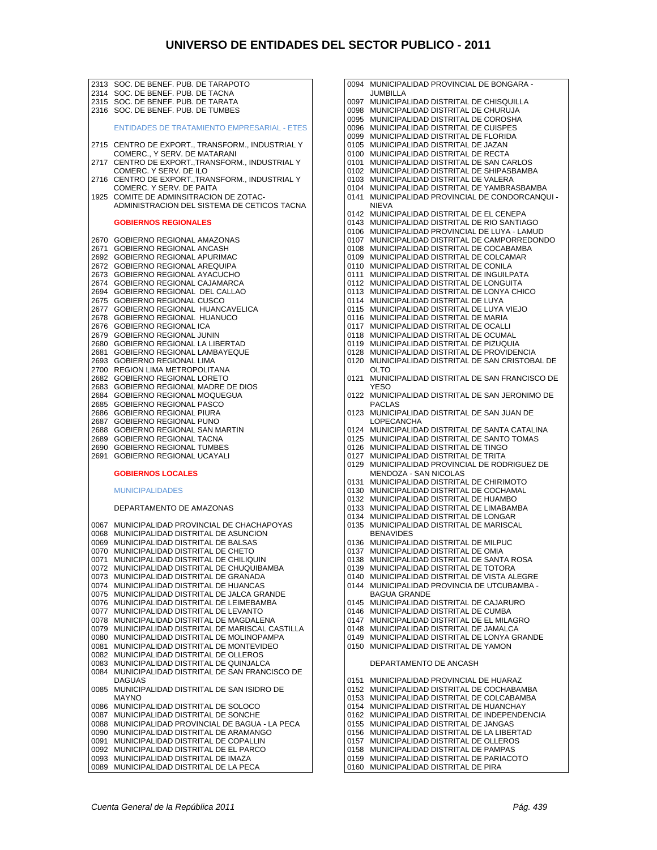2313 SOC. DE BENEF. PUB. DE TARAPOTO 2314 SOC. DE BENEF. PUB. DE TACNA 2315 SOC. DE BENEF. PUB. DE TARATA 2316 SOC. DE BENEF. PUB. DE TUMBES ENTIDADES DE TRATAMIENTO EMPRESARIAL - ETES 2715 CENTRO DE EXPORT., TRANSFORM., INDUSTRIAL Y COMERC., Y SERV. DE MATARANI 2717 CENTRO DE EXPORT.,TRANSFORM., INDUSTRIAL Y COMERC. Y SERV. DE ILO 2716 CENTRO DE EXPORT.,TRANSFORM., INDUSTRIAL Y COMERC. Y SERV. DE PAITA 1925 COMITE DE ADMINSITRACION DE ZOTAC-ADMINISTRACION DEL SISTEMA DE CETICOS TACNA **GOBIERNOS REGIONALES**  2670 GOBIERNO REGIONAL AMAZONAS 2671 GOBIERNO REGIONAL ANCASH 2692 GOBIERNO REGIONAL APURIMAC 2672 GOBIERNO REGIONAL AREQUIPA 2673 GOBIERNO REGIONAL AYACUCHO 2674 GOBIERNO REGIONAL CAJAMARCA 2694 GOBIERNO REGIONAL DEL CALLAO 2675 GOBIERNO REGIONAL CUSCO 2677 GOBIERNO REGIONAL HUANCAVELICA 2678 GOBIERNO REGIONAL HUANUCO 2676 GOBIERNO REGIONAL ICA 2679 GOBIERNO REGIONAL JUNIN 2680 GOBIERNO REGIONAL LA LIBERTAD 2681 GOBIERNO REGIONAL LAMBAYEQUE 2693 GOBIERNO REGIONAL LIMA 2700 REGION LIMA METROPOLITANA 2682 GOBIERNO REGIONAL LORETO 2683 GOBIERNO REGIONAL MADRE DE DIOS 2684 GOBIERNO REGIONAL MOQUEGUA 2685 GOBIERNO REGIONAL PASCO 2686 GOBIERNO REGIONAL PIURA 2687 GOBIERNO REGIONAL PUNO 2688 GOBIERNO REGIONAL SAN MARTIN 2689 GOBIERNO REGIONAL TACNA 2690 GOBIERNO REGIONAL TUMBES 2691 GOBIERNO REGIONAL UCAYALI **GOBIERNOS LOCALES**  MUNICIPALIDADES DEPARTAMENTO DE AMAZONAS 0067 MUNICIPALIDAD PROVINCIAL DE CHACHAPOYAS 0068 MUNICIPALIDAD DISTRITAL DE ASUNCION 0069 MUNICIPALIDAD DISTRITAL DE BALSAS 0070 MUNICIPALIDAD DISTRITAL DE CHETO 0071 MUNICIPALIDAD DISTRITAL DE CHILIQUIN 0072 MUNICIPALIDAD DISTRITAL DE CHUQUIBAMBA 0073 MUNICIPALIDAD DISTRITAL DE GRANADA 0074 MUNICIPALIDAD DISTRITAL DE HUANCAS 0075 MUNICIPALIDAD DISTRITAL DE JALCA GRANDE 0076 MUNICIPALIDAD DISTRITAL DE LEIMEBAMBA 0077 MUNICIPALIDAD DISTRITAL DE LEVANTO 0078 MUNICIPALIDAD DISTRITAL DE MAGDALENA 0079 MUNICIPALIDAD DISTRITAL DE MARISCAL CASTILLA 0080 MUNICIPALIDAD DISTRITAL DE MOLINOPAMPA 0081 MUNICIPALIDAD DISTRITAL DE MONTEVIDEO 0082 MUNICIPALIDAD DISTRITAL DE OLLEROS 0083 MUNICIPALIDAD DISTRITAL DE QUINJALCA<br>0084 MUNICIPALIDAD DISTRITAL DE SAN FRANC 0084 MUNICIPALIDAD DISTRITAL DE SAN FRANCISCO DE DAGUAS 0085 MUNICIPALIDAD DISTRITAL DE SAN ISIDRO DE MAYNO 0086 MUNICIPALIDAD DISTRITAL DE SOLOCO 0087 MUNICIPALIDAD DISTRITAL DE SONCHE 0088 MUNICIPALIDAD PROVINCIAL DE BAGUA - LA PECA 0090 MUNICIPALIDAD DISTRITAL DE ARAMANGO 0091 MUNICIPALIDAD DISTRITAL DE COPALLIN 0092 MUNICIPALIDAD DISTRITAL DE EL PARCO 0093 MUNICIPALIDAD DISTRITAL DE IMAZA 0089 MUNICIPALIDAD DISTRITAL DE LA PECA

0094 MUNICIPALIDAD PROVINCIAL DE BONGARA - JUMBILLA 0097 MUNICIPALIDAD DISTRITAL DE CHISQUILLA 0098 MUNICIPALIDAD DISTRITAL DE CHURUJA 0095 MUNICIPALIDAD DISTRITAL DE COROSHA 0096 MUNICIPALIDAD DISTRITAL DE CUISPES 0099 MUNICIPALIDAD DISTRITAL DE FLORIDA 0105 MUNICIPALIDAD DISTRITAL DE JAZAN 0100 MUNICIPALIDAD DISTRITAL DE RECTA 0101 MUNICIPALIDAD DISTRITAL DE SAN CARLOS 0102 MUNICIPALIDAD DISTRITAL DE SHIPASBAMBA 0103 MUNICIPALIDAD DISTRITAL DE VALERA 0104 MUNICIPALIDAD DISTRITAL DE YAMBRASBAMBA 0141 MUNICIPALIDAD PROVINCIAL DE CONDORCANQUI - NIEVA 0142 MUNICIPALIDAD DISTRITAL DE EL CENEPA 0143 MUNICIPALIDAD DISTRITAL DE RIO SANTIAGO 0106 MUNICIPALIDAD PROVINCIAL DE LUYA - LAMUD 0107 MUNICIPALIDAD DISTRITAL DE CAMPORREDONDO 0108 MUNICIPALIDAD DISTRITAL DE COCABAMBA 0109 MUNICIPALIDAD DISTRITAL DE COLCAMAR 0110 MUNICIPALIDAD DISTRITAL DE CONILA 0111 MUNICIPALIDAD DISTRITAL DE INGUILPATA 0112 MUNICIPALIDAD DISTRITAL DE LONGUITA 0113 MUNICIPALIDAD DISTRITAL DE LONYA CHICO 0114 MUNICIPALIDAD DISTRITAL DE LUYA 0115 MUNICIPALIDAD DISTRITAL DE LUYA VIEJO 0116 MUNICIPALIDAD DISTRITAL DE MARIA 0117 MUNICIPALIDAD DISTRITAL DE OCALLI 0118 MUNICIPALIDAD DISTRITAL DE OCUMAL 0119 MUNICIPALIDAD DISTRITAL DE PIZUQUIA 0128 MUNICIPALIDAD DISTRITAL DE PROVIDENCIA 0120 MUNICIPALIDAD DISTRITAL DE SAN CRISTOBAL DE OLTO 0121 MUNICIPALIDAD DISTRITAL DE SAN FRANCISCO DE **YESO** 0122 MUNICIPALIDAD DISTRITAL DE SAN JERONIMO DE PACLAS 0123 MUNICIPALIDAD DISTRITAL DE SAN JUAN DE LOPECANCHA 0124 MUNICIPALIDAD DISTRITAL DE SANTA CATALINA 0125 MUNICIPALIDAD DISTRITAL DE SANTO TOMAS 0126 MUNICIPALIDAD DISTRITAL DE TINGO 0127 MUNICIPALIDAD DISTRITAL DE TRITA 0129 MUNICIPALIDAD PROVINCIAL DE RODRIGUEZ DE MENDOZA - SAN NICOLAS 0131 MUNICIPALIDAD DISTRITAL DE CHIRIMOTO 0130 MUNICIPALIDAD DISTRITAL DE COCHAMAL 0132 MUNICIPALIDAD DISTRITAL DE HUAMBO 0133 MUNICIPALIDAD DISTRITAL DE LIMABAMBA 0134 MUNICIPALIDAD DISTRITAL DE LONGAR 0135 MUNICIPALIDAD DISTRITAL DE MARISCAL BENAVIDES 0136 MUNICIPALIDAD DISTRITAL DE MILPUC 0137 MUNICIPALIDAD DISTRITAL DE OMIA 0138 MUNICIPALIDAD DISTRITAL DE SANTA ROSA 0139 MUNICIPALIDAD DISTRITAL DE TOTORA 0140 MUNICIPALIDAD DISTRITAL DE VISTA ALEGRE 0144 MUNICIPALIDAD PROVINCIA DE UTCUBAMBA - BAGUA GRANDE 0145 MUNICIPALIDAD DISTRITAL DE CAJARURO 0146 MUNICIPALIDAD DISTRITAL DE CUMBA 0147 MUNICIPALIDAD DISTRITAL DE EL MILAGRO 0148 MUNICIPALIDAD DISTRITAL DE JAMALCA 0149 MUNICIPALIDAD DISTRITAL DE LONYA GRANDE 0150 MUNICIPALIDAD DISTRITAL DE YAMON DEPARTAMENTO DE ANCASH 0151 MUNICIPALIDAD PROVINCIAL DE HUARAZ 0152 MUNICIPALIDAD DISTRITAL DE COCHABAMBA 0153 MUNICIPALIDAD DISTRITAL DE COLCABAMBA 0154 MUNICIPALIDAD DISTRITAL DE HUANCHAY 0162 MUNICIPALIDAD DISTRITAL DE INDEPENDENCIA 0155 MUNICIPALIDAD DISTRITAL DE JANGAS 0156 MUNICIPALIDAD DISTRITAL DE LA LIBERTAD 0157 MUNICIPALIDAD DISTRITAL DE OLLEROS 0158 MUNICIPALIDAD DISTRITAL DE PAMPAS 0159 MUNICIPALIDAD DISTRITAL DE PARIACOTO

0160 MUNICIPALIDAD DISTRITAL DE PIRA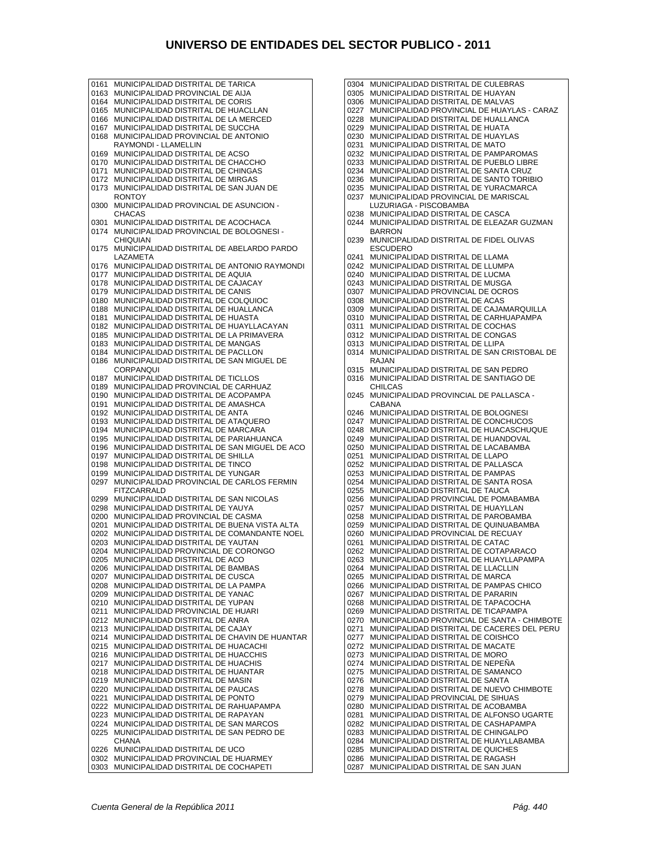0161 MUNICIPALIDAD DISTRITAL DE TARICA 0163 MUNICIPALIDAD PROVINCIAL DE AIJA 0164 MUNICIPALIDAD DISTRITAL DE CORIS 0165 MUNICIPALIDAD DISTRITAL DE HUACLLAN 0166 MUNICIPALIDAD DISTRITAL DE LA MERCED 0167 MUNICIPALIDAD DISTRITAL DE SUCCHA 0168 MUNICIPALIDAD PROVINCIAL DE ANTONIO RAYMONDI - LLAMELLIN 0169 MUNICIPALIDAD DISTRITAL DE ACSO 0170 MUNICIPALIDAD DISTRITAL DE CHACCHO 0171 MUNICIPALIDAD DISTRITAL DE CHINGAS 0172 MUNICIPALIDAD DISTRITAL DE MIRGAS 0173 MUNICIPALIDAD DISTRITAL DE SAN JUAN DE **RONTOY** 0300 MUNICIPALIDAD PROVINCIAL DE ASUNCION - CHACAS 0301 MUNICIPALIDAD DISTRITAL DE ACOCHACA 0174 MUNICIPALIDAD PROVINCIAL DE BOLOGNESI - CHIQUIAN 0175 MUNICIPALIDAD DISTRITAL DE ABELARDO PARDO LAZAMETA 0176 MUNICIPALIDAD DISTRITAL DE ANTONIO RAYMONDI 0177 MUNICIPALIDAD DISTRITAL DE AQUIA 0178 MUNICIPALIDAD DISTRITAL DE CAJACAY 0179 MUNICIPALIDAD DISTRITAL DE CANIS 0180 MUNICIPALIDAD DISTRITAL DE COLQUIOC 0188 MUNICIPALIDAD DISTRITAL DE HUALLANCA 0181 MUNICIPALIDAD DISTRITAL DE HUASTA 0182 MUNICIPALIDAD DISTRITAL DE HUAYLLACAYAN 0185 MUNICIPALIDAD DISTRITAL DE LA PRIMAVERA 0183 MUNICIPALIDAD DISTRITAL DE MANGAS 0184 MUNICIPALIDAD DISTRITAL DE PACLLON 0186 MUNICIPALIDAD DISTRITAL DE SAN MIGUEL DE **CORPANOUL** 0187 MUNICIPALIDAD DISTRITAL DE TICLLOS 0189 MUNICIPALIDAD PROVINCIAL DE CARHUAZ 0190 MUNICIPALIDAD DISTRITAL DE ACOPAMPA 0191 MUNICIPALIDAD DISTRITAL DE AMASHCA 0192 MUNICIPALIDAD DISTRITAL DE ANTA 0193 MUNICIPALIDAD DISTRITAL DE ATAQUERO 0194 MUNICIPALIDAD DISTRITAL DE MARCARA 0195 MUNICIPALIDAD DISTRITAL DE PARIAHUANCA 0196 MUNICIPALIDAD DISTRITAL DE SAN MIGUEL DE ACO 0197 MUNICIPALIDAD DISTRITAL DE SHILLA 0198 MUNICIPALIDAD DISTRITAL DE TINCO 0199 MUNICIPALIDAD DISTRITAL DE YUNGAR<br>0297 MUNICIPALIDAD PROVINCIAL DE CARLO MUNICIPALIDAD PROVINCIAL DE CARLOS FERMIN FITZCARRALD 0299 MUNICIPALIDAD DISTRITAL DE SAN NICOLAS 0298 MUNICIPALIDAD DISTRITAL DE YAUYA 0200 MUNICIPALIDAD PROVINCIAL DE CASMA 0201 MUNICIPALIDAD DISTRITAL DE BUENA VISTA ALTA 0202 MUNICIPALIDAD DISTRITAL DE COMANDANTE NOEL 0203 MUNICIPALIDAD DISTRITAL DE YAUTAN 0204 MUNICIPALIDAD PROVINCIAL DE CORONGO 0205 MUNICIPALIDAD DISTRITAL DE ACO 0206 MUNICIPALIDAD DISTRITAL DE BAMBAS 0207 MUNICIPALIDAD DISTRITAL DE CUSCA 0208 MUNICIPALIDAD DISTRITAL DE LA PAMPA 0209 MUNICIPALIDAD DISTRITAL DE YANAC 0210 MUNICIPALIDAD DISTRITAL DE YUPAN 0211 MUNICIPALIDAD PROVINCIAL DE HUARI 0212 MUNICIPALIDAD DISTRITAL DE ANRA 0213 MUNICIPALIDAD DISTRITAL DE CAJAY 0214 MUNICIPALIDAD DISTRITAL DE CHAVIN DE HUANTAR 0215 MUNICIPALIDAD DISTRITAL DE HUACACHI 0216 MUNICIPALIDAD DISTRITAL DE HUACCHIS 0217 MUNICIPALIDAD DISTRITAL DE HUACHIS 0218 MUNICIPALIDAD DISTRITAL DE HUANTAR 0219 MUNICIPALIDAD DISTRITAL DE MASIN 0220 MUNICIPALIDAD DISTRITAL DE PAUCAS<br>0221 MUNICIPALIDAD DISTRITAL DE PONTO 0221 MUNICIPALIDAD DISTRITAL DE PONTO 0222 MUNICIPALIDAD DISTRITAL DE RAHUAPAMPA 0223 MUNICIPALIDAD DISTRITAL DE RAPAYAN 0224 MUNICIPALIDAD DISTRITAL DE SAN MARCOS 0225 MUNICIPALIDAD DISTRITAL DE SAN PEDRO DE **CHANA** 0226 MUNICIPALIDAD DISTRITAL DE UCO 0302 MUNICIPALIDAD PROVINCIAL DE HUARMEY 0303 MUNICIPALIDAD DISTRITAL DE COCHAPETI

0304 MUNICIPALIDAD DISTRITAL DE CULEBRAS 0305 MUNICIPALIDAD DISTRITAL DE HUAYAN 0306 MUNICIPALIDAD DISTRITAL DE MALVAS 0227 MUNICIPALIDAD PROVINCIAL DE HUAYLAS - CARAZ 0228 MUNICIPALIDAD DISTRITAL DE HUALLANCA 0229 MUNICIPALIDAD DISTRITAL DE HUATA 0230 MUNICIPALIDAD DISTRITAL DE HUAYLAS 0231 MUNICIPALIDAD DISTRITAL DE MATO 0232 MUNICIPALIDAD DISTRITAL DE PAMPAROMAS 0233 MUNICIPALIDAD DISTRITAL DE PUEBLO LIBRE 0234 MUNICIPALIDAD DISTRITAL DE SANTA CRUZ 0236 MUNICIPALIDAD DISTRITAL DE SANTO TORIBIO 0235 MUNICIPALIDAD DISTRITAL DE YURACMARCA 0237 MUNICIPALIDAD PROVINCIAL DE MARISCAL LUZURIAGA - PISCOBAMBA 0238 MUNICIPALIDAD DISTRITAL DE CASCA 0244 MUNICIPALIDAD DISTRITAL DE ELEAZAR GUZMAN BARRON 0239 MUNICIPALIDAD DISTRITAL DE FIDEL OLIVAS ESCUDERO 0241 MUNICIPALIDAD DISTRITAL DE LLAMA 0242 MUNICIPALIDAD DISTRITAL DE LLUMPA 0240 MUNICIPALIDAD DISTRITAL DE LUCMA 0243 MUNICIPALIDAD DISTRITAL DE MUSGA 0307 MUNICIPALIDAD PROVINCIAL DE OCROS 0308 MUNICIPALIDAD DISTRITAL DE ACAS 0309 MUNICIPALIDAD DISTRITAL DE CAJAMARQUILLA 0310 MUNICIPALIDAD DISTRITAL DE CARHUAPAMPA 0311 MUNICIPALIDAD DISTRITAL DE COCHAS 0312 MUNICIPALIDAD DISTRITAL DE CONGAS 0313 MUNICIPALIDAD DISTRITAL DE LLIPA 0314 MUNICIPALIDAD DISTRITAL DE SAN CRISTOBAL DE RAJAN 0315 MUNICIPALIDAD DISTRITAL DE SAN PEDRO 0316 MUNICIPALIDAD DISTRITAL DE SANTIAGO DE CHILCAS 0245 MUNICIPALIDAD PROVINCIAL DE PALLASCA - CABANA 0246 MUNICIPALIDAD DISTRITAL DE BOLOGNESI 0247 MUNICIPALIDAD DISTRITAL DE CONCHUCOS 0248 MUNICIPALIDAD DISTRITAL DE HUACASCHUQUE 0249 MUNICIPALIDAD DISTRITAL DE HUANDOVAL 0250 MUNICIPALIDAD DISTRITAL DE LACABAMBA 0251 MUNICIPALIDAD DISTRITAL DE LLAPO 0252 MUNICIPALIDAD DISTRITAL DE PALLASCA 0253 MUNICIPALIDAD DISTRITAL DE PAMPAS 0254 MUNICIPALIDAD DISTRITAL DE SANTA ROSA 0255 MUNICIPALIDAD DISTRITAL DE TAUCA 0256 MUNICIPALIDAD PROVINCIAL DE POMABAMBA 0257 MUNICIPALIDAD DISTRITAL DE HUAYLLAN 0258 MUNICIPALIDAD DISTRITAL DE PAROBAMBA 0259 MUNICIPALIDAD DISTRITAL DE QUINUABAMBA 0260 MUNICIPALIDAD PROVINCIAL DE RECUAY 0261 MUNICIPALIDAD DISTRITAL DE CATAC 0262 MUNICIPALIDAD DISTRITAL DE COTAPARACO 0263 MUNICIPALIDAD DISTRITAL DE HUAYLLAPAMPA 0264 MUNICIPALIDAD DISTRITAL DE LLACLLIN 0265 MUNICIPALIDAD DISTRITAL DE MARCA 0266 MUNICIPALIDAD DISTRITAL DE PAMPAS CHICO 0267 MUNICIPALIDAD DISTRITAL DE PARARIN 0268 MUNICIPALIDAD DISTRITAL DE TAPACOCHA 0269 MUNICIPALIDAD DISTRITAL DE TICAPAMPA 0270 MUNICIPALIDAD PROVINCIAL DE SANTA - CHIMBOTE 0271 MUNICIPALIDAD DISTRITAL DE CACERES DEL PERU 0277 MUNICIPALIDAD DISTRITAL DE COISHCO 0272 MUNICIPALIDAD DISTRITAL DE MACATE 0273 MUNICIPALIDAD DISTRITAL DE MORO 0274 MUNICIPALIDAD DISTRITAL DE NEPEÑA 0275 MUNICIPALIDAD DISTRITAL DE SAMANCO 0276 MUNICIPALIDAD DISTRITAL DE SANTA 0278 MUNICIPALIDAD DISTRITAL DE NUEVO CHIMBOTE 0279 MUNICIPALIDAD PROVINCIAL DE SIHUAS 0280 MUNICIPALIDAD DISTRITAL DE ACOBAMBA 0281 MUNICIPALIDAD DISTRITAL DE ALFONSO UGARTE 0282 MUNICIPALIDAD DISTRITAL DE CASHAPAMPA 0283 MUNICIPALIDAD DISTRITAL DE CHINGALPO 0284 MUNICIPALIDAD DISTRITAL DE HUAYLLABAMBA 0285 MUNICIPALIDAD DISTRITAL DE QUICHES 0286 MUNICIPALIDAD DISTRITAL DE RAGASH 0287 MUNICIPALIDAD DISTRITAL DE SAN JUAN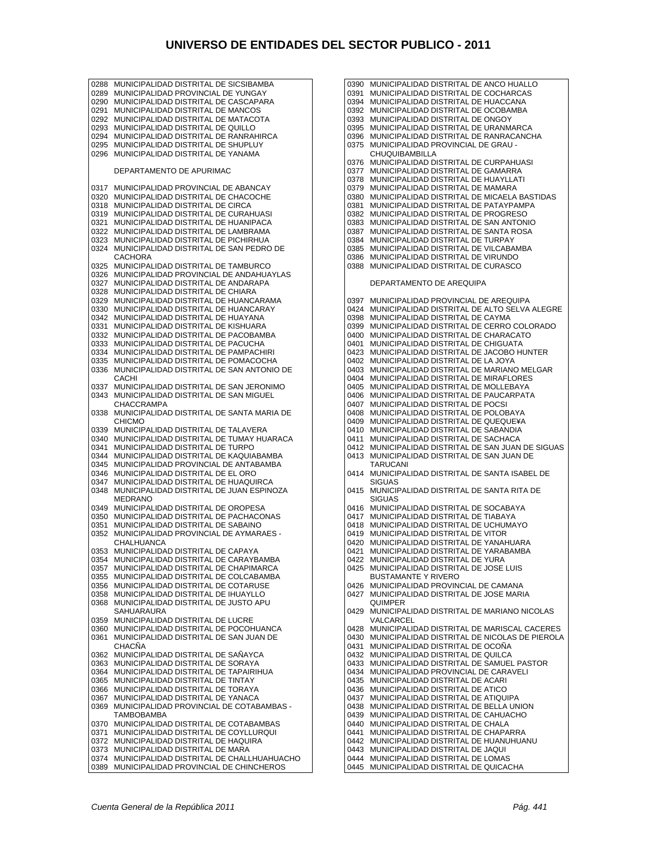0288 MUNICIPALIDAD DISTRITAL DE SICSIBAMBA 0289 MUNICIPALIDAD PROVINCIAL DE YUNGAY 0290 MUNICIPALIDAD DISTRITAL DE CASCAPARA 0291 MUNICIPALIDAD DISTRITAL DE MANCOS 0292 MUNICIPALIDAD DISTRITAL DE MATACOTA 0293 MUNICIPALIDAD DISTRITAL DE QUILLO 0294 MUNICIPALIDAD DISTRITAL DE RANRAHIRCA 0295 MUNICIPALIDAD DISTRITAL DE SHUPLUY 0296 MUNICIPALIDAD DISTRITAL DE YANAMA DEPARTAMENTO DE APURIMAC 0317 MUNICIPALIDAD PROVINCIAL DE ABANCAY 0320 MUNICIPALIDAD DISTRITAL DE CHACOCHE 0318 MUNICIPALIDAD DISTRITAL DE CIRCA 0319 MUNICIPALIDAD DISTRITAL DE CURAHUASI 0321 MUNICIPALIDAD DISTRITAL DE HUANIPACA 0322 MUNICIPALIDAD DISTRITAL DE LAMBRAMA 0323 MUNICIPALIDAD DISTRITAL DE PICHIRHUA 0324 MUNICIPALIDAD DISTRITAL DE SAN PEDRO DE **CACHORA** 0325 MUNICIPALIDAD DISTRITAL DE TAMBURCO 0326 MUNICIPALIDAD PROVINCIAL DE ANDAHUAYLAS 0327 MUNICIPALIDAD DISTRITAL DE ANDARAPA 0328 MUNICIPALIDAD DISTRITAL DE CHIARA 0329 MUNICIPALIDAD DISTRITAL DE HUANCARAMA 0330 MUNICIPALIDAD DISTRITAL DE HUANCARAY 0342 MUNICIPALIDAD DISTRITAL DE HUAYANA 0331 MUNICIPALIDAD DISTRITAL DE KISHUARA 0332 MUNICIPALIDAD DISTRITAL DE PACOBAMBA 0333 MUNICIPALIDAD DISTRITAL DE PACUCHA 0334 MUNICIPALIDAD DISTRITAL DE PAMPACHIRI 0335 MUNICIPALIDAD DISTRITAL DE POMACOCHA 0336 MUNICIPALIDAD DISTRITAL DE SAN ANTONIO DE CACHI 0337 MUNICIPALIDAD DISTRITAL DE SAN JERONIMO 0343 MUNICIPALIDAD DISTRITAL DE SAN MIGUEL CHACCRAMPA 0338 MUNICIPALIDAD DISTRITAL DE SANTA MARIA DE CHICMO 0339 MUNICIPALIDAD DISTRITAL DE TALAVERA 0340 MUNICIPALIDAD DISTRITAL DE TUMAY HUARACA 0341 MUNICIPALIDAD DISTRITAL DE TURPO 0344 MUNICIPALIDAD DISTRITAL DE KAQUIABAMBA 0345 MUNICIPALIDAD PROVINCIAL DE ANTABAMBA 0346 MUNICIPALIDAD DISTRITAL DE EL ORO 0347 MUNICIPALIDAD DISTRITAL DE HUAQUIRCA 0348 MUNICIPALIDAD DISTRITAL DE JUAN ESPINOZA MEDRANO 0349 MUNICIPALIDAD DISTRITAL DE OROPESA 0350 MUNICIPALIDAD DISTRITAL DE PACHACONAS 0351 MUNICIPALIDAD DISTRITAL DE SABAINO 0352 MUNICIPALIDAD PROVINCIAL DE AYMARAES - CHALHUANCA 0353 MUNICIPALIDAD DISTRITAL DE CAPAYA 0354 MUNICIPALIDAD DISTRITAL DE CARAYBAMBA 0357 MUNICIPALIDAD DISTRITAL DE CHAPIMARCA 0355 MUNICIPALIDAD DISTRITAL DE COLCABAMBA 0356 MUNICIPALIDAD DISTRITAL DE COTARUSE 0358 MUNICIPALIDAD DISTRITAL DE IHUAYLLO 0368 MUNICIPALIDAD DISTRITAL DE JUSTO APU SAHUARAURA 0359 MUNICIPALIDAD DISTRITAL DE LUCRE 0360 MUNICIPALIDAD DISTRITAL DE POCOHUANCA<br>0361 MUNICIPALIDAD DISTRITAL DE SAN JUAN DE 0361 MUNICIPALIDAD DISTRITAL DE SAN JUAN DE **CHACÑA** 0362 MUNICIPALIDAD DISTRITAL DE SAÑAYCA 0363 MUNICIPALIDAD DISTRITAL DE SORAYA 0364 MUNICIPALIDAD DISTRITAL DE TAPAIRIHUA 0365 MUNICIPALIDAD DISTRITAL DE TINTAY 0366 MUNICIPALIDAD DISTRITAL DE TORAYA<br>0367 MUNICIPALIDAD DISTRITAL DE YANAÇA 0367 MUNICIPALIDAD DISTRITAL DE YANACA 0369 MUNICIPALIDAD PROVINCIAL DE COTABAMBAS - **TAMBOBAMBA** 0370 MUNICIPALIDAD DISTRITAL DE COTABAMBAS 0371 MUNICIPALIDAD DISTRITAL DE COYLLURQUI 0372 MUNICIPALIDAD DISTRITAL DE HAQUIRA 0373 MUNICIPALIDAD DISTRITAL DE MARA 0374 MUNICIPALIDAD DISTRITAL DE CHALLHUAHUACHO 0389 MUNICIPALIDAD PROVINCIAL DE CHINCHEROS

0390 MUNICIPALIDAD DISTRITAL DE ANCO HUALLO 0391 MUNICIPALIDAD DISTRITAL DE COCHARCAS 0394 MUNICIPALIDAD DISTRITAL DE HUACCANA 0392 MUNICIPALIDAD DISTRITAL DE OCOBAMBA 0393 MUNICIPALIDAD DISTRITAL DE ONGOY 0395 MUNICIPALIDAD DISTRITAL DE URANMARCA 0396 MUNICIPALIDAD DISTRITAL DE RANRACANCHA 0375 MUNICIPALIDAD PROVINCIAL DE GRAU - CHUQUIBAMBILLA 0376 MUNICIPALIDAD DISTRITAL DE CURPAHUASI 0377 MUNICIPALIDAD DISTRITAL DE GAMARRA 0378 MUNICIPALIDAD DISTRITAL DE HUAYLLATI 0379 MUNICIPALIDAD DISTRITAL DE MAMARA 0380 MUNICIPALIDAD DISTRITAL DE MICAELA BASTIDAS 0381 MUNICIPALIDAD DISTRITAL DE PATAYPAMPA 0382 MUNICIPALIDAD DISTRITAL DE PROGRESO 0383 MUNICIPALIDAD DISTRITAL DE SAN ANTONIO 0387 MUNICIPALIDAD DISTRITAL DE SANTA ROSA 0384 MUNICIPALIDAD DISTRITAL DE TURPAY 0385 MUNICIPALIDAD DISTRITAL DE VILCABAMBA 0386 MUNICIPALIDAD DISTRITAL DE VIRUNDO 0388 MUNICIPALIDAD DISTRITAL DE CURASCO DEPARTAMENTO DE AREQUIPA 0397 MUNICIPALIDAD PROVINCIAL DE AREQUIPA 0424 MUNICIPALIDAD DISTRITAL DE ALTO SELVA ALEGRE 0398 MUNICIPALIDAD DISTRITAL DE CAYMA 0399 MUNICIPALIDAD DISTRITAL DE CERRO COLORADO 0400 MUNICIPALIDAD DISTRITAL DE CHARACATO 0401 MUNICIPALIDAD DISTRITAL DE CHIGUATA 0423 MUNICIPALIDAD DISTRITAL DE JACOBO HUNTER 0402 MUNICIPALIDAD DISTRITAL DE LA JOYA 0403 MUNICIPALIDAD DISTRITAL DE MARIANO MELGAR 0404 MUNICIPALIDAD DISTRITAL DE MIRAFLORES 0405 MUNICIPALIDAD DISTRITAL DE MOLLEBAYA 0406 MUNICIPALIDAD DISTRITAL DE PAUCARPATA 0407 MUNICIPALIDAD DISTRITAL DE POCSI 0408 MUNICIPALIDAD DISTRITAL DE POLOBAYA 0409 MUNICIPALIDAD DISTRITAL DE QUEQUE¥A 0410 MUNICIPALIDAD DISTRITAL DE SABANDIA 0411 MUNICIPALIDAD DISTRITAL DE SACHACA 0412 MUNICIPALIDAD DISTRITAL DE SAN JUAN DE SIGUAS 0413 MUNICIPALIDAD DISTRITAL DE SAN JUAN DE TARUCANI 0414 MUNICIPALIDAD DISTRITAL DE SANTA ISABEL DE **SIGUAS** 0415 MUNICIPALIDAD DISTRITAL DE SANTA RITA DE SIGUAS 0416 MUNICIPALIDAD DISTRITAL DE SOCABAYA 0417 MUNICIPALIDAD DISTRITAL DE TIABAYA 0418 MUNICIPALIDAD DISTRITAL DE UCHUMAYO 0419 MUNICIPALIDAD DISTRITAL DE VITOR 0420 MUNICIPALIDAD DISTRITAL DE YANAHUARA 0421 MUNICIPALIDAD DISTRITAL DE YARABAMBA 0422 MUNICIPALIDAD DISTRITAL DE YURA 0425 MUNICIPALIDAD DISTRITAL DE JOSE LUIS BUSTAMANTE Y RIVERO 0426 MUNICIPALIDAD PROVINCIAL DE CAMANA 0427 MUNICIPALIDAD DISTRITAL DE JOSE MARIA QUIMPER 0429 MUNICIPALIDAD DISTRITAL DE MARIANO NICOLAS VALCARCEL 0428 MUNICIPALIDAD DISTRITAL DE MARISCAL CACERES 0430 MUNICIPALIDAD DISTRITAL DE NICOLAS DE PIEROLA 0431 MUNICIPALIDAD DISTRITAL DE OCOÑA 0432 MUNICIPALIDAD DISTRITAL DE QUILCA 0433 MUNICIPALIDAD DISTRITAL DE SAMUEL PASTOR 0434 MUNICIPALIDAD PROVINCIAL DE CARAVELI 0435 MUNICIPALIDAD DISTRITAL DE ACARI 0436 MUNICIPALIDAD DISTRITAL DE ATICO 0437 MUNICIPALIDAD DISTRITAL DE ATIQUIPA 0438 MUNICIPALIDAD DISTRITAL DE BELLA UNION 0439 MUNICIPALIDAD DISTRITAL DE CAHUACHO 0440 MUNICIPALIDAD DISTRITAL DE CHALA 0441 MUNICIPALIDAD DISTRITAL DE CHAPARRA 0442 MUNICIPALIDAD DISTRITAL DE HUANUHUANU 0443 MUNICIPALIDAD DISTRITAL DE JAQUI

- 0444 MUNICIPALIDAD DISTRITAL DE LOMAS
- 0445 MUNICIPALIDAD DISTRITAL DE QUICACHA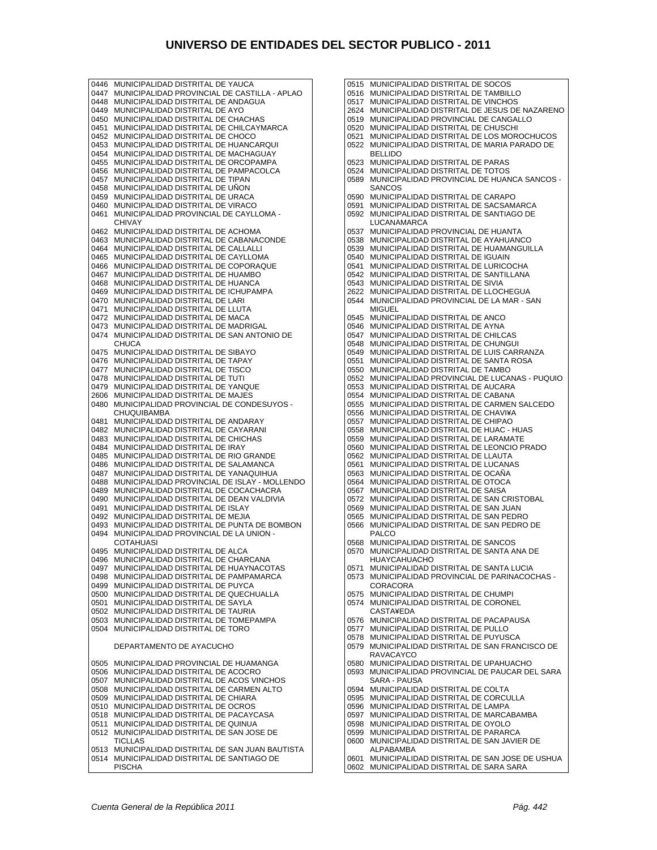0446 MUNICIPALIDAD DISTRITAL DE YAUCA 0447 MUNICIPALIDAD PROVINCIAL DE CASTILLA - APLAO 0448 MUNICIPALIDAD DISTRITAL DE ANDAGUA 0449 MUNICIPALIDAD DISTRITAL DE AYO 0450 MUNICIPALIDAD DISTRITAL DE CHACHAS 0451 MUNICIPALIDAD DISTRITAL DE CHILCAYMARCA 0452 MUNICIPALIDAD DISTRITAL DE CHOCO 0453 MUNICIPALIDAD DISTRITAL DE HUANCARQUI 0454 MUNICIPALIDAD DISTRITAL DE MACHAGUAY 0455 MUNICIPALIDAD DISTRITAL DE ORCOPAMPA 0456 MUNICIPALIDAD DISTRITAL DE PAMPACOLCA 0457 MUNICIPALIDAD DISTRITAL DE TIPAN 0458 MUNICIPALIDAD DISTRITAL DE UÑON 0459 MUNICIPALIDAD DISTRITAL DE URACA 0460 MUNICIPALIDAD DISTRITAL DE VIRACO 0461 MUNICIPALIDAD PROVINCIAL DE CAYLLOMA - CHIVAY 0462 MUNICIPALIDAD DISTRITAL DE ACHOMA 0463 MUNICIPALIDAD DISTRITAL DE CABANACONDE 0464 MUNICIPALIDAD DISTRITAL DE CALLALLI 0465 MUNICIPALIDAD DISTRITAL DE CAYLLOMA 0466 MUNICIPALIDAD DISTRITAL DE COPORAQUE 0467 MUNICIPALIDAD DISTRITAL DE HUAMBO 0468 MUNICIPALIDAD DISTRITAL DE HUANCA 0469 MUNICIPALIDAD DISTRITAL DE ICHUPAMPA 0470 MUNICIPALIDAD DISTRITAL DE LARI 0471 MUNICIPALIDAD DISTRITAL DE LLUTA 0472 MUNICIPALIDAD DISTRITAL DE MACA 0473 MUNICIPALIDAD DISTRITAL DE MADRIGAL 0474 MUNICIPALIDAD DISTRITAL DE SAN ANTONIO DE **CHUCA** 0475 MUNICIPALIDAD DISTRITAL DE SIBAYO 0476 MUNICIPALIDAD DISTRITAL DE TAPAY 0477 MUNICIPALIDAD DISTRITAL DE TISCO 0478 MUNICIPALIDAD DISTRITAL DE TUTI 0479 MUNICIPALIDAD DISTRITAL DE YANQUE 2606 MUNICIPALIDAD DISTRITAL DE MAJES 0480 MUNICIPALIDAD PROVINCIAL DE CONDESUYOS - **CHUQUIBAMBA** 0481 MUNICIPALIDAD DISTRITAL DE ANDARAY 0482 MUNICIPALIDAD DISTRITAL DE CAYARANI 0483 MUNICIPALIDAD DISTRITAL DE CHICHAS 0484 MUNICIPALIDAD DISTRITAL DE IRAY 0485 MUNICIPALIDAD DISTRITAL DE RIO GRANDE 0486 MUNICIPALIDAD DISTRITAL DE SALAMANCA 0487 MUNICIPALIDAD DISTRITAL DE YANAQUIHUA 0488 MUNICIPALIDAD PROVINCIAL DE ISLAY - MOLLENDO 0489 MUNICIPALIDAD DISTRITAL DE COCACHACRA 0490 MUNICIPALIDAD DISTRITAL DE DEAN VALDIVIA 0491 MUNICIPALIDAD DISTRITAL DE ISLAY 0492 MUNICIPALIDAD DISTRITAL DE MEJIA 0493 MUNICIPALIDAD DISTRITAL DE PUNTA DE BOMBON 0494 MUNICIPALIDAD PROVINCIAL DE LA UNION - **COTAHUASI** 0495 MUNICIPALIDAD DISTRITAL DE ALCA 0496 MUNICIPALIDAD DISTRITAL DE CHARCANA 0497 MUNICIPALIDAD DISTRITAL DE HUAYNACOTAS 0498 MUNICIPALIDAD DISTRITAL DE PAMPAMARCA 0499 MUNICIPALIDAD DISTRITAL DE PUYCA 0500 MUNICIPALIDAD DISTRITAL DE QUECHUALLA 0501 MUNICIPALIDAD DISTRITAL DE SAYLA 0502 MUNICIPALIDAD DISTRITAL DE TAURIA 0503 MUNICIPALIDAD DISTRITAL DE TOMEPAMPA 0504 MUNICIPALIDAD DISTRITAL DE TORO DEPARTAMENTO DE AYACUCHO 0505 MUNICIPALIDAD PROVINCIAL DE HUAMANGA 0506 MUNICIPALIDAD DISTRITAL DE ACOCRO 0507 MUNICIPALIDAD DISTRITAL DE ACOS VINCHOS 0508 MUNICIPALIDAD DISTRITAL DE CARMEN ALTO 0509 MUNICIPALIDAD DISTRITAL DE CHIARA 0510 MUNICIPALIDAD DISTRITAL DE OCROS 0518 MUNICIPALIDAD DISTRITAL DE PACAYCASA 0511 MUNICIPALIDAD DISTRITAL DE QUINUA 0512 MUNICIPALIDAD DISTRITAL DE SAN JOSE DE TICLLAS 0513 MUNICIPALIDAD DISTRITAL DE SAN JUAN BAUTISTA 0514 MUNICIPALIDAD DISTRITAL DE SANTIAGO DE PISCHA

0515 MUNICIPALIDAD DISTRITAL DE SOCOS 0516 MUNICIPALIDAD DISTRITAL DE TAMBILLO 0517 MUNICIPALIDAD DISTRITAL DE VINCHOS 2624 MUNICIPALIDAD DISTRITAL DE JESUS DE NAZARENO 0519 MUNICIPALIDAD PROVINCIAL DE CANGALLO 0520 MUNICIPALIDAD DISTRITAL DE CHUSCHI 0521 MUNICIPALIDAD DISTRITAL DE LOS MOROCHUCOS 0522 MUNICIPALIDAD DISTRITAL DE MARIA PARADO DE BELLIDO 0523 MUNICIPALIDAD DISTRITAL DE PARAS 0524 MUNICIPALIDAD DISTRITAL DE TOTOS 0589 MUNICIPALIDAD PROVINCIAL DE HUANCA SANCOS - **SANCOS** 0590 MUNICIPALIDAD DISTRITAL DE CARAPO 0591 MUNICIPALIDAD DISTRITAL DE SACSAMARCA 0592 MUNICIPALIDAD DISTRITAL DE SANTIAGO DE **LUCANAMARCA** 0537 MUNICIPALIDAD PROVINCIAL DE HUANTA 0538 MUNICIPALIDAD DISTRITAL DE AYAHUANCO 0539 MUNICIPALIDAD DISTRITAL DE HUAMANGUILLA 0540 MUNICIPALIDAD DISTRITAL DE IGUAIN 0541 MUNICIPALIDAD DISTRITAL DE LURICOCHA 0542 MUNICIPALIDAD DISTRITAL DE SANTILLANA 0543 MUNICIPALIDAD DISTRITAL DE SIVIA 2622 MUNICIPALIDAD DISTRITAL DE LLOCHEGUA 0544 MUNICIPALIDAD PROVINCIAL DE LA MAR - SAN MIGUEL 0545 MUNICIPALIDAD DISTRITAL DE ANCO 0546 MUNICIPALIDAD DISTRITAL DE AYNA 0547 MUNICIPALIDAD DISTRITAL DE CHILCAS 0548 MUNICIPALIDAD DISTRITAL DE CHUNGUI 0549 MUNICIPALIDAD DISTRITAL DE LUIS CARRANZA 0551 MUNICIPALIDAD DISTRITAL DE SANTA ROSA 0550 MUNICIPALIDAD DISTRITAL DE TAMBO 0552 MUNICIPALIDAD PROVINCIAL DE LUCANAS - PUQUIO 0553 MUNICIPALIDAD DISTRITAL DE AUCARA 0554 MUNICIPALIDAD DISTRITAL DE CABANA 0555 MUNICIPALIDAD DISTRITAL DE CARMEN SALCEDO 0556 MUNICIPALIDAD DISTRITAL DE CHAVI¥A 0557 MUNICIPALIDAD DISTRITAL DE CHIPAO 0558 MUNICIPALIDAD DISTRITAL DE HUAC - HUAS 0559 MUNICIPALIDAD DISTRITAL DE LARAMATE 0560 MUNICIPALIDAD DISTRITAL DE LEONCIO PRADO 0562 MUNICIPALIDAD DISTRITAL DE LLAUTA 0561 MUNICIPALIDAD DISTRITAL DE LUCANAS 0563 MUNICIPALIDAD DISTRITAL DE OCAÑA 0564 MUNICIPALIDAD DISTRITAL DE OTOCA 0567 MUNICIPALIDAD DISTRITAL DE SAISA 0572 MUNICIPALIDAD DISTRITAL DE SAN CRISTOBAL 0569 MUNICIPALIDAD DISTRITAL DE SAN JUAN 0565 MUNICIPALIDAD DISTRITAL DE SAN PEDRO 0566 MUNICIPALIDAD DISTRITAL DE SAN PEDRO DE PALCO 0568 MUNICIPALIDAD DISTRITAL DE SANCOS 0570 MUNICIPALIDAD DISTRITAL DE SANTA ANA DE HUAYCAHUACHO 0571 MUNICIPALIDAD DISTRITAL DE SANTA LUCIA 0573 MUNICIPALIDAD PROVINCIAL DE PARINACOCHAS - CORACORA 0575 MUNICIPALIDAD DISTRITAL DE CHUMPI 0574 MUNICIPALIDAD DISTRITAL DE CORONEL CASTA¥EDA 0576 MUNICIPALIDAD DISTRITAL DE PACAPAUSA 0577 MUNICIPALIDAD DISTRITAL DE PULLO 0578 MUNICIPALIDAD DISTRITAL DE PUYUSCA 0579 MUNICIPALIDAD DISTRITAL DE SAN FRANCISCO DE RAVACAYCO 0580 MUNICIPALIDAD DISTRITAL DE UPAHUACHO 0593 MUNICIPALIDAD PROVINCIAL DE PAUCAR DEL SARA SARA - PAUSA 0594 MUNICIPALIDAD DISTRITAL DE COLTA 0595 MUNICIPALIDAD DISTRITAL DE CORCULLA 0596 MUNICIPALIDAD DISTRITAL DE LAMPA 0597 MUNICIPALIDAD DISTRITAL DE MARCABAMBA 0598 MUNICIPALIDAD DISTRITAL DE OYOLO 0599 MUNICIPALIDAD DISTRITAL DE PARARCA 0600 MUNICIPALIDAD DISTRITAL DE SAN JAVIER DE **ALPABAMBA** 

0602 MUNICIPALIDAD DISTRITAL DE SARA SARA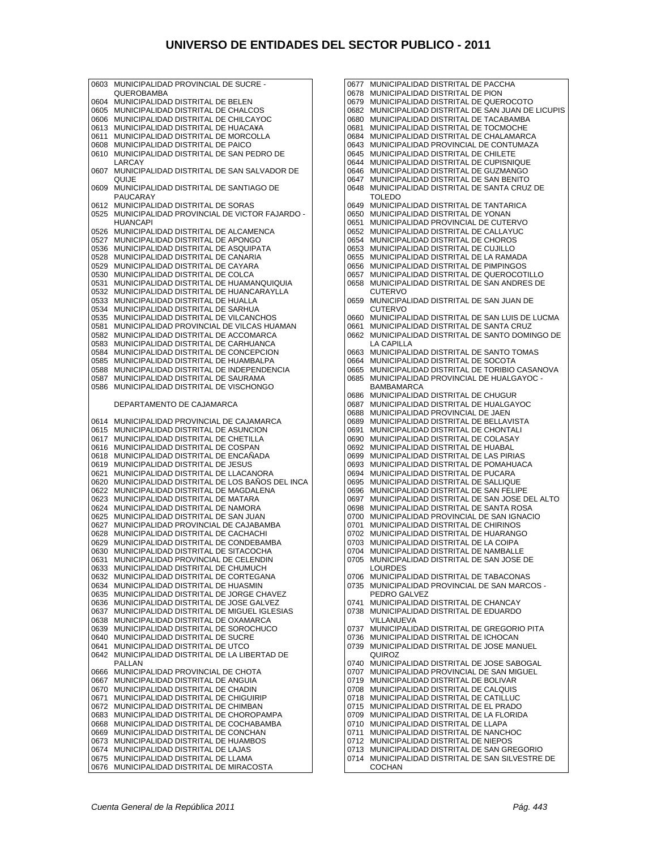0603 MUNICIPALIDAD PROVINCIAL DE SUCRE - QUEROBAMBA 0604 MUNICIPALIDAD DISTRITAL DE BELEN 0605 MUNICIPALIDAD DISTRITAL DE CHALCOS 0606 MUNICIPALIDAD DISTRITAL DE CHILCAYOC 0613 MUNICIPALIDAD DISTRITAL DE HUACA¥A 0611 MUNICIPALIDAD DISTRITAL DE MORCOLLA 0608 MUNICIPALIDAD DISTRITAL DE PAICO<br>0610 MUNICIPALIDAD DISTRITAL DE SAN PI 0610 MUNICIPALIDAD DISTRITAL DE SAN PEDRO DE LARCAY 0607 MUNICIPALIDAD DISTRITAL DE SAN SALVADOR DE QUIJE 0609 MUNICIPALIDAD DISTRITAL DE SANTIAGO DE PAUCARAY 0612 MUNICIPALIDAD DISTRITAL DE SORAS 0525 MUNICIPALIDAD PROVINCIAL DE VICTOR FAJARDO - HUANCAPI 0526 MUNICIPALIDAD DISTRITAL DE ALCAMENCA 0527 MUNICIPALIDAD DISTRITAL DE APONGO 0536 MUNICIPALIDAD DISTRITAL DE ASQUIPATA 0528 MUNICIPALIDAD DISTRITAL DE CANARIA 0529 MUNICIPALIDAD DISTRITAL DE CAYARA 0530 MUNICIPALIDAD DISTRITAL DE COLCA 0531 MUNICIPALIDAD DISTRITAL DE HUAMANQUIQUIA 0532 MUNICIPALIDAD DISTRITAL DE HUANCARAYLLA 0533 MUNICIPALIDAD DISTRITAL DE HUALLA 0534 MUNICIPALIDAD DISTRITAL DE SARHUA 0535 MUNICIPALIDAD DISTRITAL DE VILCANCHOS 0581 MUNICIPALIDAD PROVINCIAL DE VILCAS HUAMAN 0582 MUNICIPALIDAD DISTRITAL DE ACCOMARCA 0583 MUNICIPALIDAD DISTRITAL DE CARHUANCA 0584 MUNICIPALIDAD DISTRITAL DE CONCEPCION 0585 MUNICIPALIDAD DISTRITAL DE HUAMBALPA 0588 MUNICIPALIDAD DISTRITAL DE INDEPENDENCIA 0587 MUNICIPALIDAD DISTRITAL DE SAURAMA 0586 MUNICIPALIDAD DISTRITAL DE VISCHONGO DEPARTAMENTO DE CAJAMARCA 0614 MUNICIPALIDAD PROVINCIAL DE CAJAMARCA 0615 MUNICIPALIDAD DISTRITAL DE ASUNCION 0617 MUNICIPALIDAD DISTRITAL DE CHETILLA 0616 MUNICIPALIDAD DISTRITAL DE COSPAN 0618 MUNICIPALIDAD DISTRITAL DE ENCAÑADA 0619 MUNICIPALIDAD DISTRITAL DE JESUS 0621 MUNICIPALIDAD DISTRITAL DE LLACANORA 0620 MUNICIPALIDAD DISTRITAL DE LOS BAÑOS DEL INCA 0622 MUNICIPALIDAD DISTRITAL DE MAGDALENA 0623 MUNICIPALIDAD DISTRITAL DE MATARA 0624 MUNICIPALIDAD DISTRITAL DE NAMORA 0625 MUNICIPALIDAD DISTRITAL DE SAN JUAN 0627 MUNICIPALIDAD PROVINCIAL DE CAJABAMBA 0628 MUNICIPALIDAD DISTRITAL DE CACHACHI 0629 MUNICIPALIDAD DISTRITAL DE CONDEBAMBA 0630 MUNICIPALIDAD DISTRITAL DE SITACOCHA 0631 MUNICIPALIDAD PROVINCIAL DE CELENDIN 0633 MUNICIPALIDAD DISTRITAL DE CHUMUCH 0632 MUNICIPALIDAD DISTRITAL DE CORTEGANA 0634 MUNICIPALIDAD DISTRITAL DE HUASMIN 0635 MUNICIPALIDAD DISTRITAL DE JORGE CHAVEZ 0636 MUNICIPALIDAD DISTRITAL DE JOSE GALVEZ 0637 MUNICIPALIDAD DISTRITAL DE MIGUEL IGLESIAS 0638 MUNICIPALIDAD DISTRITAL DE OXAMARCA 0639 MUNICIPALIDAD DISTRITAL DE SOROCHUCO 0640 MUNICIPALIDAD DISTRITAL DE SUCRE 0641 MUNICIPALIDAD DISTRITAL DE UTCO 0642 MUNICIPALIDAD DISTRITAL DE LA LIBERTAD DE PALLAN 0666 MUNICIPALIDAD PROVINCIAL DE CHOTA 0667 MUNICIPALIDAD DISTRITAL DE ANGUIA 0670 MUNICIPALIDAD DISTRITAL DE CHADIN 0671 MUNICIPALIDAD DISTRITAL DE CHIGUIRIP 0672 MUNICIPALIDAD DISTRITAL DE CHIMBAN 0683 MUNICIPALIDAD DISTRITAL DE CHOROPAMPA 0668 MUNICIPALIDAD DISTRITAL DE COCHABAMBA 0669 MUNICIPALIDAD DISTRITAL DE CONCHAN 0673 MUNICIPALIDAD DISTRITAL DE HUAMBOS 0674 MUNICIPALIDAD DISTRITAL DE LAJAS 0675 MUNICIPALIDAD DISTRITAL DE LLAMA 0676 MUNICIPALIDAD DISTRITAL DE MIRACOSTA

0677 MUNICIPALIDAD DISTRITAL DE PACCHA 0678 MUNICIPALIDAD DISTRITAL DE PION 0679 MUNICIPALIDAD DISTRITAL DE QUEROCOTO 0682 MUNICIPALIDAD DISTRITAL DE SAN JUAN DE LICUPIS 0680 MUNICIPALIDAD DISTRITAL DE TACABAMBA 0681 MUNICIPALIDAD DISTRITAL DE TOCMOCHE 0684 MUNICIPALIDAD DISTRITAL DE CHALAMARCA 0643 MUNICIPALIDAD PROVINCIAL DE CONTUMAZA 0645 MUNICIPALIDAD DISTRITAL DE CHILETE 0644 MUNICIPALIDAD DISTRITAL DE CUPISNIQUE 0646 MUNICIPALIDAD DISTRITAL DE GUZMANGO 0647 MUNICIPALIDAD DISTRITAL DE SAN BENITO 0648 MUNICIPALIDAD DISTRITAL DE SANTA CRUZ DE TOLEDO 0649 MUNICIPALIDAD DISTRITAL DE TANTARICA 0650 MUNICIPALIDAD DISTRITAL DE YONAN 0651 MUNICIPALIDAD PROVINCIAL DE CUTERVO 0652 MUNICIPALIDAD DISTRITAL DE CALLAYUC 0654 MUNICIPALIDAD DISTRITAL DE CHOROS 0653 MUNICIPALIDAD DISTRITAL DE CUJILLO 0655 MUNICIPALIDAD DISTRITAL DE LA RAMADA 0656 MUNICIPALIDAD DISTRITAL DE PIMPINGOS 0657 MUNICIPALIDAD DISTRITAL DE QUEROCOTILLO 0658 MUNICIPALIDAD DISTRITAL DE SAN ANDRES DE CUTERVO 0659 MUNICIPALIDAD DISTRITAL DE SAN JUAN DE CUTERVO 0660 MUNICIPALIDAD DISTRITAL DE SAN LUIS DE LUCMA 0661 MUNICIPALIDAD DISTRITAL DE SANTA CRUZ 0662 MUNICIPALIDAD DISTRITAL DE SANTO DOMINGO DE LA CAPILLA 0663 MUNICIPALIDAD DISTRITAL DE SANTO TOMAS 0664 MUNICIPALIDAD DISTRITAL DE SOCOTA 0665 MUNICIPALIDAD DISTRITAL DE TORIBIO CASANOVA 0685 MUNICIPALIDAD PROVINCIAL DE HUALGAYOC - **BAMBAMARCA** 0686 MUNICIPALIDAD DISTRITAL DE CHUGUR 0687 MUNICIPALIDAD DISTRITAL DE HUALGAYOC 0688 MUNICIPALIDAD PROVINCIAL DE JAEN 0689 MUNICIPALIDAD DISTRITAL DE BELLAVISTA 0691 MUNICIPALIDAD DISTRITAL DE CHONTALI 0690 MUNICIPALIDAD DISTRITAL DE COLASAY 0692 MUNICIPALIDAD DISTRITAL DE HUABAL 0699 MUNICIPALIDAD DISTRITAL DE LAS PIRIAS 0693 MUNICIPALIDAD DISTRITAL DE POMAHUACA 0694 MUNICIPALIDAD DISTRITAL DE PUCARA 0695 MUNICIPALIDAD DISTRITAL DE SALLIQUE 0696 MUNICIPALIDAD DISTRITAL DE SAN FELIPE 0697 MUNICIPALIDAD DISTRITAL DE SAN JOSE DEL ALTO 0698 MUNICIPALIDAD DISTRITAL DE SANTA ROSA 0700 MUNICIPALIDAD PROVINCIAL DE SAN IGNACIO 0701 MUNICIPALIDAD DISTRITAL DE CHIRINOS 0702 MUNICIPALIDAD DISTRITAL DE HUARANGO 0703 MUNICIPALIDAD DISTRITAL DE LA COIPA 0704 MUNICIPALIDAD DISTRITAL DE NAMBALLE 0705 MUNICIPALIDAD DISTRITAL DE SAN JOSE DE LOURDES 0706 MUNICIPALIDAD DISTRITAL DE TABACONAS 0735 MUNICIPALIDAD PROVINCIAL DE SAN MARCOS - PEDRO GALVEZ 0741 MUNICIPALIDAD DISTRITAL DE CHANCAY 0738 MUNICIPALIDAD DISTRITAL DE EDUARDO VILLANUEVA 0737 MUNICIPALIDAD DISTRITAL DE GREGORIO PITA 0736 MUNICIPALIDAD DISTRITAL DE ICHOCAN 0739 MUNICIPALIDAD DISTRITAL DE JOSE MANUEL QUIROZ 0740 MUNICIPALIDAD DISTRITAL DE JOSE SABOGAL 0707 MUNICIPALIDAD PROVINCIAL DE SAN MIGUEL 0719 MUNICIPALIDAD DISTRITAL DE BOLIVAR 0708 MUNICIPALIDAD DISTRITAL DE CALQUIS 0718 MUNICIPALIDAD DISTRITAL DE CATILLUC 0715 MUNICIPALIDAD DISTRITAL DE EL PRADO 0709 MUNICIPALIDAD DISTRITAL DE LA FLORIDA 0710 MUNICIPALIDAD DISTRITAL DE LLAPA 0711 MUNICIPALIDAD DISTRITAL DE NANCHOC 0712 MUNICIPALIDAD DISTRITAL DE NIEPOS 0713 MUNICIPALIDAD DISTRITAL DE SAN GREGORIO

COCHAN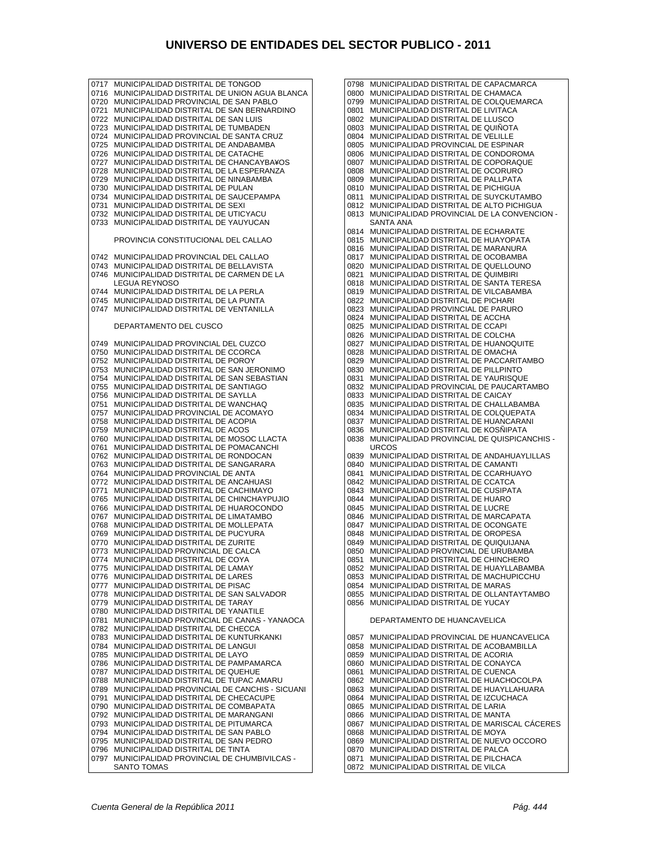0717 MUNICIPALIDAD DISTRITAL DE TONGOD 0716 MUNICIPALIDAD DISTRITAL DE UNION AGUA BLANCA 0720 MUNICIPALIDAD PROVINCIAL DE SAN PABLO 0721 MUNICIPALIDAD DISTRITAL DE SAN BERNARDINO 0722 MUNICIPALIDAD DISTRITAL DE SAN LUIS 0723 MUNICIPALIDAD DISTRITAL DE TUMBADEN 0724 MUNICIPALIDAD PROVINCIAL DE SANTA CRUZ 0725 MUNICIPALIDAD DISTRITAL DE ANDABAMBA 0726 MUNICIPALIDAD DISTRITAL DE CATACHE 0727 MUNICIPALIDAD DISTRITAL DE CHANCAYBA¥OS 0728 MUNICIPALIDAD DISTRITAL DE LA ESPERANZA 0729 MUNICIPALIDAD DISTRITAL DE NINABAMBA 0730 MUNICIPALIDAD DISTRITAL DE PULAN 0734 MUNICIPALIDAD DISTRITAL DE SAUCEPAMPA 0731 MUNICIPALIDAD DISTRITAL DE SEXI 0732 MUNICIPALIDAD DISTRITAL DE UTICYACU 0733 MUNICIPALIDAD DISTRITAL DE YAUYUCAN PROVINCIA CONSTITUCIONAL DEL CALLAO 0742 MUNICIPALIDAD PROVINCIAL DEL CALLAO 0743 MUNICIPALIDAD DISTRITAL DE BELLAVISTA 0746 MUNICIPALIDAD DISTRITAL DE CARMEN DE LA LEGUA REYNOSO 0744 MUNICIPALIDAD DISTRITAL DE LA PERLA 0745 MUNICIPALIDAD DISTRITAL DE LA PUNTA 0747 MUNICIPALIDAD DISTRITAL DE VENTANILLA DEPARTAMENTO DEL CUSCO 0749 MUNICIPALIDAD PROVINCIAL DEL CUZCO 0750 MUNICIPALIDAD DISTRITAL DE CCORCA 0752 MUNICIPALIDAD DISTRITAL DE POROY 0753 MUNICIPALIDAD DISTRITAL DE SAN JERONIMO 0754 MUNICIPALIDAD DISTRITAL DE SAN SEBASTIAN 0755 MUNICIPALIDAD DISTRITAL DE SANTIAGO 0756 MUNICIPALIDAD DISTRITAL DE SAYLLA 0751 MUNICIPALIDAD DISTRITAL DE WANCHAQ 0757 MUNICIPALIDAD PROVINCIAL DE ACOMAYO 0758 MUNICIPALIDAD DISTRITAL DE ACOPIA 0759 MUNICIPALIDAD DISTRITAL DE ACOS 0760 MUNICIPALIDAD DISTRITAL DE MOSOC LLACTA 0761 MUNICIPALIDAD DISTRITAL DE POMACANCHI 0762 MUNICIPALIDAD DISTRITAL DE RONDOCAN 0763 MUNICIPALIDAD DISTRITAL DE SANGARARA 0764 MUNICIPALIDAD PROVINCIAL DE ANTA 0772 MUNICIPALIDAD DISTRITAL DE ANCAHUASI 0771 MUNICIPALIDAD DISTRITAL DE CACHIMAYO 0765 MUNICIPALIDAD DISTRITAL DE CHINCHAYPUJIO 0766 MUNICIPALIDAD DISTRITAL DE HUAROCONDO 0767 MUNICIPALIDAD DISTRITAL DE LIMATAMBO 0768 MUNICIPALIDAD DISTRITAL DE MOLLEPATA 0769 MUNICIPALIDAD DISTRITAL DE PUCYURA 0770 MUNICIPALIDAD DISTRITAL DE ZURITE 0773 MUNICIPALIDAD PROVINCIAL DE CALCA 0774 MUNICIPALIDAD DISTRITAL DE COYA 0775 MUNICIPALIDAD DISTRITAL DE LAMAY 0776 MUNICIPALIDAD DISTRITAL DE LARES 0777 MUNICIPALIDAD DISTRITAL DE PISAC 0778 MUNICIPALIDAD DISTRITAL DE SAN SALVADOR 0779 MUNICIPALIDAD DISTRITAL DE TARAY 0780 MUNICIPALIDAD DISTRITAL DE YANATILE 0781 MUNICIPALIDAD PROVINCIAL DE CANAS - YANAOCA 0782 MUNICIPALIDAD DISTRITAL DE CHECCA 0783 MUNICIPALIDAD DISTRITAL DE KUNTURKANKI 0784 MUNICIPALIDAD DISTRITAL DE LANGUI 0785 MUNICIPALIDAD DISTRITAL DE LAYO 0786 MUNICIPALIDAD DISTRITAL DE PAMPAMARCA 0787 MUNICIPALIDAD DISTRITAL DE QUEHUE 0788 MUNICIPALIDAD DISTRITAL DE TUPAC AMARU 0789 MUNICIPALIDAD PROVINCIAL DE CANCHIS - SICUANI<br>0791 MUNICIPALIDAD DISTRITAL DE CHECACLIPE 0791 MUNICIPALIDAD DISTRITAL DE CHECACUPE 0790 MUNICIPALIDAD DISTRITAL DE COMBAPATA 0792 MUNICIPALIDAD DISTRITAL DE MARANGANI 0793 MUNICIPALIDAD DISTRITAL DE PITUMARCA 0794 MUNICIPALIDAD DISTRITAL DE SAN PABLO 0795 MUNICIPALIDAD DISTRITAL DE SAN PEDRO 0796 MUNICIPALIDAD DISTRITAL DE TINTA 0797 MUNICIPALIDAD PROVINCIAL DE CHUMBIVILCAS - SANTO TOMAS

0798 MUNICIPALIDAD DISTRITAL DE CAPACMARCA 0800 MUNICIPALIDAD DISTRITAL DE CHAMACA 0799 MUNICIPALIDAD DISTRITAL DE COLQUEMARCA 0801 MUNICIPALIDAD DISTRITAL DE LIVITACA 0802 MUNICIPALIDAD DISTRITAL DE LLUSCO 0803 MUNICIPALIDAD DISTRITAL DE QUIÑOTA 0804 MUNICIPALIDAD DISTRITAL DE VELILLE 0805 MUNICIPALIDAD PROVINCIAL DE ESPINAR 0806 MUNICIPALIDAD DISTRITAL DE CONDOROMA 0807 MUNICIPALIDAD DISTRITAL DE COPORAQUE 0808 MUNICIPALIDAD DISTRITAL DE OCORURO 0809 MUNICIPALIDAD DISTRITAL DE PALLPATA 0810 MUNICIPALIDAD DISTRITAL DE PICHIGUA 0811 MUNICIPALIDAD DISTRITAL DE SUYCKUTAMBO 0812 MUNICIPALIDAD DISTRITAL DE ALTO PICHIGUA 0813 MUNICIPALIDAD PROVINCIAL DE LA CONVENCION - SANTA ANA 0814 MUNICIPALIDAD DISTRITAL DE ECHARATE 0815 MUNICIPALIDAD DISTRITAL DE HUAYOPATA 0816 MUNICIPALIDAD DISTRITAL DE MARANURA 0817 MUNICIPALIDAD DISTRITAL DE OCOBAMBA 0820 MUNICIPALIDAD DISTRITAL DE QUELLOUNO 0821 MUNICIPALIDAD DISTRITAL DE QUIMBIRI 0818 MUNICIPALIDAD DISTRITAL DE SANTA TERESA 0819 MUNICIPALIDAD DISTRITAL DE VILCABAMBA 0822 MUNICIPALIDAD DISTRITAL DE PICHARI 0823 MUNICIPALIDAD PROVINCIAL DE PARURO 0824 MUNICIPALIDAD DISTRITAL DE ACCHA 0825 MUNICIPALIDAD DISTRITAL DE CCAPI 0826 MUNICIPALIDAD DISTRITAL DE COLCHA 0827 MUNICIPALIDAD DISTRITAL DE HUANOQUITE 0828 MUNICIPALIDAD DISTRITAL DE OMACHA 0829 MUNICIPALIDAD DISTRITAL DE PACCARITAMBO 0830 MUNICIPALIDAD DISTRITAL DE PILLPINTO 0831 MUNICIPALIDAD DISTRITAL DE YAURISQUE 0832 MUNICIPALIDAD PROVINCIAL DE PAUCARTAMBO 0833 MUNICIPALIDAD DISTRITAL DE CAICAY 0835 MUNICIPALIDAD DISTRITAL DE CHALLABAMBA 0834 MUNICIPALIDAD DISTRITAL DE COLQUEPATA 0837 MUNICIPALIDAD DISTRITAL DE HUANCARANI 0836 MUNICIPALIDAD DISTRITAL DE KOSÑIPATA 0838 MUNICIPALIDAD PROVINCIAL DE QUISPICANCHIS - URCOS 0839 MUNICIPALIDAD DISTRITAL DE ANDAHUAYLILLAS 0840 MUNICIPALIDAD DISTRITAL DE CAMANTI 0841 MUNICIPALIDAD DISTRITAL DE CCARHUAYO 0842 MUNICIPALIDAD DISTRITAL DE CCATCA 0843 MUNICIPALIDAD DISTRITAL DE CUSIPATA 0844 MUNICIPALIDAD DISTRITAL DE HUARO 0845 MUNICIPALIDAD DISTRITAL DE LUCRE 0846 MUNICIPALIDAD DISTRITAL DE MARCAPATA 0847 MUNICIPALIDAD DISTRITAL DE OCONGATE 0848 MUNICIPALIDAD DISTRITAL DE OROPESA 0849 MUNICIPALIDAD DISTRITAL DE QUIQUIJANA 0850 MUNICIPALIDAD PROVINCIAL DE URUBAMBA 0851 MUNICIPALIDAD DISTRITAL DE CHINCHERO 0852 MUNICIPALIDAD DISTRITAL DE HUAYLLABAMBA 0853 MUNICIPALIDAD DISTRITAL DE MACHUPICCHU 0854 MUNICIPALIDAD DISTRITAL DE MARAS 0855 MUNICIPALIDAD DISTRITAL DE OLLANTAYTAMBO 0856 MUNICIPALIDAD DISTRITAL DE YUCAY DEPARTAMENTO DE HUANCAVELICA 0857 MUNICIPALIDAD PROVINCIAL DE HUANCAVELICA 0858 MUNICIPALIDAD DISTRITAL DE ACOBAMBILLA 0859 MUNICIPALIDAD DISTRITAL DE ACORIA 0860 MUNICIPALIDAD DISTRITAL DE CONAYCA 0861 MUNICIPALIDAD DISTRITAL DE CUENCA 0862 MUNICIPALIDAD DISTRITAL DE HUACHOCOLPA 0863 MUNICIPALIDAD DISTRITAL DE HUAYLLAHUARA 0864 MUNICIPALIDAD DISTRITAL DE IZCUCHACA 0865 MUNICIPALIDAD DISTRITAL DE LARIA 0866 MUNICIPALIDAD DISTRITAL DE MANTA 0867 MUNICIPALIDAD DISTRITAL DE MARISCAL CÁCERES 0868 MUNICIPALIDAD DISTRITAL DE MOYA 0869 MUNICIPALIDAD DISTRITAL DE NUEVO OCCORO 0870 MUNICIPALIDAD DISTRITAL DE PALCA 0871 MUNICIPALIDAD DISTRITAL DE PILCHACA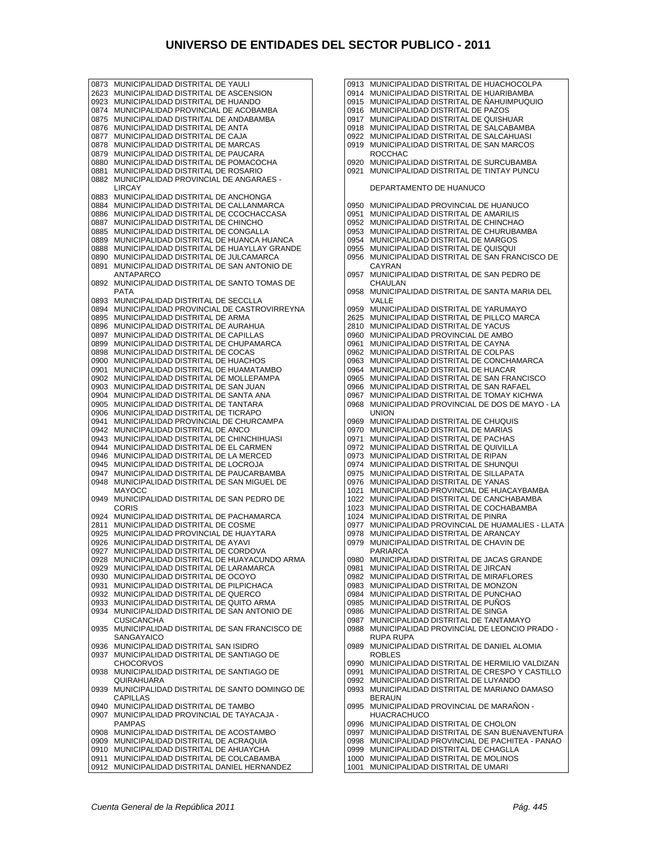0873 MUNICIPALIDAD DISTRITAL DE YAULI 2623 MUNICIPALIDAD DISTRITAL DE ASCENSION 0923 MUNICIPALIDAD DISTRITAL DE HUANDO 0874 MUNICIPALIDAD PROVINCIAL DE ACOBAMBA 0875 MUNICIPALIDAD DISTRITAL DE ANDABAMBA 0876 MUNICIPALIDAD DISTRITAL DE ANTA 0877 MUNICIPALIDAD DISTRITAL DE CAJA 0878 MUNICIPALIDAD DISTRITAL DE MARCAS 0879 MUNICIPALIDAD DISTRITAL DE PAUCARA 0880 MUNICIPALIDAD DISTRITAL DE POMACOCHA<br>0881 MUNICIPALIDAD DISTRITAL DE ROSARIO 0881 MUNICIPALIDAD DISTRITAL DE ROSARIO<br>0882 MUNICIPALIDAD PROVINCIAL DE ANGAR MUNICIPALIDAD PROVINCIAL DE ANGARAES -LIRCAY 0883 MUNICIPALIDAD DISTRITAL DE ANCHONGA 0884 MUNICIPALIDAD DISTRITAL DE CALLANMARCA 0886 MUNICIPALIDAD DISTRITAL DE CCOCHACCASA<br>0887 MUNICIPALIDAD DISTRITAL DE CHINCHO 0887 MUNICIPALIDAD DISTRITAL DE CHINCHO 0885 MUNICIPALIDAD DISTRITAL DE CONGALLA 0889 MUNICIPALIDAD DISTRITAL DE HUANCA HUANCA 0888 MUNICIPALIDAD DISTRITAL DE HUAYLLAY GRANDE 0890 MUNICIPALIDAD DISTRITAL DE JULCAMARCA 0891 MUNICIPALIDAD DISTRITAL DE SAN ANTONIO DE ANTAPARCO 0892 MUNICIPALIDAD DISTRITAL DE SANTO TOMAS DE PATA 0893 MUNICIPALIDAD DISTRITAL DE SECCLLA 0894 MUNICIPALIDAD PROVINCIAL DE CASTROVIRREYNA 0895 MUNICIPALIDAD DISTRITAL DE ARMA 0896 MUNICIPALIDAD DISTRITAL DE AURAHUA<br>0897 MUNICIPALIDAD DISTRITAL DE CAPILLAS 0897 MUNICIPALIDAD DISTRITAL DE CAPILLAS 0899 MUNICIPALIDAD DISTRITAL DE CHUPAMARCA 0898 MUNICIPALIDAD DISTRITAL DE COCAS 0900 MUNICIPALIDAD DISTRITAL DE HUACHOS 0901 MUNICIPALIDAD DISTRITAL DE HUAMATAMBO 0902 MUNICIPALIDAD DISTRITAL DE MOLLEPAMPA 0903 MUNICIPALIDAD DISTRITAL DE SAN JUAN 0904 MUNICIPALIDAD DISTRITAL DE SANTA ANA 0905 MUNICIPALIDAD DISTRITAL DE TANTARA 0906 MUNICIPALIDAD DISTRITAL DE TICRAPO 0941 MUNICIPALIDAD PROVINCIAL DE CHURCAMPA 0942 MUNICIPALIDAD DISTRITAL DE ANCO 0943 MUNICIPALIDAD DISTRITAL DE CHINCHIHUASI 0944 MUNICIPALIDAD DISTRITAL DE EL CARMEN 0946 MUNICIPALIDAD DISTRITAL DE LA MERCED 0945 MUNICIPALIDAD DISTRITAL DE LOCROJA 0947 MUNICIPALIDAD DISTRITAL DE PAUCARBAMBA 0948 MUNICIPALIDAD DISTRITAL DE SAN MIGUEL DE MAYOCC 0949 MUNICIPALIDAD DISTRITAL DE SAN PEDRO DE **CORIS** 0924 MUNICIPALIDAD DISTRITAL DE PACHAMARCA 2811 MUNICIPALIDAD DISTRITAL DE COSME 0925 MUNICIPALIDAD PROVINCIAL DE HUAYTARA 0926 MUNICIPALIDAD DISTRITAL DE AYAVI 0927 MUNICIPALIDAD DISTRITAL DE CORDOVA 0928 MUNICIPALIDAD DISTRITAL DE HUAYACUNDO ARMA 0929 MUNICIPALIDAD DISTRITAL DE LARAMARCA 0930 MUNICIPALIDAD DISTRITAL DE OCOYO 0931 MUNICIPALIDAD DISTRITAL DE PILPICHACA 0932 MUNICIPALIDAD DISTRITAL DE QUERCO 0933 MUNICIPALIDAD DISTRITAL DE QUITO ARMA<br>0934 MUNICIPALIDAD DISTRITAL DE SAN ANTONIO 0934 MUNICIPALIDAD DISTRITAL DE SAN ANTONIO DE CUSICANCHA 0935 MUNICIPALIDAD DISTRITAL DE SAN FRANCISCO DE **SANGAYAICO** 0936 MUNICIPALIDAD DISTRITAL SAN ISIDRO 0937 MUNICIPALIDAD DISTRITAL DE SANTIAGO DE **CHOCORVOS** 0938 MUNICIPALIDAD DISTRITAL DE SANTIAGO DE QUIRAHUARA 0939 MUNICIPALIDAD DISTRITAL DE SANTO DOMINGO DE CAPILLAS 0940 MUNICIPALIDAD DISTRITAL DE TAMBO 0907 MUNICIPALIDAD PROVINCIAL DE TAYACAJA - PAMPAS 0908 MUNICIPALIDAD DISTRITAL DE ACOSTAMBO 0909 MUNICIPALIDAD DISTRITAL DE ACRAQUIA 0910 MUNICIPALIDAD DISTRITAL DE AHUAYCHA 0911 MUNICIPALIDAD DISTRITAL DE COLCABAMBA 0912 MUNICIPALIDAD DISTRITAL DANIEL HERNANDEZ

0913 MUNICIPALIDAD DISTRITAL DE HUACHOCOLPA 0914 MUNICIPALIDAD DISTRITAL DE HUARIBAMBA 0915 MUNICIPALIDAD DISTRITAL DE ÑAHUIMPUQUIO 0916 MUNICIPALIDAD DISTRITAL DE PAZOS 0917 MUNICIPALIDAD DISTRITAL DE QUISHUAR 0918 MUNICIPALIDAD DISTRITAL DE SALCABAMBA 0922 MUNICIPALIDAD DISTRITAL DE SALCAHUASI 0919 MUNICIPALIDAD DISTRITAL DE SAN MARCOS ROCCHAC 0920 MUNICIPALIDAD DISTRITAL DE SURCUBAMBA 0921 MUNICIPALIDAD DISTRITAL DE TINTAY PUNCU DEPARTAMENTO DE HUANUCO 0950 MUNICIPALIDAD PROVINCIAL DE HUANUCO 0951 MUNICIPALIDAD DISTRITAL DE AMARILIS 0952 MUNICIPALIDAD DISTRITAL DE CHINCHAO 0953 MUNICIPALIDAD DISTRITAL DE CHURUBAMBA 0954 MUNICIPALIDAD DISTRITAL DE MARGOS 0955 MUNICIPALIDAD DISTRITAL DE QUISQUI 0956 MUNICIPALIDAD DISTRITAL DE SAN FRANCISCO DE CAYRAN 0957 MUNICIPALIDAD DISTRITAL DE SAN PEDRO DE CHAULAN 0958 MUNICIPALIDAD DISTRITAL DE SANTA MARIA DEL VALLE 0959 MUNICIPALIDAD DISTRITAL DE YARUMAYO 2625 MUNICIPALIDAD DISTRITAL DE PILLCO MARCA 2810 MUNICIPALIDAD DISTRITAL DE YACUS 0960 MUNICIPALIDAD PROVINCIAL DE AMBO 0961 MUNICIPALIDAD DISTRITAL DE CAYNA 0962 MUNICIPALIDAD DISTRITAL DE COLPAS 0963 MUNICIPALIDAD DISTRITAL DE CONCHAMARCA 0964 MUNICIPALIDAD DISTRITAL DE HUACAR 0965 MUNICIPALIDAD DISTRITAL DE SAN FRANCISCO 0966 MUNICIPALIDAD DISTRITAL DE SAN RAFAEL 0967 MUNICIPALIDAD DISTRITAL DE TOMAY KICHWA 0968 MUNICIPALIDAD PROVINCIAL DE DOS DE MAYO - LA UNION 0969 MUNICIPALIDAD DISTRITAL DE CHUQUIS 0970 MUNICIPALIDAD DISTRITAL DE MARIAS 0971 MUNICIPALIDAD DISTRITAL DE PACHAS 0972 MUNICIPALIDAD DISTRITAL DE QUIVILLA 0973 MUNICIPALIDAD DISTRITAL DE RIPAN 0974 MUNICIPALIDAD DISTRITAL DE SHUNQUI 0975 MUNICIPALIDAD DISTRITAL DE SILLAPATA 0976 MUNICIPALIDAD DISTRITAL DE YANAS 1021 MUNICIPALIDAD PROVINCIAL DE HUACAYBAMBA 1022 MUNICIPALIDAD DISTRITAL DE CANCHABAMBA 1023 MUNICIPALIDAD DISTRITAL DE COCHABAMBA 1024 MUNICIPALIDAD DISTRITAL DE PINRA 0977 MUNICIPALIDAD PROVINCIAL DE HUAMALIES - LLATA 0978 MUNICIPALIDAD DISTRITAL DE ARANCAY 0979 MUNICIPALIDAD DISTRITAL DE CHAVIN DE PARIARCA 0980 MUNICIPALIDAD DISTRITAL DE JACAS GRANDE 0981 MUNICIPALIDAD DISTRITAL DE JIRCAN 0982 MUNICIPALIDAD DISTRITAL DE MIRAFLORES 0983 MUNICIPALIDAD DISTRITAL DE MONZON 0984 MUNICIPALIDAD DISTRITAL DE PUNCHAO 0985 MUNICIPALIDAD DISTRITAL DE PUÑOS 0986 MUNICIPALIDAD DISTRITAL DE SINGA 0987 MUNICIPALIDAD DISTRITAL DE TANTAMAYO 0988 MUNICIPALIDAD PROVINCIAL DE LEONCIO PRADO - RUPA RUPA 0989 MUNICIPALIDAD DISTRITAL DE DANIEL ALOMIA ROBLES 0990 MUNICIPALIDAD DISTRITAL DE HERMILIO VALDIZAN 0991 MUNICIPALIDAD DISTRITAL DE CRESPO Y CASTILLO 0992 MUNICIPALIDAD DISTRITAL DE LUYANDO 0993 MUNICIPALIDAD DISTRITAL DE MARIANO DAMASO BERAUN 0995 MUNICIPALIDAD PROVINCIAL DE MARAÑON - **HUACRACHUCO** 0996 MUNICIPALIDAD DISTRITAL DE CHOLON 0997 MUNICIPALIDAD DISTRITAL DE SAN BUENAVENTURA 0998 MUNICIPALIDAD PROVINCIAL DE PACHITEA - PANAO 0999 MUNICIPALIDAD DISTRITAL DE CHAGLLA

- 1000 MUNICIPALIDAD DISTRITAL DE MOLINOS
- 1001 MUNICIPALIDAD DISTRITAL DE UMARI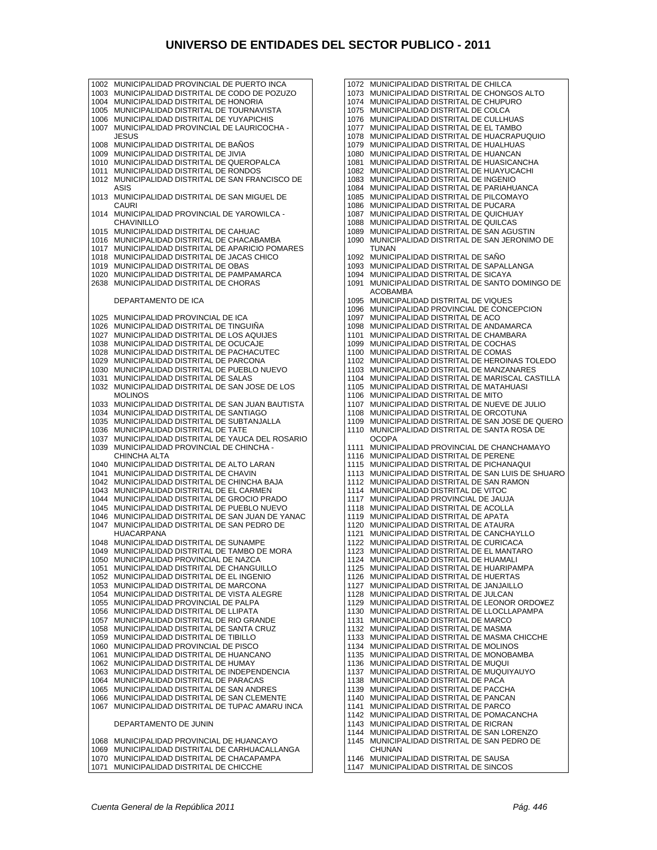1004 MUNICIPALIDAD DISTRITAL DE HONORIA 1005 MUNICIPALIDAD DISTRITAL DE TOURNAVISTA 1006 MUNICIPALIDAD DISTRITAL DE YUYAPICHIS 1007 MUNICIPALIDAD PROVINCIAL DE LAURICOCHA - JESUS 1008 MUNICIPALIDAD DISTRITAL DE BAÑOS 1009 MUNICIPALIDAD DISTRITAL DE JIVIA 1010 MUNICIPALIDAD DISTRITAL DE QUEROPALCA 1011 MUNICIPALIDAD DISTRITAL DE RONDOS 1012 MUNICIPALIDAD DISTRITAL DE SAN FRANCISCO DE ASIS 1013 MUNICIPALIDAD DISTRITAL DE SAN MIGUEL DE CAURI 1014 MUNICIPALIDAD PROVINCIAL DE YAROWILCA - CHAVINILLO 1015 MUNICIPALIDAD DISTRITAL DE CAHUAC 1016 MUNICIPALIDAD DISTRITAL DE CHACABAMBA 1017 MUNICIPALIDAD DISTRITAL DE APARICIO POMARES 1018 MUNICIPALIDAD DISTRITAL DE JACAS CHICO 1019 MUNICIPALIDAD DISTRITAL DE OBAS 1020 MUNICIPALIDAD DISTRITAL DE PAMPAMARCA 2638 MUNICIPALIDAD DISTRITAL DE CHORAS DEPARTAMENTO DE ICA 1025 MUNICIPALIDAD PROVINCIAL DE ICA 1026 MUNICIPALIDAD DISTRITAL DE TINGUIÑA MUNICIPALIDAD DISTRITAL DE LOS AQUIJES 1038 MUNICIPALIDAD DISTRITAL DE OCUCAJE 1028 MUNICIPALIDAD DISTRITAL DE PACHACUTEC 1029 MUNICIPALIDAD DISTRITAL DE PARCONA 1030 MUNICIPALIDAD DISTRITAL DE PUEBLO NUEVO 1031 MUNICIPALIDAD DISTRITAL DE SALAS 1032 MUNICIPALIDAD DISTRITAL DE SAN JOSE DE LOS **MOLINOS** 1033 MUNICIPALIDAD DISTRITAL DE SAN JUAN BAUTISTA 1034 MUNICIPALIDAD DISTRITAL DE SANTIAGO 1035 MUNICIPALIDAD DISTRITAL DE SUBTANJALLA 1036 MUNICIPALIDAD DISTRITAL DE TATE 1037 MUNICIPALIDAD DISTRITAL DE YAUCA DEL ROSARIO MUNICIPALIDAD PROVINCIAL DE CHINCHA -CHINCHA ALTA 1040 MUNICIPALIDAD DISTRITAL DE ALTO LARAN 1041 MUNICIPALIDAD DISTRITAL DE CHAVIN 1042 MUNICIPALIDAD DISTRITAL DE CHINCHA BAJA 1043 MUNICIPALIDAD DISTRITAL DE EL CARMEN 1044 MUNICIPALIDAD DISTRITAL DE GROCIO PRADO 1045 MUNICIPALIDAD DISTRITAL DE PUEBLO NUEVO 1046 MUNICIPALIDAD DISTRITAL DE SAN JUAN DE YANAC 1047 MUNICIPALIDAD DISTRITAL DE SAN PEDRO DE HUACARPANA 1048 MUNICIPALIDAD DISTRITAL DE SUNAMPE 1049 MUNICIPALIDAD DISTRITAL DE TAMBO DE MORA 1050 MUNICIPALIDAD PROVINCIAL DE NAZCA 1051 MUNICIPALIDAD DISTRITAL DE CHANGUILLO 1052 MUNICIPALIDAD DISTRITAL DE EL INGENIO 1053 MUNICIPALIDAD DISTRITAL DE MARCONA 1054 MUNICIPALIDAD DISTRITAL DE VISTA ALEGRE 1055 MUNICIPALIDAD PROVINCIAL DE PALPA 1056 MUNICIPALIDAD DISTRITAL DE LLIPATA 1057 MUNICIPALIDAD DISTRITAL DE RIO GRANDE 1058 MUNICIPALIDAD DISTRITAL DE SANTA CRUZ 1059 MUNICIPALIDAD DISTRITAL DE TIBILLO 1060 MUNICIPALIDAD PROVINCIAL DE PISCO 1061 MUNICIPALIDAD DISTRITAL DE HUANCANO 1062 MUNICIPALIDAD DISTRITAL DE HUMAY 1063 MUNICIPALIDAD DISTRITAL DE INDEPENDENCIA 1064 MUNICIPALIDAD DISTRITAL DE PARACAS 1065 MUNICIPALIDAD DISTRITAL DE SAN ANDRES 1066 MUNICIPALIDAD DISTRITAL DE SAN CLEMENTE 1067 MUNICIPALIDAD DISTRITAL DE TUPAC AMARU INCA DEPARTAMENTO DE JUNIN 1068 MUNICIPALIDAD PROVINCIAL DE HUANCAYO 1069 MUNICIPALIDAD DISTRITAL DE CARHUACALLANGA 1070 MUNICIPALIDAD DISTRITAL DE CHACAPAMPA<br>1071 MUNICIPALIDAD DISTRITAL DE CHICCHE MUNICIPALIDAD DISTRITAL DE CHICCHE

1002 MUNICIPALIDAD PROVINCIAL DE PUERTO INCA 1003 MUNICIPALIDAD DISTRITAL DE CODO DE POZUZO 1072 MUNICIPALIDAD DISTRITAL DE CHILCA 1073 MUNICIPALIDAD DISTRITAL DE CHONGOS ALTO 1074 MUNICIPALIDAD DISTRITAL DE CHUPURO 1075 MUNICIPALIDAD DISTRITAL DE COLCA 1076 MUNICIPALIDAD DISTRITAL DE CULLHUAS 1077 MUNICIPALIDAD DISTRITAL DE EL TAMBO 1078 MUNICIPALIDAD DISTRITAL DE HUACRAPUQUIO 1079 MUNICIPALIDAD DISTRITAL DE HUALHUAS 1080 MUNICIPALIDAD DISTRITAL DE HUANCAN 1081 MUNICIPALIDAD DISTRITAL DE HUASICANCHA 1082 MUNICIPALIDAD DISTRITAL DE HUAYUCACHI 1083 MUNICIPALIDAD DISTRITAL DE INGENIO 1084 MUNICIPALIDAD DISTRITAL DE PARIAHUANCA 1085 MUNICIPALIDAD DISTRITAL DE PILCOMAYO 1086 MUNICIPALIDAD DISTRITAL DE PUCARA 1087 MUNICIPALIDAD DISTRITAL DE QUICHUAY 1088 MUNICIPALIDAD DISTRITAL DE QUILCAS 1089 MUNICIPALIDAD DISTRITAL DE SAN AGUSTIN 1090 MUNICIPALIDAD DISTRITAL DE SAN JERONIMO DE TUNAN 1092 MUNICIPALIDAD DISTRITAL DE SAÑO 1093 MUNICIPALIDAD DISTRITAL DE SAPALLANGA 1094 MUNICIPALIDAD DISTRITAL DE SICAYA 1091 MUNICIPALIDAD DISTRITAL DE SANTO DOMINGO DE ACOBAMBA 1095 MUNICIPALIDAD DISTRITAL DE VIQUES 1096 MUNICIPALIDAD PROVINCIAL DE CONCEPCION 1097 MUNICIPALIDAD DISTRITAL DE ACO 1098 MUNICIPALIDAD DISTRITAL DE ANDAMARCA 1101 MUNICIPALIDAD DISTRITAL DE CHAMBARA 1099 MUNICIPALIDAD DISTRITAL DE COCHAS 1100 MUNICIPALIDAD DISTRITAL DE COMAS 1102 MUNICIPALIDAD DISTRITAL DE HEROINAS TOLEDO 1103 MUNICIPALIDAD DISTRITAL DE MANZANARES 1104 MUNICIPALIDAD DISTRITAL DE MARISCAL CASTILLA 1105 MUNICIPALIDAD DISTRITAL DE MATAHUASI 1106 MUNICIPALIDAD DISTRITAL DE MITO 1107 MUNICIPALIDAD DISTRITAL DE NUEVE DE JULIO 1108 MUNICIPALIDAD DISTRITAL DE ORCOTUNA 1109 MUNICIPALIDAD DISTRITAL DE SAN JOSE DE QUERO 1110 MUNICIPALIDAD DISTRITAL DE SANTA ROSA DE **OCOPA** 1111 MUNICIPALIDAD PROVINCIAL DE CHANCHAMAYO 1116 MUNICIPALIDAD DISTRITAL DE PERENE 1115 MUNICIPALIDAD DISTRITAL DE PICHANAQUI 1113 MUNICIPALIDAD DISTRITAL DE SAN LUIS DE SHUARO 1112 MUNICIPALIDAD DISTRITAL DE SAN RAMON 1114 MUNICIPALIDAD DISTRITAL DE VITOC 1117 MUNICIPALIDAD PROVINCIAL DE JAUJA 1118 MUNICIPALIDAD DISTRITAL DE ACOLLA 1119 MUNICIPALIDAD DISTRITAL DE APATA 1120 MUNICIPALIDAD DISTRITAL DE ATAURA 1121 MUNICIPALIDAD DISTRITAL DE CANCHAYLLO 1122 MUNICIPALIDAD DISTRITAL DE CURICACA 1123 MUNICIPALIDAD DISTRITAL DE EL MANTARO 1124 MUNICIPALIDAD DISTRITAL DE HUAMALI 1125 MUNICIPALIDAD DISTRITAL DE HUARIPAMPA 1126 MUNICIPALIDAD DISTRITAL DE HUERTAS 1127 MUNICIPALIDAD DISTRITAL DE JANJAILLO 1128 MUNICIPALIDAD DISTRITAL DE JULCAN 1129 MUNICIPALIDAD DISTRITAL DE LEONOR ORDO¥EZ 1130 MUNICIPALIDAD DISTRITAL DE LLOCLLAPAMPA 1131 MUNICIPALIDAD DISTRITAL DE MARCO 1132 MUNICIPALIDAD DISTRITAL DE MASMA 1133 MUNICIPALIDAD DISTRITAL DE MASMA CHICCHE 1134 MUNICIPALIDAD DISTRITAL DE MOLINOS 1135 MUNICIPALIDAD DISTRITAL DE MONOBAMBA 1136 MUNICIPALIDAD DISTRITAL DE MUQUI 1137 MUNICIPALIDAD DISTRITAL DE MUQUIYAUYO 1138 MUNICIPALIDAD DISTRITAL DE PACA 1139 MUNICIPALIDAD DISTRITAL DE PACCHA 1140 MUNICIPALIDAD DISTRITAL DE PANCAN 1141 MUNICIPALIDAD DISTRITAL DE PARCO 1142 MUNICIPALIDAD DISTRITAL DE POMACANCHA 1143 MUNICIPALIDAD DISTRITAL DE RICRAN 1144 MUNICIPALIDAD DISTRITAL DE SAN LORENZO 1145 MUNICIPALIDAD DISTRITAL DE SAN PEDRO DE **CHUNAN** 1146 MUNICIPALIDAD DISTRITAL DE SAUSA 1147 MUNICIPALIDAD DISTRITAL DE SINCOS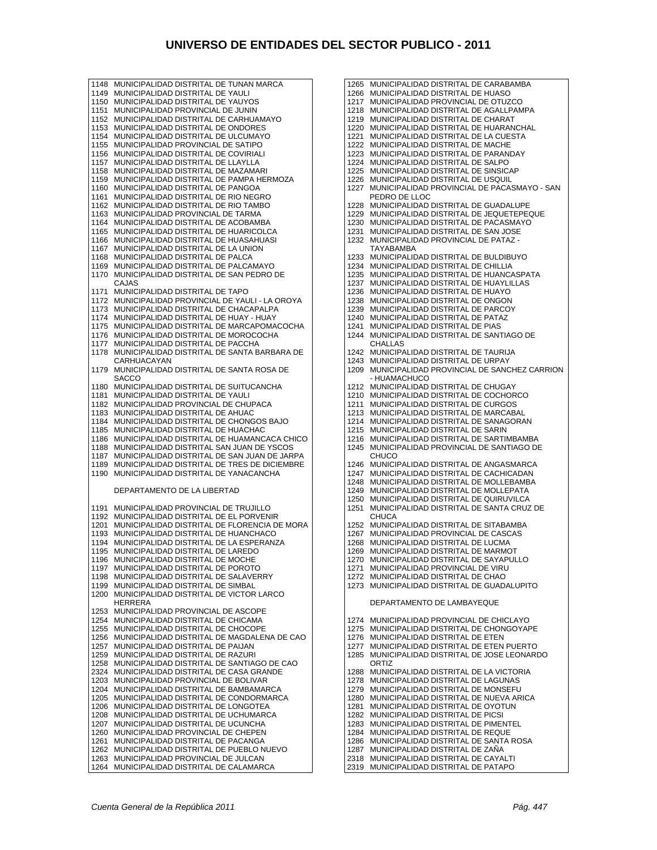1148 MUNICIPALIDAD DISTRITAL DE TUNAN MARCA 1149 MUNICIPALIDAD DISTRITAL DE YAULI 1150 MUNICIPALIDAD DISTRITAL DE YAUYOS 1151 MUNICIPALIDAD PROVINCIAL DE JUNIN 1152 MUNICIPALIDAD DISTRITAL DE CARHUAMAYO 1153 MUNICIPALIDAD DISTRITAL DE ONDORES 1154 MUNICIPALIDAD DISTRITAL DE ULCUMAYO 1155 MUNICIPALIDAD PROVINCIAL DE SATIPO 1156 MUNICIPALIDAD DISTRITAL DE COVIRIALI 1157 MUNICIPALIDAD DISTRITAL DE LLAYLLA 1158 MUNICIPALIDAD DISTRITAL DE MAZAMARI 1159 MUNICIPALIDAD DISTRITAL DE PAMPA HERMOZA 1160 MUNICIPALIDAD DISTRITAL DE PANGOA 1161 MUNICIPALIDAD DISTRITAL DE RIO NEGRO 1162 MUNICIPALIDAD DISTRITAL DE RIO TAMBO 1163 MUNICIPALIDAD PROVINCIAL DE TARMA 1164 MUNICIPALIDAD DISTRITAL DE ACOBAMBA 1165 MUNICIPALIDAD DISTRITAL DE HUARICOLCA 1166 MUNICIPALIDAD DISTRITAL DE HUASAHUASI 1167 MUNICIPALIDAD DISTRITAL DE LA UNION 1168 MUNICIPALIDAD DISTRITAL DE PALCA 1169 MUNICIPALIDAD DISTRITAL DE PALCAMAYO 1170 MUNICIPALIDAD DISTRITAL DE SAN PEDRO DE CAJAS 1171 MUNICIPALIDAD DISTRITAL DE TAPO 1172 MUNICIPALIDAD PROVINCIAL DE YAULI - LA OROYA 1173 MUNICIPALIDAD DISTRITAL DE CHACAPALPA 1174 MUNICIPALIDAD DISTRITAL DE HUAY - HUAY 1175 MUNICIPALIDAD DISTRITAL DE MARCAPOMACOCHA 1176 MUNICIPALIDAD DISTRITAL DE MOROCOCHA<br>1177 MUNICIPALIDAD DISTRITAL DE PACCHA 1177 MUNICIPALIDAD DISTRITAL DE PACCHA 1178 MUNICIPALIDAD DISTRITAL DE SANTA BARBARA DE **CARHUACAYAN** 1179 MUNICIPALIDAD DISTRITAL DE SANTA ROSA DE SACCO 1180 MUNICIPALIDAD DISTRITAL DE SUITUCANCHA 1181 MUNICIPALIDAD DISTRITAL DE YAULI 1182 MUNICIPALIDAD PROVINCIAL DE CHUPACA 1183 MUNICIPALIDAD DISTRITAL DE AHUAC 1184 MUNICIPALIDAD DISTRITAL DE CHONGOS BAJO 1185 MUNICIPALIDAD DISTRITAL DE HUACHAC 1186 MUNICIPALIDAD DISTRITAL DE HUAMANCACA CHICO 1188 MUNICIPALIDAD DISTRITAL SAN JUAN DE YSCOS 1187 MUNICIPALIDAD DISTRITAL DE SAN JUAN DE JARPA MUNICIPALIDAD DISTRITAL DE TRES DE DICIEMBRE 1190 MUNICIPALIDAD DISTRITAL DE YANACANCHA DEPARTAMENTO DE LA LIBERTAD 1191 MUNICIPALIDAD PROVINCIAL DE TRUJILLO 1192 MUNICIPALIDAD DISTRITAL DE EL PORVENIR 1201 MUNICIPALIDAD DISTRITAL DE FLORENCIA DE MORA 1193 MUNICIPALIDAD DISTRITAL DE HUANCHACO 1194 MUNICIPALIDAD DISTRITAL DE LA ESPERANZA 1195 MUNICIPALIDAD DISTRITAL DE LAREDO 1196 MUNICIPALIDAD DISTRITAL DE MOCHE 1197 MUNICIPALIDAD DISTRITAL DE POROTO 1198 MUNICIPALIDAD DISTRITAL DE SALAVERRY 1199 MUNICIPALIDAD DISTRITAL DE SIMBAL MUNICIPALIDAD DISTRITAL DE VICTOR LARCO HERRERA 1253 MUNICIPALIDAD PROVINCIAL DE ASCOPE 1254 MUNICIPALIDAD DISTRITAL DE CHICAMA 1255 MUNICIPALIDAD DISTRITAL DE CHOCOPE 1256 MUNICIPALIDAD DISTRITAL DE MAGDALENA DE CAO 1257 MUNICIPALIDAD DISTRITAL DE PAIJAN 1259 MUNICIPALIDAD DISTRITAL DE RAZURI 1258 MUNICIPALIDAD DISTRITAL DE SANTIAGO DE CAO 2324 MUNICIPALIDAD DISTRITAL DE CASA GRANDE 1203 MUNICIPALIDAD PROVINCIAL DE BOLIVAR 1204 MUNICIPALIDAD DISTRITAL DE BAMBAMARCA<br>1205 MUNICIPALIDAD DISTRITAL DE CONDORMARC 1205 MUNICIPALIDAD DISTRITAL DE CONDORMARCA 1206 MUNICIPALIDAD DISTRITAL DE LONGOTEA 1208 MUNICIPALIDAD DISTRITAL DE UCHUMARCA 1207 MUNICIPALIDAD DISTRITAL DE UCUNCHA 1260 MUNICIPALIDAD PROVINCIAL DE CHEPEN 1261 MUNICIPALIDAD DISTRITAL DE PACANGA 1262 MUNICIPALIDAD DISTRITAL DE PUEBLO NUEVO 1263 MUNICIPALIDAD PROVINCIAL DE JULCAN 1264 MUNICIPALIDAD DISTRITAL DE CALAMARCA

1265 MUNICIPALIDAD DISTRITAL DE CARABAMBA 1266 MUNICIPALIDAD DISTRITAL DE HUASO 1217 MUNICIPALIDAD PROVINCIAL DE OTUZCO 1218 MUNICIPALIDAD DISTRITAL DE AGALLPAMPA 1219 MUNICIPALIDAD DISTRITAL DE CHARAT 1220 MUNICIPALIDAD DISTRITAL DE HUARANCHAL 1221 MUNICIPALIDAD DISTRITAL DE LA CUESTA 1222 MUNICIPALIDAD DISTRITAL DE MACHE 1223 MUNICIPALIDAD DISTRITAL DE PARANDAY 1224 MUNICIPALIDAD DISTRITAL DE SALPO 1225 MUNICIPALIDAD DISTRITAL DE SINSICAP 1226 MUNICIPALIDAD DISTRITAL DE USQUIL 1227 MUNICIPALIDAD PROVINCIAL DE PACASMAYO - SAN PEDRO DE LLOC 1228 MUNICIPALIDAD DISTRITAL DE GUADALUPE 1229 MUNICIPALIDAD DISTRITAL DE JEQUETEPEQUE 1230 MUNICIPALIDAD DISTRITAL DE PACASMAYO 1231 MUNICIPALIDAD DISTRITAL DE SAN JOSE 1232 MUNICIPALIDAD PROVINCIAL DE PATAZ - TAYABAMBA 1233 MUNICIPALIDAD DISTRITAL DE BULDIBUYO 1234 MUNICIPALIDAD DISTRITAL DE CHILLIA 1235 MUNICIPALIDAD DISTRITAL DE HUANCASPATA 1237 MUNICIPALIDAD DISTRITAL DE HUAYLILLAS 1236 MUNICIPALIDAD DISTRITAL DE HUAYO 1238 MUNICIPALIDAD DISTRITAL DE ONGON 1239 MUNICIPALIDAD DISTRITAL DE PARCOY 1240 MUNICIPALIDAD DISTRITAL DE PATAZ 1241 MUNICIPALIDAD DISTRITAL DE PIAS 1244 MUNICIPALIDAD DISTRITAL DE SANTIAGO DE CHALLAS 1242 MUNICIPALIDAD DISTRITAL DE TAURIJA 1243 MUNICIPALIDAD DISTRITAL DE URPAY 1209 MUNICIPALIDAD PROVINCIAL DE SANCHEZ CARRION - HUAMACHUCO 1212 MUNICIPALIDAD DISTRITAL DE CHUGAY 1210 MUNICIPALIDAD DISTRITAL DE COCHORCO 1211 MUNICIPALIDAD DISTRITAL DE CURGOS 1213 MUNICIPALIDAD DISTRITAL DE MARCABAL 1214 MUNICIPALIDAD DISTRITAL DE SANAGORAN 1215 MUNICIPALIDAD DISTRITAL DE SARIN 1216 MUNICIPALIDAD DISTRITAL DE SARTIMBAMBA 1245 MUNICIPALIDAD PROVINCIAL DE SANTIAGO DE CHUCO 1246 MUNICIPALIDAD DISTRITAL DE ANGASMARCA 1247 MUNICIPALIDAD DISTRITAL DE CACHICADAN 1248 MUNICIPALIDAD DISTRITAL DE MOLLEBAMBA 1249 MUNICIPALIDAD DISTRITAL DE MOLLEPATA 1250 MUNICIPALIDAD DISTRITAL DE QUIRUVILCA 1251 MUNICIPALIDAD DISTRITAL DE SANTA CRUZ DE **CHUCA** 1252 MUNICIPALIDAD DISTRITAL DE SITABAMBA 1267 MUNICIPALIDAD PROVINCIAL DE CASCAS 1268 MUNICIPALIDAD DISTRITAL DE LUCMA 1269 MUNICIPALIDAD DISTRITAL DE MARMOT 1270 MUNICIPALIDAD DISTRITAL DE SAYAPULLO 1271 MUNICIPALIDAD PROVINCIAL DE VIRU 1272 MUNICIPALIDAD DISTRITAL DE CHAO 1273 MUNICIPALIDAD DISTRITAL DE GUADALUPITO DEPARTAMENTO DE LAMBAYEQUE 1274 MUNICIPALIDAD PROVINCIAL DE CHICLAYO 1275 MUNICIPALIDAD DISTRITAL DE CHONGOYAPE 1276 MUNICIPALIDAD DISTRITAL DE ETEN 1277 MUNICIPALIDAD DISTRITAL DE ETEN PUERTO 1285 MUNICIPALIDAD DISTRITAL DE JOSE LEONARDO ORTIZ 1288 MUNICIPALIDAD DISTRITAL DE LA VICTORIA 1278 MUNICIPALIDAD DISTRITAL DE LAGUNAS 1279 MUNICIPALIDAD DISTRITAL DE MONSEFU 1280 MUNICIPALIDAD DISTRITAL DE NUEVA ARICA 1281 MUNICIPALIDAD DISTRITAL DE OYOTUN 1282 MUNICIPALIDAD DISTRITAL DE PICSI 1283 MUNICIPALIDAD DISTRITAL DE PIMENTEL 1284 MUNICIPALIDAD DISTRITAL DE REQUE 1286 MUNICIPALIDAD DISTRITAL DE SANTA ROSA

- 1287 MUNICIPALIDAD DISTRITAL DE ZAÑA
- 2318 MUNICIPALIDAD DISTRITAL DE CAYALTI
- 2319 MUNICIPALIDAD DISTRITAL DE PATAPO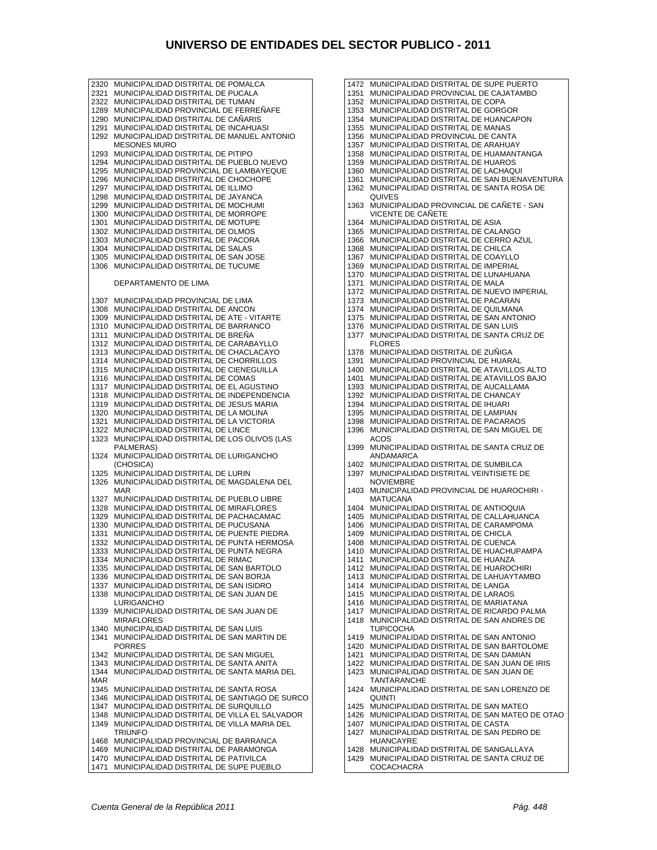2320 MUNICIPALIDAD DISTRITAL DE POMALCA 2321 MUNICIPALIDAD DISTRITAL DE PUCALA 2322 MUNICIPALIDAD DISTRITAL DE TUMAN<br>1289 MUNICIPALIDAD PROVINCIAL DE FERR MUNICIPALIDAD PROVINCIAL DE FERREÑAFE 1290 MUNICIPALIDAD DISTRITAL DE CAÑARIS 1291 MUNICIPALIDAD DISTRITAL DE INCAHUASI 1292 MUNICIPALIDAD DISTRITAL DE MANUEL ANTONIO MESONES MURO 1293 MUNICIPALIDAD DISTRITAL DE PITIPO 1294 MUNICIPALIDAD DISTRITAL DE PUEBLO NUEVO 1295 MUNICIPALIDAD PROVINCIAL DE LAMBAYEQUE 1296 MUNICIPALIDAD DISTRITAL DE CHOCHOPE 1297 MUNICIPALIDAD DISTRITAL DE ILLIMO 1298 MUNICIPALIDAD DISTRITAL DE JAYANCA 1299 MUNICIPALIDAD DISTRITAL DE MOCHUMI 1300 MUNICIPALIDAD DISTRITAL DE MORROPE 1301 MUNICIPALIDAD DISTRITAL DE MOTUPE 1302 MUNICIPALIDAD DISTRITAL DE OLMOS 1303 MUNICIPALIDAD DISTRITAL DE PACORA 1304 MUNICIPALIDAD DISTRITAL DE SALAS 1305 MUNICIPALIDAD DISTRITAL DE SAN JOSE 1306 MUNICIPALIDAD DISTRITAL DE TUCUME DEPARTAMENTO DE LIMA 1307 MUNICIPALIDAD PROVINCIAL DE LIMA 1308 MUNICIPALIDAD DISTRITAL DE ANCON 1309 MUNICIPALIDAD DISTRITAL DE ATE - VITARTE 1310 MUNICIPALIDAD DISTRITAL DE BARRANCO 1311 MUNICIPALIDAD DISTRITAL DE BREÑA 1312 MUNICIPALIDAD DISTRITAL DE CARABAYLLO 1313 MUNICIPALIDAD DISTRITAL DE CHACLACAYO 1314 MUNICIPALIDAD DISTRITAL DE CHORRILLOS 1315 MUNICIPALIDAD DISTRITAL DE CIENEGUILLA 1316 MUNICIPALIDAD DISTRITAL DE COMAS 1317 MUNICIPALIDAD DISTRITAL DE EL AGUSTINO 1318 MUNICIPALIDAD DISTRITAL DE INDEPENDENCIA 1319 MUNICIPALIDAD DISTRITAL DE JESUS MARIA 1320 MUNICIPALIDAD DISTRITAL DE LA MOLINA 1321 MUNICIPALIDAD DISTRITAL DE LA VICTORIA 1322 MUNICIPALIDAD DISTRITAL DE LINCE 1323 MUNICIPALIDAD DISTRITAL DE LOS OLIVOS (LAS PALMERAS) 1324 MUNICIPALIDAD DISTRITAL DE LURIGANCHO (CHOSICA) 1325 MUNICIPALIDAD DISTRITAL DE LURIN<br>1326 MUNICIPALIDAD DISTRITAL DE MAGD 1326 MUNICIPALIDAD DISTRITAL DE MAGDALENA DEL MAR 1327 MUNICIPALIDAD DISTRITAL DE PUEBLO LIBRE 1328 MUNICIPALIDAD DISTRITAL DE MIRAFLORES 1329 MUNICIPALIDAD DISTRITAL DE PACHACAMAC 1330 MUNICIPALIDAD DISTRITAL DE PUCUSANA 1331 MUNICIPALIDAD DISTRITAL DE PUENTE PIEDRA 1332 MUNICIPALIDAD DISTRITAL DE PUNTA HERMOSA 1333 MUNICIPALIDAD DISTRITAL DE PUNTA NEGRA 1334 MUNICIPALIDAD DISTRITAL DE RIMAC 1335 MUNICIPALIDAD DISTRITAL DE SAN BARTOLO 1336 MUNICIPALIDAD DISTRITAL DE SAN BORJA 1337 MUNICIPALIDAD DISTRITAL DE SAN ISIDRO 1338 MUNICIPALIDAD DISTRITAL DE SAN JUAN DE LURIGANCHO 1339 MUNICIPALIDAD DISTRITAL DE SAN JUAN DE MIRAFLORES 1340 MUNICIPALIDAD DISTRITAL DE SAN LUIS<br>1341 MUNICIPALIDAD DISTRITAL DE SAN MAR 1341 MUNICIPALIDAD DISTRITAL DE SAN MARTIN DE PORRES 1342 MUNICIPALIDAD DISTRITAL DE SAN MIGUEL 1343 MUNICIPALIDAD DISTRITAL DE SANTA ANITA 1344 MUNICIPALIDAD DISTRITAL DE SANTA MARIA DEL MAR 1345 MUNICIPALIDAD DISTRITAL DE SANTA ROSA 1346 MUNICIPALIDAD DISTRITAL DE SANTIAGO DE SURCO 1347 MUNICIPALIDAD DISTRITAL DE SURQUILLO 1348 MUNICIPALIDAD DISTRITAL DE VILLA EL SALVADOR 1349 MUNICIPALIDAD DISTRITAL DE VILLA MARIA DEL TRIUNFO 1468 MUNICIPALIDAD PROVINCIAL DE BARRANCA 1469 MUNICIPALIDAD DISTRITAL DE PARAMONGA 1470 MUNICIPALIDAD DISTRITAL DE PATIVILCA 1471 MUNICIPALIDAD DISTRITAL DE SUPE PUEBLO

1472 MUNICIPALIDAD DISTRITAL DE SUPE PUERTO 1351 MUNICIPALIDAD PROVINCIAL DE CAJATAMBO 1352 MUNICIPALIDAD DISTRITAL DE COPA 1353 MUNICIPALIDAD DISTRITAL DE GORGOR 1354 MUNICIPALIDAD DISTRITAL DE HUANCAPON 1355 MUNICIPALIDAD DISTRITAL DE MANAS 1356 MUNICIPALIDAD PROVINCIAL DE CANTA 1357 MUNICIPALIDAD DISTRITAL DE ARAHUAY 1358 MUNICIPALIDAD DISTRITAL DE HUAMANTANGA 1359 MUNICIPALIDAD DISTRITAL DE HUAROS 1360 MUNICIPALIDAD DISTRITAL DE LACHAQUI 1361 MUNICIPALIDAD DISTRITAL DE SAN BUENAVENTURA 1362 MUNICIPALIDAD DISTRITAL DE SANTA ROSA DE **QUIVES** 1363 MUNICIPALIDAD PROVINCIAL DE CAÑETE - SAN VICENTE DE CAÑETE 1364 MUNICIPALIDAD DISTRITAL DE ASIA 1365 MUNICIPALIDAD DISTRITAL DE CALANGO 1366 MUNICIPALIDAD DISTRITAL DE CERRO AZUL 1368 MUNICIPALIDAD DISTRITAL DE CHILCA 1367 MUNICIPALIDAD DISTRITAL DE COAYLLO 1369 MUNICIPALIDAD DISTRITAL DE IMPERIAL 1370 MUNICIPALIDAD DISTRITAL DE LUNAHUANA 1371 MUNICIPALIDAD DISTRITAL DE MALA 1372 MUNICIPALIDAD DISTRITAL DE NUEVO IMPERIAL 1373 MUNICIPALIDAD DISTRITAL DE PACARAN 1374 MUNICIPALIDAD DISTRITAL DE QUILMANA 1375 MUNICIPALIDAD DISTRITAL DE SAN ANTONIO 1376 MUNICIPALIDAD DISTRITAL DE SAN LUIS 1377 MUNICIPALIDAD DISTRITAL DE SANTA CRUZ DE FLORES 1378 MUNICIPALIDAD DISTRITAL DE ZUÑIGA 1391 MUNICIPALIDAD PROVINCIAL DE HUARAL 1400 MUNICIPALIDAD DISTRITAL DE ATAVILLOS ALTO 1401 MUNICIPALIDAD DISTRITAL DE ATAVILLOS BAJO 1393 MUNICIPALIDAD DISTRITAL DE AUCALLAMA 1392 MUNICIPALIDAD DISTRITAL DE CHANCAY 1394 MUNICIPALIDAD DISTRITAL DE IHUARI 1395 MUNICIPALIDAD DISTRITAL DE LAMPIAN 1398 MUNICIPALIDAD DISTRITAL DE PACARAOS 1396 MUNICIPALIDAD DISTRITAL DE SAN MIGUEL DE ACOS 1399 MUNICIPALIDAD DISTRITAL DE SANTA CRUZ DE ANDAMARCA 1402 MUNICIPALIDAD DISTRITAL DE SUMBILCA 1397 MUNICIPALIDAD DISTRITAL VEINTISIETE DE **NOVIEMBRE** 1403 MUNICIPALIDAD PROVINCIAL DE HUAROCHIRI - MATUCANA 1404 MUNICIPALIDAD DISTRITAL DE ANTIOQUIA 1405 MUNICIPALIDAD DISTRITAL DE CALLAHUANCA 1406 MUNICIPALIDAD DISTRITAL DE CARAMPOMA 1409 MUNICIPALIDAD DISTRITAL DE CHICLA 1408 MUNICIPALIDAD DISTRITAL DE CUENCA 1410 MUNICIPALIDAD DISTRITAL DE HUACHUPAMPA 1411 MUNICIPALIDAD DISTRITAL DE HUANZA 1412 MUNICIPALIDAD DISTRITAL DE HUAROCHIRI 1413 MUNICIPALIDAD DISTRITAL DE LAHUAYTAMBO 1414 MUNICIPALIDAD DISTRITAL DE LANGA 1415 MUNICIPALIDAD DISTRITAL DE LARAOS 1416 MUNICIPALIDAD DISTRITAL DE MARIATANA 1417 MUNICIPALIDAD DISTRITAL DE RICARDO PALMA 1418 MUNICIPALIDAD DISTRITAL DE SAN ANDRES DE TUPICOCHA 1419 MUNICIPALIDAD DISTRITAL DE SAN ANTONIO 1420 MUNICIPALIDAD DISTRITAL DE SAN BARTOLOME 1421 MUNICIPALIDAD DISTRITAL DE SAN DAMIAN 1422 MUNICIPALIDAD DISTRITAL DE SAN JUAN DE IRIS 1423 MUNICIPALIDAD DISTRITAL DE SAN JUAN DE TANTARANCHE 1424 MUNICIPALIDAD DISTRITAL DE SAN LORENZO DE QUINTI 1425 MUNICIPALIDAD DISTRITAL DE SAN MATEO 1426 MUNICIPALIDAD DISTRITAL DE SAN MATEO DE OTAO 1407 MUNICIPALIDAD DISTRITAL DE CASTA 1427 MUNICIPALIDAD DISTRITAL DE SAN PEDRO DE HUANCAYRE 1428 MUNICIPALIDAD DISTRITAL DE SANGALLAYA

1429 MUNICIPALIDAD DISTRITAL DE SANTA CRUZ DE COCACHACRA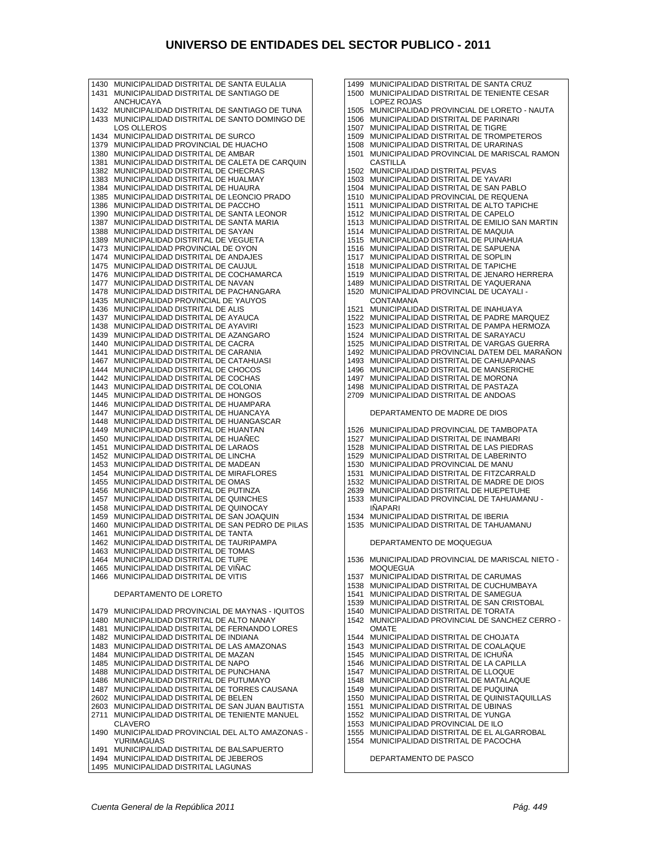1430 MUNICIPALIDAD DISTRITAL DE SANTA EULALIA 1431 MUNICIPALIDAD DISTRITAL DE SANTIAGO DE ANCHUCAYA 1432 MUNICIPALIDAD DISTRITAL DE SANTIAGO DE TUNA 1433 MUNICIPALIDAD DISTRITAL DE SANTO DOMINGO DE LOS OLLEROS 1434 MUNICIPALIDAD DISTRITAL DE SURCO 1379 MUNICIPALIDAD PROVINCIAL DE HUACHO 1380 MUNICIPALIDAD DISTRITAL DE AMBAR 1381 MUNICIPALIDAD DISTRITAL DE CALETA DE CARQUIN 1382 MUNICIPALIDAD DISTRITAL DE CHECRAS 1383 MUNICIPALIDAD DISTRITAL DE HUALMAY 1384 MUNICIPALIDAD DISTRITAL DE HUAURA 1385 MUNICIPALIDAD DISTRITAL DE LEONCIO PRADO 1386 MUNICIPALIDAD DISTRITAL DE PACCHO 1390 MUNICIPALIDAD DISTRITAL DE SANTA LEONOR 1387 MUNICIPALIDAD DISTRITAL DE SANTA MARIA 1388 MUNICIPALIDAD DISTRITAL DE SAYAN 1389 MUNICIPALIDAD DISTRITAL DE VEGUETA 1473 MUNICIPALIDAD PROVINCIAL DE OYON 1474 MUNICIPALIDAD DISTRITAL DE ANDAJES 1475 MUNICIPALIDAD DISTRITAL DE CAUJUL 1476 MUNICIPALIDAD DISTRITAL DE COCHAMARCA 1477 MUNICIPALIDAD DISTRITAL DE NAVAN 1478 MUNICIPALIDAD DISTRITAL DE PACHANGARA 1435 MUNICIPALIDAD PROVINCIAL DE YAUYOS 1436 MUNICIPALIDAD DISTRITAL DE ALIS 1437 MUNICIPALIDAD DISTRITAL DE AYAUCA 1438 MUNICIPALIDAD DISTRITAL DE AYAVIRI 1439 MUNICIPALIDAD DISTRITAL DE AZANGARO 1440 MUNICIPALIDAD DISTRITAL DE CACRA 1441 MUNICIPALIDAD DISTRITAL DE CARANIA 1467 MUNICIPALIDAD DISTRITAL DE CATAHUASI 1444 MUNICIPALIDAD DISTRITAL DE CHOCOS 1442 MUNICIPALIDAD DISTRITAL DE COCHAS 1443 MUNICIPALIDAD DISTRITAL DE COLONIA 1445 MUNICIPALIDAD DISTRITAL DE HONGOS 1446 MUNICIPALIDAD DISTRITAL DE HUAMPARA 1447 MUNICIPALIDAD DISTRITAL DE HUANCAYA 1448 MUNICIPALIDAD DISTRITAL DE HUANGASCAR 1449 MUNICIPALIDAD DISTRITAL DE HUANTAN 1450 MUNICIPALIDAD DISTRITAL DE HUAÑEC 1451 MUNICIPALIDAD DISTRITAL DE LARAOS 1452 MUNICIPALIDAD DISTRITAL DE LINCHA 1453 MUNICIPALIDAD DISTRITAL DE MADEAN 1454 MUNICIPALIDAD DISTRITAL DE MIRAFLORES 1455 MUNICIPALIDAD DISTRITAL DE OMAS 1456 MUNICIPALIDAD DISTRITAL DE PUTINZA 1457 MUNICIPALIDAD DISTRITAL DE QUINCHES 1458 MUNICIPALIDAD DISTRITAL DE QUINOCAY 1459 MUNICIPALIDAD DISTRITAL DE SAN JOAQUIN 1460 MUNICIPALIDAD DISTRITAL DE SAN PEDRO DE PILAS 1461 MUNICIPALIDAD DISTRITAL DE TANTA 1462 MUNICIPALIDAD DISTRITAL DE TAURIPAMPA 1463 MUNICIPALIDAD DISTRITAL DE TOMAS 1464 MUNICIPALIDAD DISTRITAL DE TUPE 1465 MUNICIPALIDAD DISTRITAL DE VIÑAC 1466 MUNICIPALIDAD DISTRITAL DE VITIS DEPARTAMENTO DE LORETO 1479 MUNICIPALIDAD PROVINCIAL DE MAYNAS - IQUITOS 1480 MUNICIPALIDAD DISTRITAL DE ALTO NANAY 1481 MUNICIPALIDAD DISTRITAL DE FERNANDO LORES 1482 MUNICIPALIDAD DISTRITAL DE INDIANA 1483 MUNICIPALIDAD DISTRITAL DE LAS AMAZONAS 1484 MUNICIPALIDAD DISTRITAL DE MAZAN 1485 MUNICIPALIDAD DISTRITAL DE NAPO 1488 MUNICIPALIDAD DISTRITAL DE PUNCHANA 1486 MUNICIPALIDAD DISTRITAL DE PUTUMAYO MUNICIPALIDAD DISTRITAL DE TORRES CAUSANA 2602 MUNICIPALIDAD DISTRITAL DE BELEN 2603 MUNICIPALIDAD DISTRITAL DE SAN JUAN BAUTISTA 2711 MUNICIPALIDAD DISTRITAL DE TENIENTE MANUEL CLAVERO 1490 MUNICIPALIDAD PROVINCIAL DEL ALTO AMAZONAS - **YURIMAGUAS** 1491 MUNICIPALIDAD DISTRITAL DE BALSAPUERTO

1494 MUNICIPALIDAD DISTRITAL DE JEBEROS<br>1495 MUNICIPALIDAD DISTRITAL LAGUNAS MUNICIPALIDAD DISTRITAL LAGUNAS

1499 MUNICIPALIDAD DISTRITAL DE SANTA CRUZ 1500 MUNICIPALIDAD DISTRITAL DE TENIENTE CESAR LOPEZ ROJAS 1505 MUNICIPALIDAD PROVINCIAL DE LORETO - NAUTA 1506 MUNICIPALIDAD DISTRITAL DE PARINARI 1507 MUNICIPALIDAD DISTRITAL DE TIGRE 1509 MUNICIPALIDAD DISTRITAL DE TROMPETEROS 1508 MUNICIPALIDAD DISTRITAL DE URARINAS 1501 MUNICIPALIDAD PROVINCIAL DE MARISCAL RAMON CASTILLA 1502 MUNICIPALIDAD DISTRITAL PEVAS 1503 MUNICIPALIDAD DISTRITAL DE YAVARI 1504 MUNICIPALIDAD DISTRITAL DE SAN PABLO 1510 MUNICIPALIDAD PROVINCIAL DE REQUENA 1511 MUNICIPALIDAD DISTRITAL DE ALTO TAPICHE 1512 MUNICIPALIDAD DISTRITAL DE CAPELO 1513 MUNICIPALIDAD DISTRITAL DE EMILIO SAN MARTIN 1514 MUNICIPALIDAD DISTRITAL DE MAQUIA 1515 MUNICIPALIDAD DISTRITAL DE PUINAHUA 1516 MUNICIPALIDAD DISTRITAL DE SAPUENA 1517 MUNICIPALIDAD DISTRITAL DE SOPLIN 1518 MUNICIPALIDAD DISTRITAL DE TAPICHE 1519 MUNICIPALIDAD DISTRITAL DE JENARO HERRERA 1489 MUNICIPALIDAD DISTRITAL DE YAQUERANA 1520 MUNICIPALIDAD PROVINCIAL DE UCAYALI - CONTAMANA 1521 MUNICIPALIDAD DISTRITAL DE INAHUAYA 1522 MUNICIPALIDAD DISTRITAL DE PADRE MARQUEZ 1523 MUNICIPALIDAD DISTRITAL DE PAMPA HERMOZA 1524 MUNICIPALIDAD DISTRITAL DE SARAYACU 1525 MUNICIPALIDAD DISTRITAL DE VARGAS GUERRA 1492 MUNICIPALIDAD PROVINCIAL DATEM DEL MARAÑON 1493 MUNICIPALIDAD DISTRITAL DE CAHUAPANAS 1496 MUNICIPALIDAD DISTRITAL DE MANSERICHE 1497 MUNICIPALIDAD DISTRITAL DE MORONA 1498 MUNICIPALIDAD DISTRITAL DE PASTAZA 2709 MUNICIPALIDAD DISTRITAL DE ANDOAS DEPARTAMENTO DE MADRE DE DIOS 1526 MUNICIPALIDAD PROVINCIAL DE TAMBOPATA 1527 MUNICIPALIDAD DISTRITAL DE INAMBARI 1528 MUNICIPALIDAD DISTRITAL DE LAS PIEDRAS 1529 MUNICIPALIDAD DISTRITAL DE LABERINTO 1530 MUNICIPALIDAD PROVINCIAL DE MANU 1531 MUNICIPALIDAD DISTRITAL DE FITZCARRALD 1532 MUNICIPALIDAD DISTRITAL DE MADRE DE DIOS 2639 MUNICIPALIDAD DISTRITAL DE HUEPETUHE 1533 MUNICIPALIDAD PROVINCIAL DE TAHUAMANU - IÑAPARI 1534 MUNICIPALIDAD DISTRITAL DE IBERIA 1535 MUNICIPALIDAD DISTRITAL DE TAHUAMANU DEPARTAMENTO DE MOQUEGUA 1536 MUNICIPALIDAD PROVINCIAL DE MARISCAL NIETO - MOOUEGUA 1537 MUNICIPALIDAD DISTRITAL DE CARUMAS 1538 MUNICIPALIDAD DISTRITAL DE CUCHUMBAYA 1541 MUNICIPALIDAD DISTRITAL DE SAMEGUA 1539 MUNICIPALIDAD DISTRITAL DE SAN CRISTOBAL 1540 MUNICIPALIDAD DISTRITAL DE TORATA 1542 MUNICIPALIDAD PROVINCIAL DE SANCHEZ CERRO - OMATE 1544 MUNICIPALIDAD DISTRITAL DE CHOJATA 1543 MUNICIPALIDAD DISTRITAL DE COALAQUE 1545 MUNICIPALIDAD DISTRITAL DE ICHUÑA 1546 MUNICIPALIDAD DISTRITAL DE LA CAPILLA 1547 MUNICIPALIDAD DISTRITAL DE LLOQUE 1548 MUNICIPALIDAD DISTRITAL DE MATALAQUE 1549 MUNICIPALIDAD DISTRITAL DE PUQUINA 1550 MUNICIPALIDAD DISTRITAL DE QUINISTAQUILLAS 1551 MUNICIPALIDAD DISTRITAL DE UBINAS 1552 MUNICIPALIDAD DISTRITAL DE YUNGA 1553 MUNICIPALIDAD PROVINCIAL DE ILO 1555 MUNICIPALIDAD DISTRITAL DE EL ALGARROBAL 1554 MUNICIPALIDAD DISTRITAL DE PACOCHA

DEPARTAMENTO DE PASCO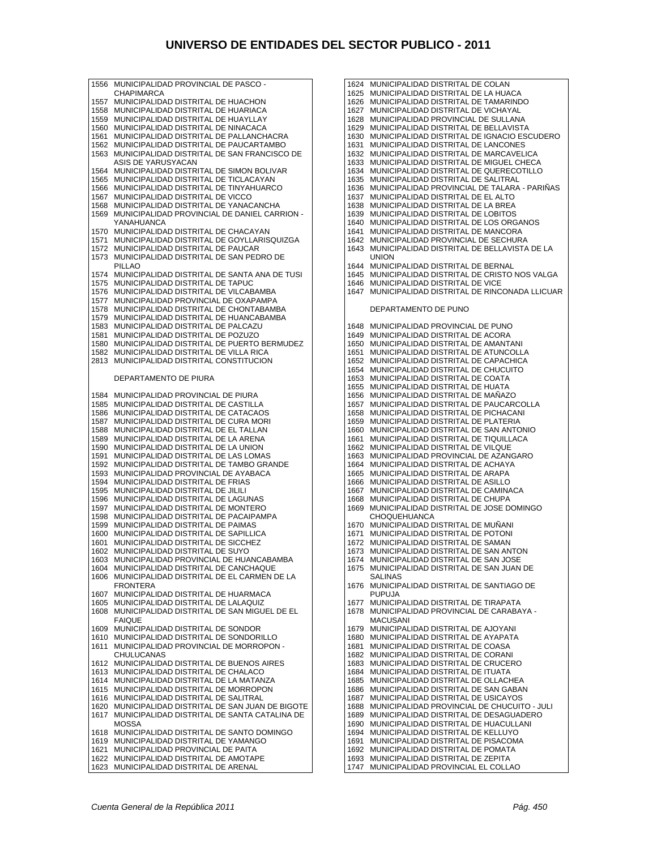| 1556         | MUNICIPALIDAD PROVINCIAL DE PASCO -                                       |
|--------------|---------------------------------------------------------------------------|
| 1557         | CHAPIMARCA<br>MUNICIPALIDAD DISTRITAL DE HUACHON                          |
| 1558         | MUNICIPALIDAD DISTRITAL DE HUARIACA                                       |
| 1559         | MUNICIPALIDAD DISTRITAL DE HUAYLLAY                                       |
| 1560         | MUNICIPALIDAD DISTRITAL DE NINACACA                                       |
| 1561         | MUNICIPALIDAD DISTRITAL DE PALLANCHACRA                                   |
| 1562         | MUNICIPALIDAD DISTRITAL DE PAUCARTAMBO                                    |
|              |                                                                           |
| 1563         | MUNICIPALIDAD DISTRITAL DE SAN FRANCISCO DE<br>ASIS DE YARUSYACAN         |
|              | MUNICIPALIDAD DISTRITAL DE SIMON BOLIVAR                                  |
| 1564         | MUNICIPALIDAD DISTRITAL DE TICLACAYAN                                     |
| 1565<br>1566 | MUNICIPALIDAD DISTRITAL DE TINYAHUARCO                                    |
| 1567         | MUNICIPALIDAD DISTRITAL DE VICCO                                          |
| 1568         | MUNICIPALIDAD DISTRITAL DE YANACANCHA                                     |
|              | MUNICIPALIDAD PROVINCIAL DE DANIEL CARRION -                              |
| 1569         | YANAHUANCA                                                                |
| 1570         | MUNICIPALIDAD DISTRITAL DE CHACAYAN                                       |
| 1571         | MUNICIPALIDAD DISTRITAL DE GOYLLARISQUIZGA                                |
| 1572         | MUNICIPALIDAD DISTRITAL DE PAUCAR                                         |
| 1573         | MUNICIPALIDAD DISTRITAL DE SAN PEDRO DE                                   |
|              |                                                                           |
|              | PILLAO<br>MUNICIPALIDAD DISTRITAL DE SANTA ANA DE TUSI                    |
| 1574         |                                                                           |
| 1575         | MUNICIPALIDAD DISTRITAL DE TAPUC<br>MUNICIPALIDAD DISTRITAL DE VILCABAMBA |
| 1576<br>1577 | MUNICIPALIDAD PROVINCIAL DE OXAPAMPA                                      |
| 1578         | MUNICIPALIDAD DISTRITAL DE CHONTABAMBA                                    |
| 1579         | MUNICIPALIDAD DISTRITAL DE HUANCABAMBA                                    |
| 1583         | MUNICIPALIDAD DISTRITAL DE PALCAZU                                        |
| 1581         | MUNICIPALIDAD DISTRITAL DE POZUZO                                         |
|              | MUNICIPALIDAD DISTRITAL DE PUERTO BERMUDEZ                                |
| 1580<br>1582 | MUNICIPALIDAD DISTRITAL DE VILLA RICA                                     |
| 2813         |                                                                           |
|              | MUNICIPALIDAD DISTRITAL CONSTITUCION                                      |
|              | DEPARTAMENTO DE PIURA                                                     |
|              |                                                                           |
| 1584         | MUNICIPALIDAD PROVINCIAL DE PIURA                                         |
| 1585         | MUNICIPALIDAD DISTRITAL DE CASTILLA                                       |
| 1586         | MUNICIPALIDAD DISTRITAL DE CATACAOS                                       |
| 1587         | MUNICIPALIDAD DISTRITAL DE CURA MORI                                      |
| 1588         | MUNICIPALIDAD DISTRITAL DE EL TALLAN                                      |
| 1589         | MUNICIPALIDAD DISTRITAL DE LA ARENA                                       |
| 1590         | MUNICIPALIDAD DISTRITAL DE LA UNION                                       |
| 1591         | MUNICIPALIDAD DISTRITAL DE LAS LOMAS                                      |
| 1592         | MUNICIPALIDAD DISTRITAL DE TAMBO GRANDE                                   |
| 1593         | MUNICIPALIDAD PROVINCIAL DE AYABACA                                       |
| 1594         | MUNICIPALIDAD DISTRITAL DE FRIAS                                          |
| 1595         | MUNICIPALIDAD DISTRITAL DE JILILI                                         |
| 1596         | MUNICIPALIDAD DISTRITAL DE LAGUNAS                                        |
| 1597         | MUNICIPALIDAD DISTRITAL DE MONTERO                                        |
| 1598         | MUNICIPALIDAD DISTRITAL DE PACAIPAMPA                                     |
| 1599         | MUNICIPALIDAD DISTRITAL DE PAIMAS                                         |
| 1600         | MUNICIPALIDAD DISTRITAL DE SAPILLICA                                      |
| 1601         | MUNICIPALIDAD DISTRITAL DE SICCHEZ                                        |
| 1602         | MUNICIPALIDAD DISTRITAL DE SUYO                                           |
| 1603         | MUNICIPALIDAD PROVINCIAL DE HUANCABAMBA                                   |
| 1604         | MUNICIPALIDAD DISTRITAL DE CANCHAQUE                                      |
| 1606         | MUNICIPALIDAD DISTRITAL DE EL CARMEN DE LA                                |
| 1607         | FRONTERA<br>MUNICIPALIDAD DISTRITAL DE HUARMACA                           |
| 1605         | MUNICIPALIDAD DISTRITAL DE LALAQUIZ                                       |
| 1608         | MUNICIPALIDAD DISTRITAL DE SAN MIGUEL DE EL                               |
|              | <b>FAIQUE</b>                                                             |
| 1609         | MUNICIPALIDAD DISTRITAL DE SONDOR                                         |
| 1610         | MUNICIPALIDAD DISTRITAL DE SONDORILLO                                     |
| 1611         | MUNICIPALIDAD PROVINCIAL DE MORROPON -                                    |
|              | CHULUCANAS                                                                |
| 1612         | MUNICIPALIDAD DISTRITAL DE BUENOS AIRES                                   |
| 1613         | MUNICIPALIDAD DISTRITAL DE CHALACO                                        |
| 1614         | MUNICIPALIDAD DISTRITAL DE LA MATANZA                                     |
| 1615         | MUNICIPALIDAD DISTRITAL DE MORROPON                                       |
| 1616         | MUNICIPALIDAD DISTRITAL DE SALITRAL                                       |
| 1620         | MUNICIPALIDAD DISTRITAL DE SAN JUAN DE BIGOTE                             |
| 1617         | MUNICIPALIDAD DISTRITAL DE SANTA CATALINA DE                              |
|              | MOSSA                                                                     |
| 1618         | MUNICIPALIDAD DISTRITAL DE SANTO DOMINGO                                  |
| 1619         | MUNICIPALIDAD DISTRITAL DE YAMANGO                                        |
| 1621         | MUNICIPALIDAD PROVINCIAL DE PAITA                                         |
|              |                                                                           |
| 1622         | MUNICIPALIDAD DISTRITAL DE AMOTAPE                                        |

| 1624         | MUNICIPALIDAD DISTRITAL DE COLAN                                                   |
|--------------|------------------------------------------------------------------------------------|
| 1625         | MUNICIPALIDAD DISTRITAL DE LA HUACA                                                |
| 1626         | MUNICIPALIDAD DISTRITAL DE TAMARINDO                                               |
| 1627         | MUNICIPALIDAD DISTRITAL DE VICHAYAL                                                |
| 1628         | MUNICIPALIDAD PROVINCIAL DE SULLANA                                                |
| 1629         | MUNICIPALIDAD DISTRITAL DE BELLAVISTA                                              |
| 1630         | MUNICIPALIDAD DISTRITAL DE IGNACIO ESCUDERO                                        |
| 1631         | MUNICIPALIDAD DISTRITAL DE LANCONES                                                |
| 1632         | MUNICIPALIDAD DISTRITAL DE MARCAVELICA                                             |
| 1633         | MUNICIPALIDAD DISTRITAL DE MIGUEL CHECA                                            |
| 1634         | MUNICIPALIDAD DISTRITAL DE QUERECOTILLO                                            |
| 1635         | MUNICIPALIDAD DISTRITAL DE SALITRAL                                                |
| 1636         | MUNICIPALIDAD PROVINCIAL DE TALARA - PARIÑAS                                       |
| 1637         | MUNICIPALIDAD DISTRITAL DE EL ALTO                                                 |
| 1638         | MUNICIPALIDAD DISTRITAL DE LA BREA                                                 |
| 1639         | MUNICIPALIDAD DISTRITAL DE LOBITOS                                                 |
| 1640         | MUNICIPALIDAD DISTRITAL DE LOS ORGANOS<br>MUNICIPALIDAD DISTRITAL DE MANCORA       |
| 1641<br>1642 | MUNICIPALIDAD PROVINCIAL DE SECHURA                                                |
| 1643         | MUNICIPALIDAD DISTRITAL DE BELLAVISTA DE LA                                        |
|              | <b>UNION</b>                                                                       |
| 1644         | MUNICIPALIDAD DISTRITAL DE BERNAL                                                  |
| 1645         | MUNICIPALIDAD DISTRITAL DE CRISTO NOS VALGA                                        |
| 1646         | MUNICIPALIDAD DISTRITAL DE VICE                                                    |
| 1647         | MUNICIPALIDAD DISTRITAL DE RINCONADA LLICUAR                                       |
|              |                                                                                    |
|              | DEPARTAMENTO DE PUNO                                                               |
|              |                                                                                    |
| 1648         | MUNICIPALIDAD PROVINCIAL DE PUNO                                                   |
| 1649         | MUNICIPALIDAD DISTRITAL DE ACORA                                                   |
| 1650         | MUNICIPALIDAD DISTRITAL DE AMANTANI                                                |
| 1651         | MUNICIPALIDAD DISTRITAL DE ATUNCOLLA                                               |
| 1652<br>1654 | MUNICIPALIDAD DISTRITAL DE CAPACHICA<br>MUNICIPALIDAD DISTRITAL DE CHUCUITO        |
| 1653         | MUNICIPALIDAD DISTRITAL DE COATA                                                   |
| 1655         | MUNICIPALIDAD DISTRITAL DE HUATA                                                   |
| 1656         | MUNICIPALIDAD DISTRITAL DE MANAZO                                                  |
| 1657         | MUNICIPALIDAD DISTRITAL DE PAUCARCOLLA                                             |
| 1658         | MUNICIPALIDAD DISTRITAL DE PICHACANI                                               |
| 1659         | MUNICIPALIDAD DISTRITAL DE PLATERIA                                                |
| 1660         | MUNICIPALIDAD DISTRITAL DE SAN ANTONIO                                             |
| 1661         | MUNICIPALIDAD DISTRITAL DE TIQUILLACA                                              |
| 1662         | MUNICIPALIDAD DISTRITAL DE VILQUE                                                  |
| 1663         | MUNICIPALIDAD PROVINCIAL DE AZANGARO                                               |
| 1664         | MUNICIPALIDAD DISTRITAL DE ACHAYA                                                  |
| 1665         | MUNICIPALIDAD DISTRITAL DE ARAPA                                                   |
| 1666         | MUNICIPALIDAD DISTRITAL DE ASILLO                                                  |
| 1667         | MUNICIPALIDAD DISTRITAL DE CAMINACA                                                |
| 1668         | MUNICIPALIDAD DISTRITAL DE CHUPA                                                   |
| 1669         | MUNICIPALIDAD DISTRITAL DE JOSE DOMINGO                                            |
|              | <b>CHOQUEHUANCA</b>                                                                |
| 1670         | MUNICIPALIDAD DISTRITAL DE MUNANI                                                  |
| 1671         | MUNICIPALIDAD DISTRITAL DE POTONI                                                  |
| 1672         | MUNICIPALIDAD DISTRITAL DE SAMAN                                                   |
| 1673         | MUNICIPALIDAD DISTRITAL DE SAN ANTON                                               |
| 1674<br>1675 | MUNICIPALIDAD DISTRITAL DE SAN JOSE<br>MUNICIPALIDAD DISTRITAL DE SAN JUAN DE      |
|              | <b>SALINAS</b>                                                                     |
| 1676         | MUNICIPALIDAD DISTRITAL DE SANTIAGO DE                                             |
|              | <b>PUPUJA</b>                                                                      |
| 1677         | MUNICIPALIDAD DISTRITAL DE TIRAPATA                                                |
| 1678         | MUNICIPALIDAD PROVINCIAL DE CARABAYA -                                             |
|              | <b>MACUSANI</b>                                                                    |
| 1679         | MUNICIPALIDAD DISTRITAL DE AJOYANI                                                 |
| 1680         | MUNICIPALIDAD DISTRITAL DE AYAPATA                                                 |
| 1681         | MUNICIPALIDAD DISTRITAL DE COASA                                                   |
| 1682         | MUNICIPALIDAD DISTRITAL DE CORANI                                                  |
| 1683         | MUNICIPALIDAD DISTRITAL DE CRUCERO                                                 |
| 1684         | MUNICIPALIDAD DISTRITAL DE ITUATA                                                  |
| 1685         | MUNICIPALIDAD DISTRITAL DE OLLACHEA                                                |
| 1686         | MUNICIPALIDAD DISTRITAL DE SAN GABAN                                               |
| 1687         | MUNICIPALIDAD DISTRITAL DE USICAYOS<br>MUNICIPALIDAD PROVINCIAL DE CHUCUITO - JULI |
| 1688<br>1689 | MUNICIPALIDAD DISTRITAL DE DESAGUADERO                                             |
|              | MUNICIPALIDAD DISTRITAL DE HUACULLANI                                              |
| 1690<br>1694 | MUNICIPALIDAD DISTRITAL DE KELLUYO                                                 |
| 1691         | MUNICIPALIDAD DISTRITAL DE PISACOMA                                                |
| 1692         | MUNICIPALIDAD DISTRITAL DE POMATA                                                  |
| 1693         | MUNICIPALIDAD DISTRITAL DE ZEPITA                                                  |
|              |                                                                                    |

1747 MUNICIPALIDAD PROVINCIAL EL COLLAO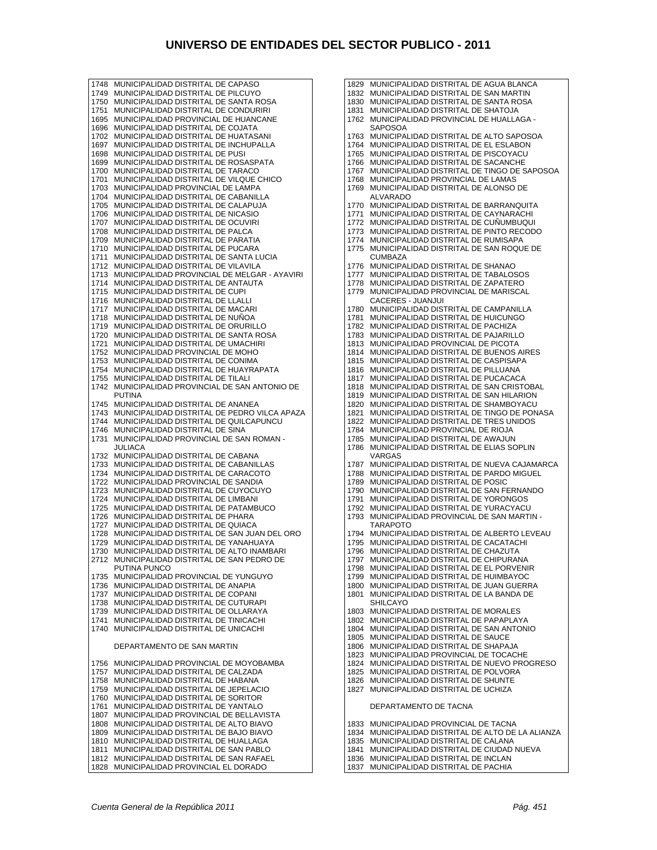1748 MUNICIPALIDAD DISTRITAL DE CAPASO 1749 MUNICIPALIDAD DISTRITAL DE PILCUYO 1750 MUNICIPALIDAD DISTRITAL DE SANTA ROSA 1751 MUNICIPALIDAD DISTRITAL DE CONDURIRI 1695 MUNICIPALIDAD PROVINCIAL DE HUANCANE 1696 MUNICIPALIDAD DISTRITAL DE COJATA 1702 MUNICIPALIDAD DISTRITAL DE HUATASANI 1697 MUNICIPALIDAD DISTRITAL DE INCHUPALLA 1698 MUNICIPALIDAD DISTRITAL DE PUSI 1699 MUNICIPALIDAD DISTRITAL DE ROSASPATA 1700 MUNICIPALIDAD DISTRITAL DE TARACO 1701 MUNICIPALIDAD DISTRITAL DE VILQUE CHICO 1703 MUNICIPALIDAD PROVINCIAL DE LAMPA 1704 MUNICIPALIDAD DISTRITAL DE CABANILLA 1705 MUNICIPALIDAD DISTRITAL DE CALAPUJA 1706 MUNICIPALIDAD DISTRITAL DE NICASIO 1707 MUNICIPALIDAD DISTRITAL DE OCUVIRI 1708 MUNICIPALIDAD DISTRITAL DE PALCA 1709 MUNICIPALIDAD DISTRITAL DE PARATIA 1710 MUNICIPALIDAD DISTRITAL DE PUCARA 1711 MUNICIPALIDAD DISTRITAL DE SANTA LUCIA 1712 MUNICIPALIDAD DISTRITAL DE VILAVILA 1713 MUNICIPALIDAD PROVINCIAL DE MELGAR - AYAVIRI 1714 MUNICIPALIDAD DISTRITAL DE ANTAUTA 1715 MUNICIPALIDAD DISTRITAL DE CUPI 1716 MUNICIPALIDAD DISTRITAL DE LLALLI 1717 MUNICIPALIDAD DISTRITAL DE MACARI 1718 MUNICIPALIDAD DISTRITAL DE NUÑOA 1719 MUNICIPALIDAD DISTRITAL DE ORURILLO 1720 MUNICIPALIDAD DISTRITAL DE SANTA ROSA 1721 MUNICIPALIDAD DISTRITAL DE UMACHIRI 1752 MUNICIPALIDAD PROVINCIAL DE MOHO 1753 MUNICIPALIDAD DISTRITAL DE CONIMA 1754 MUNICIPALIDAD DISTRITAL DE HUAYRAPATA 1755 MUNICIPALIDAD DISTRITAL DE TILALI 1742 MUNICIPALIDAD PROVINCIAL DE SAN ANTONIO DE PUTINA 1745 MUNICIPALIDAD DISTRITAL DE ANANEA 1743 MUNICIPALIDAD DISTRITAL DE PEDRO VILCA APAZA 1744 MUNICIPALIDAD DISTRITAL DE QUILCAPUNCU 1746 MUNICIPALIDAD DISTRITAL DE SINA 1731 MUNICIPALIDAD PROVINCIAL DE SAN ROMAN - JULIACA 1732 MUNICIPALIDAD DISTRITAL DE CABANA 1733 MUNICIPALIDAD DISTRITAL DE CABANILLAS 1734 MUNICIPALIDAD DISTRITAL DE CARACOTO 1722 MUNICIPALIDAD PROVINCIAL DE SANDIA 1723 MUNICIPALIDAD DISTRITAL DE CUYOCUYO 1724 MUNICIPALIDAD DISTRITAL DE LIMBANI 1725 MUNICIPALIDAD DISTRITAL DE PATAMBUCO 1726 MUNICIPALIDAD DISTRITAL DE PHARA 1727 MUNICIPALIDAD DISTRITAL DE QUIACA 1728 MUNICIPALIDAD DISTRITAL DE SAN JUAN DEL ORO 1729 MUNICIPALIDAD DISTRITAL DE YANAHUAYA 1730 MUNICIPALIDAD DISTRITAL DE ALTO INAMBARI 2712 MUNICIPALIDAD DISTRITAL DE SAN PEDRO DE PUTINA PUNCO 1735 MUNICIPALIDAD PROVINCIAL DE YUNGUYO 1736 MUNICIPALIDAD DISTRITAL DE ANAPIA 1737 MUNICIPALIDAD DISTRITAL DE COPANI 1738 MUNICIPALIDAD DISTRITAL DE CUTURAPI 1739 MUNICIPALIDAD DISTRITAL DE OLLARAYA 1741 MUNICIPALIDAD DISTRITAL DE TINICACHI 1740 MUNICIPALIDAD DISTRITAL DE UNICACHI DEPARTAMENTO DE SAN MARTIN 1756 MUNICIPALIDAD PROVINCIAL DE MOYOBAMBA 1757 MUNICIPALIDAD DISTRITAL DE CALZADA 1758 MUNICIPALIDAD DISTRITAL DE HABANA 1759 MUNICIPALIDAD DISTRITAL DE JEPELACIO 1760 MUNICIPALIDAD DISTRITAL DE SORITOR 1761 MUNICIPALIDAD DISTRITAL DE YANTALO 1807 MUNICIPALIDAD PROVINCIAL DE BELLAVISTA 1808 MUNICIPALIDAD DISTRITAL DE ALTO BIAVO 1809 MUNICIPALIDAD DISTRITAL DE BAJO BIAVO 1810 MUNICIPALIDAD DISTRITAL DE HUALLAGA 1811 MUNICIPALIDAD DISTRITAL DE SAN PABLO 1812 MUNICIPALIDAD DISTRITAL DE SAN RAFAEL

1829 MUNICIPALIDAD DISTRITAL DE AGUA BLANCA 1832 MUNICIPALIDAD DISTRITAL DE SAN MARTIN 1830 MUNICIPALIDAD DISTRITAL DE SANTA ROSA 1831 MUNICIPALIDAD DISTRITAL DE SHATOJA 1762 MUNICIPALIDAD PROVINCIAL DE HUALLAGA - **SAPOSOA** 1763 MUNICIPALIDAD DISTRITAL DE ALTO SAPOSOA 1764 MUNICIPALIDAD DISTRITAL DE EL ESLABON 1765 MUNICIPALIDAD DISTRITAL DE PISCOYACU 1766 MUNICIPALIDAD DISTRITAL DE SACANCHE 1767 MUNICIPALIDAD DISTRITAL DE TINGO DE SAPOSOA 1768 MUNICIPALIDAD PROVINCIAL DE LAMAS 1769 MUNICIPALIDAD DISTRITAL DE ALONSO DE ALVARADO 1770 MUNICIPALIDAD DISTRITAL DE BARRANQUITA 1771 MUNICIPALIDAD DISTRITAL DE CAYNARACHI 1772 MUNICIPALIDAD DISTRITAL DE CUÑUMBUQUI 1773 MUNICIPALIDAD DISTRITAL DE PINTO RECODO 1774 MUNICIPALIDAD DISTRITAL DE RUMISAPA 1775 MUNICIPALIDAD DISTRITAL DE SAN ROQUE DE CUMBAZA 1776 MUNICIPALIDAD DISTRITAL DE SHANAO 1777 MUNICIPALIDAD DISTRITAL DE TABALOSOS 1778 MUNICIPALIDAD DISTRITAL DE ZAPATERO 1779 MUNICIPALIDAD PROVINCIAL DE MARISCAL CACERES - JUANJUI 1780 MUNICIPALIDAD DISTRITAL DE CAMPANILLA 1781 MUNICIPALIDAD DISTRITAL DE HUICUNGO 1782 MUNICIPALIDAD DISTRITAL DE PACHIZA 1783 MUNICIPALIDAD DISTRITAL DE PAJARILLO 1813 MUNICIPALIDAD PROVINCIAL DE PICOTA 1814 MUNICIPALIDAD DISTRITAL DE BUENOS AIRES 1815 MUNICIPALIDAD DISTRITAL DE CASPISAPA 1816 MUNICIPALIDAD DISTRITAL DE PILLUANA 1817 MUNICIPALIDAD DISTRITAL DE PUCACACA 1818 MUNICIPALIDAD DISTRITAL DE SAN CRISTOBAL 1819 MUNICIPALIDAD DISTRITAL DE SAN HILARION 1820 MUNICIPALIDAD DISTRITAL DE SHAMBOYACU 1821 MUNICIPALIDAD DISTRITAL DE TINGO DE PONASA 1822 MUNICIPALIDAD DISTRITAL DE TRES UNIDOS 1784 MUNICIPALIDAD PROVINCIAL DE RIOJA 1785 MUNICIPALIDAD DISTRITAL DE AWAJUN 1786 MUNICIPALIDAD DISTRITAL DE ELIAS SOPLIN VARGAS 1787 MUNICIPALIDAD DISTRITAL DE NUEVA CAJAMARCA 1788 MUNICIPALIDAD DISTRITAL DE PARDO MIGUEL 1789 MUNICIPALIDAD DISTRITAL DE POSIC 1790 MUNICIPALIDAD DISTRITAL DE SAN FERNANDO 1791 MUNICIPALIDAD DISTRITAL DE YORONGOS 1792 MUNICIPALIDAD DISTRITAL DE YURACYACU 1793 MUNICIPALIDAD PROVINCIAL DE SAN MARTIN - TARAPOTO 1794 MUNICIPALIDAD DISTRITAL DE ALBERTO LEVEAU 1795 MUNICIPALIDAD DISTRITAL DE CACATACHI 1796 MUNICIPALIDAD DISTRITAL DE CHAZUTA 1797 MUNICIPALIDAD DISTRITAL DE CHIPURANA 1798 MUNICIPALIDAD DISTRITAL DE EL PORVENIR 1799 MUNICIPALIDAD DISTRITAL DE HUIMBAYOC 1800 MUNICIPALIDAD DISTRITAL DE JUAN GUERRA 1801 MUNICIPALIDAD DISTRITAL DE LA BANDA DE SHILCAYO 1803 MUNICIPALIDAD DISTRITAL DE MORALES 1802 MUNICIPALIDAD DISTRITAL DE PAPAPLAYA 1804 MUNICIPALIDAD DISTRITAL DE SAN ANTONIO 1805 MUNICIPALIDAD DISTRITAL DE SAUCE 1806 MUNICIPALIDAD DISTRITAL DE SHAPAJA 1823 MUNICIPALIDAD PROVINCIAL DE TOCACHE 1824 MUNICIPALIDAD DISTRITAL DE NUEVO PROGRESO 1825 MUNICIPALIDAD DISTRITAL DE POLVORA 1826 MUNICIPALIDAD DISTRITAL DE SHUNTE 1827 MUNICIPALIDAD DISTRITAL DE UCHIZA DEPARTAMENTO DE TACNA 1833 MUNICIPALIDAD PROVINCIAL DE TACNA 1834 MUNICIPALIDAD DISTRITAL DE ALTO DE LA ALIANZA 1835 MUNICIPALIDAD DISTRITAL DE CALANA

- 1841 MUNICIPALIDAD DISTRITAL DE CIUDAD NUEVA
- 1836 MUNICIPALIDAD DISTRITAL DE INCLAN
- 1837 MUNICIPALIDAD DISTRITAL DE PACHIA

1828 MUNICIPALIDAD PROVINCIAL EL DORADO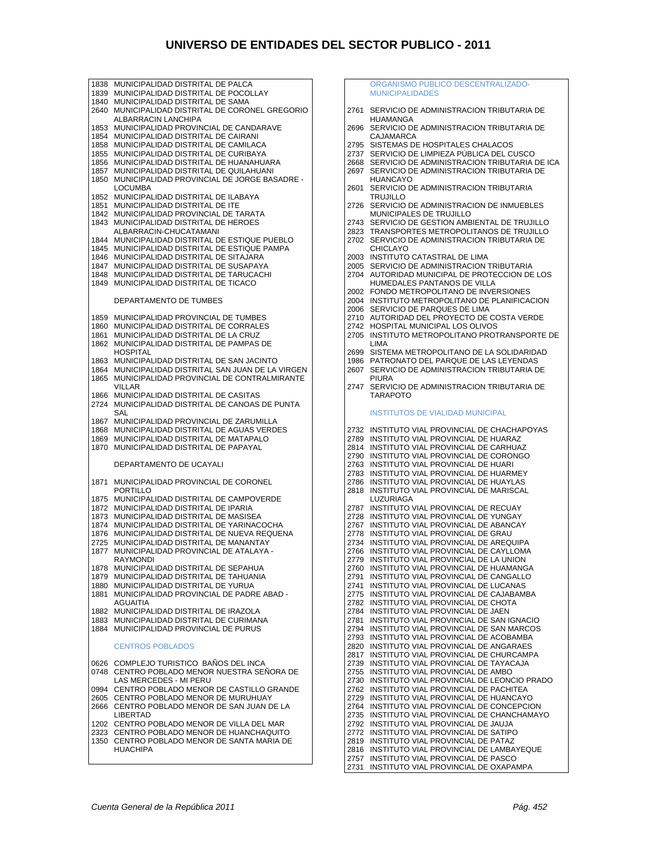1838 MUNICIPALIDAD DISTRITAL DE PALCA 1839 MUNICIPALIDAD DISTRITAL DE POCOLLAY 1840 MUNICIPALIDAD DISTRITAL DE SAMA 2640 MUNICIPALIDAD DISTRITAL DE CORONEL GREGORIO ALBARRACIN LANCHIPA 1853 MUNICIPALIDAD PROVINCIAL DE CANDARAVE 1854 MUNICIPALIDAD DISTRITAL DE CAIRANI 1858 MUNICIPALIDAD DISTRITAL DE CAMILACA<br>1855 MUNICIPALIDAD DISTRITAL DE CURIBAYA 1855 MUNICIPALIDAD DISTRITAL DE CURIBAYA 1856 MUNICIPALIDAD DISTRITAL DE HUANAHUARA 1857 MUNICIPALIDAD DISTRITAL DE QUILAHUANI 1850 MUNICIPALIDAD PROVINCIAL DE JORGE BASADRE - LOCUMBA 1852 MUNICIPALIDAD DISTRITAL DE ILABAYA 1851 MUNICIPALIDAD DISTRITAL DE ITE 1842 MUNICIPALIDAD PROVINCIAL DE TARATA 1843 MUNICIPALIDAD DISTRITAL DE HEROES ALBARRACIN-CHUCATAMANI 1844 MUNICIPALIDAD DISTRITAL DE ESTIQUE PUEBLO 1845 MUNICIPALIDAD DISTRITAL DE ESTIQUE PAMPA 1846 MUNICIPALIDAD DISTRITAL DE SITAJARA 1847 MUNICIPALIDAD DISTRITAL DE SUSAPAYA 1848 MUNICIPALIDAD DISTRITAL DE TARUCACHI 1849 MUNICIPALIDAD DISTRITAL DE TICACO DEPARTAMENTO DE TUMBES 1859 MUNICIPALIDAD PROVINCIAL DE TUMBES 1860 MUNICIPALIDAD DISTRITAL DE CORRALES<br>1861 MUNICIPALIDAD DISTRITAL DE LA CRUZ 1861 MUNICIPALIDAD DISTRITAL DE LA CRUZ 1862 MUNICIPALIDAD DISTRITAL DE PAMPAS DE **HOSPITAL** 1863 MUNICIPALIDAD DISTRITAL DE SAN JACINTO 1864 MUNICIPALIDAD DISTRITAL SAN JUAN DE LA VIRGEN 1865 MUNICIPALIDAD PROVINCIAL DE CONTRALMIRANTE VILL AR 1866 MUNICIPALIDAD DISTRITAL DE CASITAS 2724 MUNICIPALIDAD DISTRITAL DE CANOAS DE PUNTA SAL 1867 MUNICIPALIDAD PROVINCIAL DE ZARUMILLA 1868 MUNICIPALIDAD DISTRITAL DE AGUAS VERDES 1869 MUNICIPALIDAD DISTRITAL DE MATAPALO 1870 MUNICIPALIDAD DISTRITAL DE PAPAYAL DEPARTAMENTO DE UCAYALI 1871 MUNICIPALIDAD PROVINCIAL DE CORONEL PORTILLO 1875 MUNICIPALIDAD DISTRITAL DE CAMPOVERDE 1872 MUNICIPALIDAD DISTRITAL DE IPARIA 1873 MUNICIPALIDAD DISTRITAL DE MASISEA 1874 MUNICIPALIDAD DISTRITAL DE YARINACOCHA 1876 MUNICIPALIDAD DISTRITAL DE NUEVA REQUENA 2725 MUNICIPALIDAD DISTRITAL DE MANANTAY 1877 MUNICIPALIDAD PROVINCIAL DE ATALAYA - RAYMONDI 1878 MUNICIPALIDAD DISTRITAL DE SEPAHUA 1879 MUNICIPALIDAD DISTRITAL DE TAHUANIA 1880 MUNICIPALIDAD DISTRITAL DE YURUA MUNICIPALIDAD PROVINCIAL DE PADRE ABAD -AGUAITIA 1882 MUNICIPALIDAD DISTRITAL DE IRAZOLA 1883 MUNICIPALIDAD DISTRITAL DE CURIMANA 1884 MUNICIPALIDAD PROVINCIAL DE PURUS CENTROS POBLADOS 0626 COMPLEJO TURISTICO BAÑOS DEL INCA 0748 CENTRO POBLADO MENOR NUESTRA SEÑORA DE LAS MERCEDES - MI PERU 0994 CENTRO POBLADO MENOR DE CASTILLO GRANDE 2605 CENTRO POBLADO MENOR DE MURUHUAY 2666 CENTRO POBLADO MENOR DE SAN JUAN DE LA LIBERTAD 1202 CENTRO POBLADO MENOR DE VILLA DEL MAR 2323 CENTRO POBLADO MENOR DE HUANCHAQUITO 1350 CENTRO POBLADO MENOR DE SANTA MARIA DE HUACHIPA 2816 INSTITUTO VIAL PROVINCIAL DE LAMBAYEQUE 2757 INSTITUTO VIAL PROVINCIAL DE PASCO

 ORGANISMO PUBLICO DESCENTRALIZADO-MUNICIPALIDADES 2761 SERVICIO DE ADMINISTRACION TRIBUTARIA DE HUAMANGA 2696 SERVICIO DE ADMINISTRACION TRIBUTARIA DE CAJAMARCA 2795 SISTEMAS DE HOSPITALES CHALACOS 2737 SERVICIO DE LIMPIEZA PÚBLICA DEL CUSCO 2668 SERVICIO DE ADMINISTRACION TRIBUTARIA DE ICA 2697 SERVICIO DE ADMINISTRACION TRIBUTARIA DE HUANCAYO 2601 SERVICIO DE ADMINISTRACION TRIBUTARIA TRUJILLO 2726 SERVICIO DE ADMINISTRACION DE INMUEBLES MUNICIPALES DE TRUJILLO 2743 SERVICIO DE GESTION AMBIENTAL DE TRUJILLO 2823 TRANSPORTES METROPOLITANOS DE TRUJILLO 2702 SERVICIO DE ADMINISTRACION TRIBUTARIA DE CHICLAYO 2003 INSTITUTO CATASTRAL DE LIMA 2005 SERVICIO DE ADMINISTRACION TRIBUTARIA 2704 AUTORIDAD MUNICIPAL DE PROTECCION DE LOS HUMEDALES PANTANOS DE VILLA 2002 FONDO METROPOLITANO DE INVERSIONES 2004 INSTITUTO METROPOLITANO DE PLANIFICACION 2006 SERVICIO DE PARQUES DE LIMA 2710 AUTORIDAD DEL PROYECTO DE COSTA VERDE 2742 HOSPITAL MUNICIPAL LOS OLIVOS 2705 INSTITUTO METROPOLITANO PROTRANSPORTE DE LIMA 2699 SISTEMA METROPOLITANO DE LA SOLIDARIDAD 1986 PATRONATO DEL PARQUE DE LAS LEYENDAS 2607 SERVICIO DE ADMINISTRACION TRIBUTARIA DE **PILIRA** 2747 SERVICIO DE ADMINISTRACION TRIBUTARIA DE TARAPOTO INSTITUTOS DE VIALIDAD MUNICIPAL 2732 INSTITUTO VIAL PROVINCIAL DE CHACHAPOYAS 2789 INSTITUTO VIAL PROVINCIAL DE HUARAZ 2814 INSTITUTO VIAL PROVINCIAL DE CARHUAZ 2790 INSTITUTO VIAL PROVINCIAL DE CORONGO 2763 INSTITUTO VIAL PROVINCIAL DE HUARI 2783 INSTITUTO VIAL PROVINCIAL DE HUARMEY 2786 INSTITUTO VIAL PROVINCIAL DE HUAYLAS 2818 INSTITUTO VIAL PROVINCIAL DE MARISCAL LUZURIAGA 2787 INSTITUTO VIAL PROVINCIAL DE RECUAY 2728 INSTITUTO VIAL PROVINCIAL DE YUNGAY 2767 INSTITUTO VIAL PROVINCIAL DE ABANCAY 2778 INSTITUTO VIAL PROVINCIAL DE GRAU 2734 INSTITUTO VIAL PROVINCIAL DE AREQUIPA 2766 INSTITUTO VIAL PROVINCIAL DE CAYLLOMA 2779 INSTITUTO VIAL PROVINCIAL DE LA UNION 2760 INSTITUTO VIAL PROVINCIAL DE HUAMANGA 2791 INSTITUTO VIAL PROVINCIAL DE CANGALLO 2741 INSTITUTO VIAL PROVINCIAL DE LUCANAS 2775 INSTITUTO VIAL PROVINCIAL DE CAJABAMBA 2782 INSTITUTO VIAL PROVINCIAL DE CHOTA 2784 INSTITUTO VIAL PROVINCIAL DE JAEN 2781 INSTITUTO VIAL PROVINCIAL DE SAN IGNACIO 2794 INSTITUTO VIAL PROVINCIAL DE SAN MARCOS 2793 INSTITUTO VIAL PROVINCIAL DE ACOBAMBA 2820 INSTITUTO VIAL PROVINCIAL DE ANGARAES 2817 INSTITUTO VIAL PROVINCIAL DE CHURCAMPA 2739 INSTITUTO VIAL PROVINCIAL DE TAYACAJA 2755 INSTITUTO VIAL PROVINCIAL DE AMBO 2730 INSTITUTO VIAL PROVINCIAL DE LEONCIO PRADO 2762 INSTITUTO VIAL PROVINCIAL DE PACHITEA 2729 INSTITUTO VIAL PROVINCIAL DE HUANCAYO 2764 INSTITUTO VIAL PROVINCIAL DE CONCEPCION 2735 INSTITUTO VIAL PROVINCIAL DE CHANCHAMAYO 2792 INSTITUTO VIAL PROVINCIAL DE JAUJA 2772 INSTITUTO VIAL PROVINCIAL DE SATIPO 2819 INSTITUTO VIAL PROVINCIAL DE PATAZ

2731 INSTITUTO VIAL PROVINCIAL DE OXAPAMPA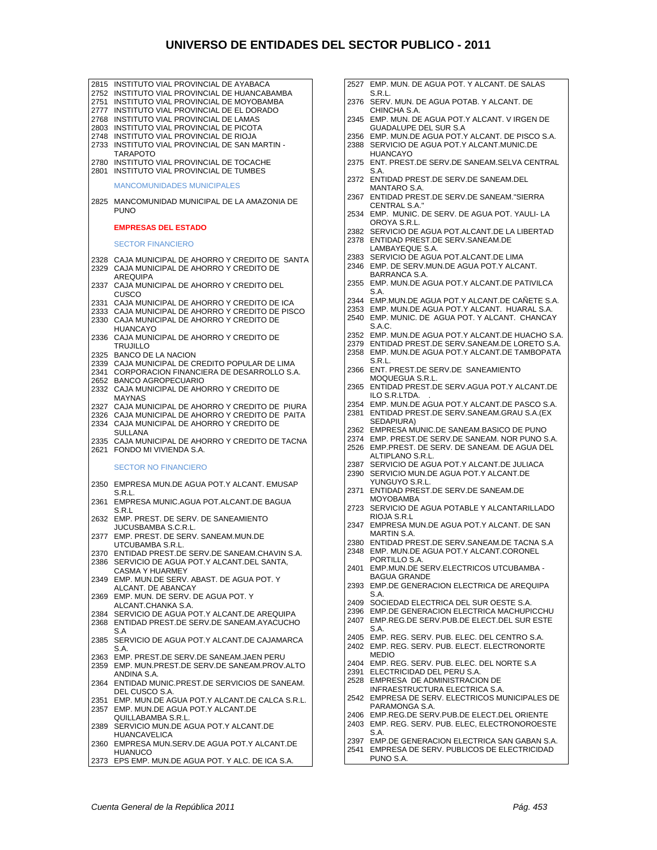| 2815 INSTITUTO VIAL PROVINCIAL DE AYABACA          |  | 2527 EMP. MUN. DE AGUA POT. Y ALCANT. DE SALAS    |
|----------------------------------------------------|--|---------------------------------------------------|
| 2752 INSTITUTO VIAL PROVINCIAL DE HUANCABAMBA      |  | S.R.L.                                            |
| 2751 INSTITUTO VIAL PROVINCIAL DE MOYOBAMBA        |  | 2376 SERV. MUN. DE AGUA POTAB. Y ALCANT. DE       |
| 2777 INSTITUTO VIAL PROVINCIAL DE EL DORADO        |  | CHINCHA S.A.                                      |
| 2768 INSTITUTO VIAL PROVINCIAL DE LAMAS            |  | 2345 EMP. MUN. DE AGUA POT Y ALCANT. VIRGEN DE    |
| 2803 INSTITUTO VIAL PROVINCIAL DE PICOTA           |  | <b>GUADALUPE DEL SUR S.A</b>                      |
| 2748 INSTITUTO VIAL PROVINCIAL DE RIOJA            |  |                                                   |
|                                                    |  | 2356 EMP. MUN.DE AGUA POT.Y ALCANT. DE PISCO S.A. |
| 2733 INSTITUTO VIAL PROVINCIAL DE SAN MARTIN -     |  | 2388 SERVICIO DE AGUA POT.Y ALCANT.MUNIC.DE       |
| <b>TARAPOTO</b>                                    |  | <b>HUANCAYO</b>                                   |
| 2780 INSTITUTO VIAL PROVINCIAL DE TOCACHE          |  | 2375 ENT. PREST.DE SERV.DE SANEAM.SELVA CENTRAL   |
| 2801 INSTITUTO VIAL PROVINCIAL DE TUMBES           |  | S.A.                                              |
|                                                    |  | 2372 ENTIDAD PREST.DE SERV.DE SANEAM.DEL          |
| <b>MANCOMUNIDADES MUNICIPALES</b>                  |  | MANTARO S.A.                                      |
|                                                    |  | 2367 ENTIDAD PREST.DE SERV.DE SANEAM."SIERRA      |
| 2825 MANCOMUNIDAD MUNICIPAL DE LA AMAZONIA DE      |  | CENTRAL S.A."                                     |
| <b>PUNO</b>                                        |  | 2534 EMP. MUNIC. DE SERV. DE AGUA POT. YAULI-LA   |
|                                                    |  | OROYA S.R.L.                                      |
| <b>EMPRESAS DEL ESTADO</b>                         |  | 2382 SERVICIO DE AGUA POT ALCANT DE LA LIBERTAD   |
|                                                    |  | 2378 ENTIDAD PREST.DE SERV.SANEAM.DE              |
| <b>SECTOR FINANCIERO</b>                           |  | LAMBAYEQUE S.A.                                   |
|                                                    |  |                                                   |
| 2328 CAJA MUNICIPAL DE AHORRO Y CREDITO DE SANTA   |  | 2383 SERVICIO DE AGUA POT.ALCANT.DE LIMA          |
| 2329 CAJA MUNICIPAL DE AHORRO Y CREDITO DE         |  | 2346 EMP. DE SERV.MUN.DE AGUA POT.Y ALCANT.       |
| AREQUIPA                                           |  | BARRANCA S.A.                                     |
| 2337 CAJA MUNICIPAL DE AHORRO Y CREDITO DEL        |  | 2355 EMP. MUN.DE AGUA POT.Y ALCANT.DE PATIVILCA   |
| CUSCO                                              |  | S.A.                                              |
| 2331 CAJA MUNICIPAL DE AHORRO Y CREDITO DE ICA     |  | 2344 EMP.MUN.DE AGUA POT.Y ALCANT.DE CANETE S.A.  |
| 2333 CAJA MUNICIPAL DE AHORRO Y CREDITO DE PISCO   |  | 2353 EMP. MUN.DE AGUA POT.Y ALCANT. HUARAL S.A.   |
| 2330 CAJA MUNICIPAL DE AHORRO Y CREDITO DE         |  | 2540 EMP. MUNIC. DE AGUA POT. Y ALCANT. CHANCAY   |
| <b>HUANCAYO</b>                                    |  | S.A.C.                                            |
| 2336 CAJA MUNICIPAL DE AHORRO Y CREDITO DE         |  | 2352 EMP. MUN.DE AGUA POT.Y ALCANT.DE HUACHO S.A. |
|                                                    |  | 2379 ENTIDAD PREST.DE SERV.SANEAM.DE LORETO S.A.  |
| <b>TRUJILLO</b>                                    |  | 2358 EMP. MUN.DE AGUA POT.Y ALCANT.DE TAMBOPATA   |
| 2325 BANCO DE LA NACION                            |  | S.R.L.                                            |
| 2339 CAJA MUNICIPAL DE CREDITO POPULAR DE LIMA     |  | 2366 ENT. PREST.DE SERV.DE SANEAMIENTO            |
| 2341 CORPORACION FINANCIERA DE DESARROLLO S.A.     |  |                                                   |
| 2652 BANCO AGROPECUARIO                            |  | MOQUEGUA S.R.L.                                   |
| 2332 CAJA MUNICIPAL DE AHORRO Y CREDITO DE         |  | 2365 ENTIDAD PREST.DE SERV.AGUA POT.Y ALCANT.DE   |
| <b>MAYNAS</b>                                      |  | ILO S.R.LTDA.                                     |
| 2327 CAJA MUNICIPAL DE AHORRO Y CREDITO DE PIURA   |  | 2354 EMP. MUN.DE AGUA POT.Y ALCANT.DE PASCO S.A.  |
| 2326 CAJA MUNICIPAL DE AHORRO Y CREDITO DE PAITA   |  | 2381 ENTIDAD PREST.DE SERV.SANEAM.GRAU S.A. (EX   |
| 2334 CAJA MUNICIPAL DE AHORRO Y CREDITO DE         |  | SEDAPIURA)                                        |
| <b>SULLANA</b>                                     |  | 2362 EMPRESA MUNIC.DE SANEAM.BASICO DE PUNO       |
| 2335 CAJA MUNICIPAL DE AHORRO Y CREDITO DE TACNA   |  | 2374 EMP. PREST.DE SERV.DE SANEAM. NOR PUNO S.A.  |
| 2621 FONDO MI VIVIENDA S.A.                        |  | 2526 EMP.PREST. DE SERV. DE SANEAM. DE AGUA DEL   |
|                                                    |  | ALTIPLANO S.R.L.                                  |
| <b>SECTOR NO FINANCIERO</b>                        |  | 2387 SERVICIO DE AGUA POT.Y ALCANT.DE JULIACA     |
|                                                    |  | 2390 SERVICIO MUN.DE AGUA POT.Y ALCANT.DE         |
| 2350 EMPRESA MUN.DE AGUA POT.Y ALCANT. EMUSAP      |  | YUNGUYO S.R.L.                                    |
| S.R.L.                                             |  | 2371 ENTIDAD PREST.DE SERV.DE SANEAM.DE           |
| 2361 EMPRESA MUNIC.AGUA POT.ALCANT.DE BAGUA        |  | <b>MOYOBAMBA</b>                                  |
|                                                    |  | 2723 SERVICIO DE AGUA POTABLE Y ALCANTARILLADO    |
| S.R.L                                              |  | RIOJA S.R.L                                       |
| 2632 EMP. PREST. DE SERV. DE SANEAMIENTO           |  | 2347 EMPRESA MUN.DE AGUA POT.Y ALCANT. DE SAN     |
| JUCUSBAMBA S.C.R.L.                                |  | MARTIN S.A.                                       |
| 2377 EMP. PREST. DE SERV. SANEAM.MUN.DE            |  | 2380 ENTIDAD PREST.DE SERV.SANEAM.DE TACNA S.A    |
| UTCUBAMBA S.R.L.                                   |  | 2348 EMP. MUN.DE AGUA POT Y ALCANT CORONEL        |
| 2370 ENTIDAD PREST.DE SERV.DE SANEAM.CHAVIN S.A.   |  | PORTILLO S.A.                                     |
| 2386 SERVICIO DE AGUA POT.Y ALCANT.DEL SANTA,      |  | 2401 EMP.MUN.DE SERV.ELECTRICOS UTCUBAMBA -       |
| CASMA Y HUARMEY                                    |  |                                                   |
| 2349 EMP. MUN.DE SERV. ABAST. DE AGUA POT. Y       |  | <b>BAGUA GRANDE</b>                               |
| ALCANT. DE ABANCAY                                 |  | 2393 EMP.DE GENERACION ELECTRICA DE AREQUIPA      |
| 2369 EMP. MUN. DE SERV. DE AGUA POT. Y             |  | S.A.                                              |
| ALCANT CHANKA S.A.                                 |  | 2409 SOCIEDAD ELECTRICA DEL SUR OESTE S.A.        |
| 2384 SERVICIO DE AGUA POT.Y ALCANT.DE AREQUIPA     |  | 2396 EMP.DE GENERACION ELECTRICA MACHUPICCHU      |
| 2368 ENTIDAD PREST DE SERV DE SANEAM AYACUCHO      |  | 2407 EMP.REG.DE SERV.PUB.DE ELECT.DEL SUR ESTE    |
| S.A                                                |  | S.A.                                              |
| 2385 SERVICIO DE AGUA POT.Y ALCANT.DE CAJAMARCA    |  | 2405 EMP. REG. SERV. PUB. ELEC. DEL CENTRO S.A.   |
| S.A.                                               |  | 2402 EMP. REG. SERV. PUB. ELECT. ELECTRONORTE     |
| 2363 EMP. PREST.DE SERV.DE SANEAM.JAEN PERU        |  | <b>MEDIO</b>                                      |
| 2359 EMP. MUN.PREST.DE SERV.DE SANEAM.PROV.ALTO    |  | 2404 EMP, REG. SERV, PUB, ELEC, DEL NORTE S.A.    |
| ANDINA S.A.                                        |  | 2391 ELECTRICIDAD DEL PERU S.A.                   |
|                                                    |  | 2528 EMPRESA DE ADMINISTRACION DE                 |
| 2364 ENTIDAD MUNIC.PREST.DE SERVICIOS DE SANEAM.   |  | INFRAESTRUCTURA ELECTRICA S.A.                    |
| DEL CUSCO S.A.                                     |  | 2542 EMPRESA DE SERV. ELECTRICOS MUNICIPALES DE   |
| 2351 EMP. MUN.DE AGUA POT.Y ALCANT.DE CALCA S.R.L. |  | PARAMONGA S.A.                                    |
| 2357 EMP. MUN.DE AGUA POT.Y ALCANT.DE              |  | 2406 EMP.REG.DE SERV.PUB.DE ELECT.DEL ORIENTE     |
| QUILLABAMBA S.R.L.                                 |  |                                                   |
| 2389 SERVICIO MUN.DE AGUA POT.Y ALCANT.DE          |  | 2403 EMP. REG. SERV. PUB. ELEC, ELECTRONOROESTE   |
| <b>HUANCAVELICA</b>                                |  | S.A.                                              |
| 2360 EMPRESA MUN.SERV.DE AGUA POT.Y ALCANT.DE      |  | 2397 EMP.DE GENERACION ELECTRICA SAN GABAN S.A.   |
| <b>HUANUCO</b>                                     |  | 2541 EMPRESA DE SERV. PUBLICOS DE ELECTRICIDAD    |
| 2373 EPS EMP. MUN.DE AGUA POT. Y ALC. DE ICA S.A.  |  | PUNO S.A.                                         |